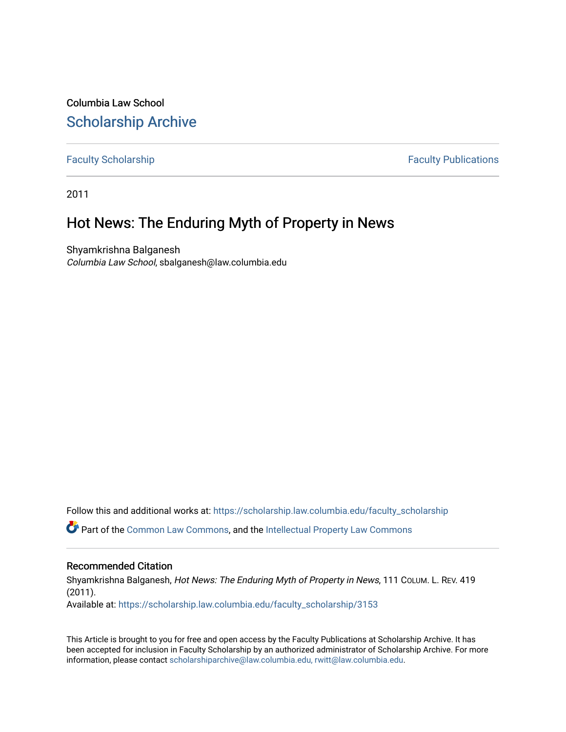Columbia Law School [Scholarship Archive](https://scholarship.law.columbia.edu/) 

[Faculty Scholarship](https://scholarship.law.columbia.edu/faculty_scholarship) **Faculty Scholarship Faculty Publications** 

2011

# Hot News: The Enduring Myth of Property in News

Shyamkrishna Balganesh Columbia Law School, sbalganesh@law.columbia.edu

Follow this and additional works at: [https://scholarship.law.columbia.edu/faculty\\_scholarship](https://scholarship.law.columbia.edu/faculty_scholarship?utm_source=scholarship.law.columbia.edu%2Ffaculty_scholarship%2F3153&utm_medium=PDF&utm_campaign=PDFCoverPages)

Part of the [Common Law Commons,](http://network.bepress.com/hgg/discipline/1120?utm_source=scholarship.law.columbia.edu%2Ffaculty_scholarship%2F3153&utm_medium=PDF&utm_campaign=PDFCoverPages) and the [Intellectual Property Law Commons](http://network.bepress.com/hgg/discipline/896?utm_source=scholarship.law.columbia.edu%2Ffaculty_scholarship%2F3153&utm_medium=PDF&utm_campaign=PDFCoverPages)

## Recommended Citation

Shyamkrishna Balganesh, Hot News: The Enduring Myth of Property in News, 111 COLUM. L. REV. 419 (2011).

Available at: [https://scholarship.law.columbia.edu/faculty\\_scholarship/3153](https://scholarship.law.columbia.edu/faculty_scholarship/3153?utm_source=scholarship.law.columbia.edu%2Ffaculty_scholarship%2F3153&utm_medium=PDF&utm_campaign=PDFCoverPages)

This Article is brought to you for free and open access by the Faculty Publications at Scholarship Archive. It has been accepted for inclusion in Faculty Scholarship by an authorized administrator of Scholarship Archive. For more information, please contact [scholarshiparchive@law.columbia.edu, rwitt@law.columbia.edu](mailto:scholarshiparchive@law.columbia.edu,%20rwitt@law.columbia.edu).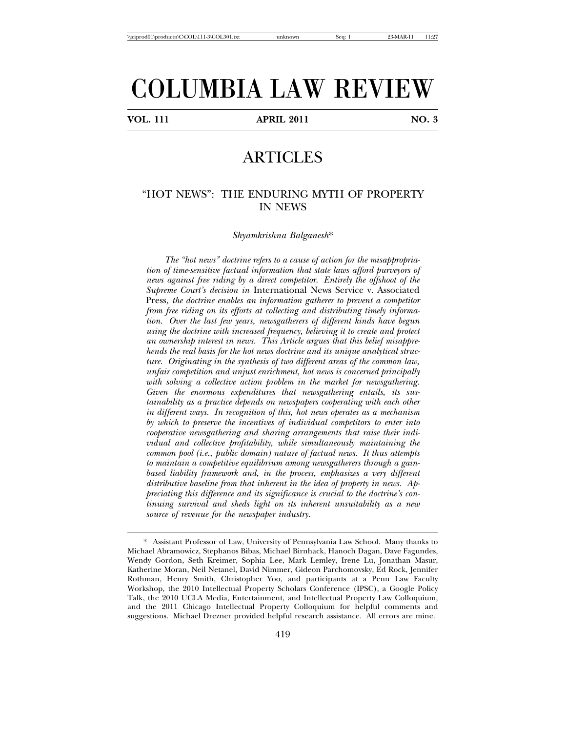# COLUMBIA LAW REVIEW

**VOL. 111 APRIL 2011 NO. 3**

# **ARTICLES**

## "HOT NEWS": THE ENDURING MYTH OF PROPERTY IN NEWS

*Shyamkrishna Balganesh*\*

*The "hot news" doctrine refers to a cause of action for the misappropriation of time-sensitive factual information that state laws afford purveyors of news against free riding by a direct competitor. Entirely the offshoot of the Supreme Court's decision in* International News Service v. Associated Press*, the doctrine enables an information gatherer to prevent a competitor from free riding on its efforts at collecting and distributing timely information. Over the last few years, newsgatherers of different kinds have begun using the doctrine with increased frequency, believing it to create and protect an ownership interest in news. This Article argues that this belief misapprehends the real basis for the hot news doctrine and its unique analytical structure. Originating in the synthesis of two different areas of the common law, unfair competition and unjust enrichment, hot news is concerned principally with solving a collective action problem in the market for newsgathering. Given the enormous expenditures that newsgathering entails, its sustainability as a practice depends on newspapers cooperating with each other in different ways. In recognition of this, hot news operates as a mechanism by which to preserve the incentives of individual competitors to enter into cooperative newsgathering and sharing arrangements that raise their individual and collective profitability, while simultaneously maintaining the common pool (i.e., public domain) nature of factual news. It thus attempts to maintain a competitive equilibrium among newsgatherers through a gainbased liability framework and, in the process, emphasizes a very different distributive baseline from that inherent in the idea of property in news. Appreciating this difference and its significance is crucial to the doctrine's continuing survival and sheds light on its inherent unsuitability as a new source of revenue for the newspaper industry.*

<sup>\*</sup> Assistant Professor of Law, University of Pennsylvania Law School. Many thanks to Michael Abramowicz, Stephanos Bibas, Michael Birnhack, Hanoch Dagan, Dave Fagundes, Wendy Gordon, Seth Kreimer, Sophia Lee, Mark Lemley, Irene Lu, Jonathan Masur, Katherine Moran, Neil Netanel, David Nimmer, Gideon Parchomovsky, Ed Rock, Jennifer Rothman, Henry Smith, Christopher Yoo, and participants at a Penn Law Faculty Workshop, the 2010 Intellectual Property Scholars Conference (IPSC), a Google Policy Talk, the 2010 UCLA Media, Entertainment, and Intellectual Property Law Colloquium, and the 2011 Chicago Intellectual Property Colloquium for helpful comments and suggestions. Michael Drezner provided helpful research assistance. All errors are mine.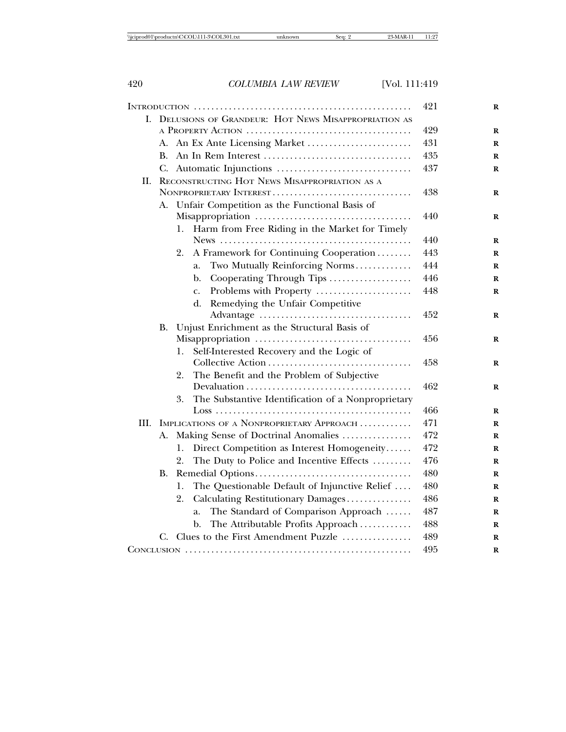|      |    |                                                          | 421 |
|------|----|----------------------------------------------------------|-----|
| L.   |    | DELUSIONS OF GRANDEUR: HOT NEWS MISAPPROPRIATION AS      |     |
|      |    |                                                          | 429 |
|      |    | A. An Ex Ante Licensing Market                           | 431 |
|      |    |                                                          | 435 |
|      |    |                                                          | 437 |
| H.   |    | RECONSTRUCTING HOT NEWS MISAPPROPRIATION AS A            |     |
|      |    | NONPROPRIETARY INTEREST                                  | 438 |
|      |    | A. Unfair Competition as the Functional Basis of         |     |
|      |    |                                                          | 440 |
|      |    | Harm from Free Riding in the Market for Timely<br>1.     |     |
|      |    |                                                          | 440 |
|      |    | A Framework for Continuing Cooperation<br>2.             | 443 |
|      |    | Two Mutually Reinforcing Norms<br>a.                     | 444 |
|      |    | Cooperating Through Tips<br>b.                           | 446 |
|      |    | Problems with Property<br>c.                             | 448 |
|      |    | Remedying the Unfair Competitive<br>d.                   |     |
|      |    |                                                          | 452 |
|      | В. | Unjust Enrichment as the Structural Basis of             |     |
|      |    |                                                          | 456 |
|      |    | Self-Interested Recovery and the Logic of<br>Ī.          |     |
|      |    | Collective Action<br>1.1.1.1.1.1                         | 458 |
|      |    | The Benefit and the Problem of Subjective<br>2.          |     |
|      |    |                                                          | 462 |
|      |    | The Substantive Identification of a Nonproprietary<br>3. | 466 |
| III. |    | IMPLICATIONS OF A NONPROPRIETARY APPROACH                | 471 |
|      |    | Making Sense of Doctrinal Anomalies                      | 472 |
|      | А. |                                                          | 472 |
|      |    | Direct Competition as Interest Homogeneity<br>ı.<br>2.   | 476 |
|      |    | The Duty to Police and Incentive Effects                 | 480 |
|      | В. |                                                          |     |
|      |    | The Questionable Default of Injunctive Relief<br>1.      | 480 |
|      |    | Calculating Restitutionary Damages<br>2.                 | 486 |
|      |    | The Standard of Comparison Approach<br>a.                | 487 |
|      |    | The Attributable Profits Approach<br>b.                  | 488 |
|      |    | C. Clues to the First Amendment Puzzle                   | 489 |
|      |    |                                                          | 495 |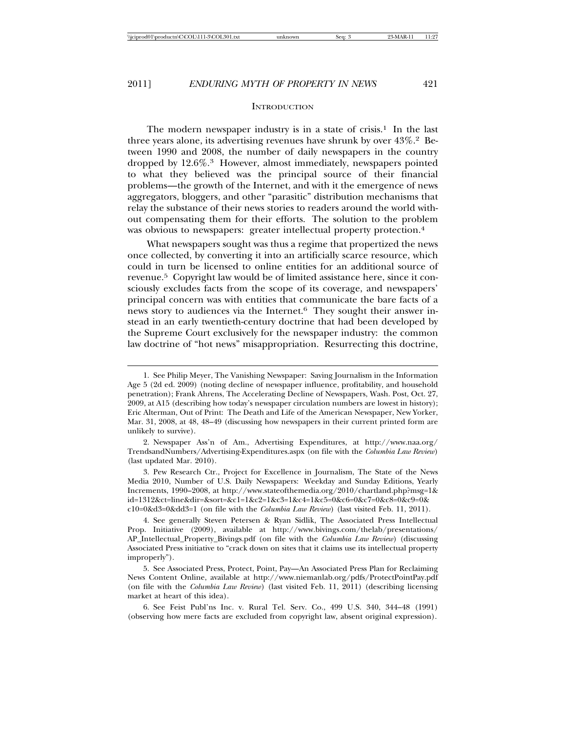#### **INTRODUCTION**

The modern newspaper industry is in a state of crisis.<sup>1</sup> In the last three years alone, its advertising revenues have shrunk by over 43%.2 Between 1990 and 2008, the number of daily newspapers in the country dropped by 12.6%.3 However, almost immediately, newspapers pointed to what they believed was the principal source of their financial problems—the growth of the Internet, and with it the emergence of news aggregators, bloggers, and other "parasitic" distribution mechanisms that relay the substance of their news stories to readers around the world without compensating them for their efforts. The solution to the problem was obvious to newspapers: greater intellectual property protection.<sup>4</sup>

What newspapers sought was thus a regime that propertized the news once collected, by converting it into an artificially scarce resource, which could in turn be licensed to online entities for an additional source of revenue.5 Copyright law would be of limited assistance here, since it consciously excludes facts from the scope of its coverage, and newspapers' principal concern was with entities that communicate the bare facts of a news story to audiences via the Internet.6 They sought their answer instead in an early twentieth-century doctrine that had been developed by the Supreme Court exclusively for the newspaper industry: the common law doctrine of "hot news" misappropriation. Resurrecting this doctrine,

2. Newspaper Ass'n of Am., Advertising Expenditures, at http://www.naa.org/ TrendsandNumbers/Advertising-Expenditures.aspx (on file with the *Columbia Law Review*) (last updated Mar. 2010).

3. Pew Research Ctr., Project for Excellence in Journalism, The State of the News Media 2010, Number of U.S. Daily Newspapers: Weekday and Sunday Editions, Yearly Increments, 1990–2008, at http://www.stateofthemedia.org/2010/chartland.php?msg=1& id=1312&ct=line&dir=&sort=&c1=1&c2=1&c3=1&c4=1&c5=0&c6=0&c7=0&c8=0&c9=0& c10=0&d3=0&dd3=1 (on file with the *Columbia Law Review*) (last visited Feb. 11, 2011).

4. See generally Steven Petersen & Ryan Sidlik, The Associated Press Intellectual Prop. Initiative (2009), available at http://www.bivings.com/thelab/presentations/ AP\_Intellectual\_Property\_Bivings.pdf (on file with the *Columbia Law Review*) (discussing Associated Press initiative to "crack down on sites that it claims use its intellectual property improperly").

5. See Associated Press, Protect, Point, Pay—An Associated Press Plan for Reclaiming News Content Online, available at http://www.niemanlab.org/pdfs/ProtectPointPay.pdf (on file with the *Columbia Law Review*) (last visited Feb. 11, 2011) (describing licensing market at heart of this idea).

6. See Feist Publ'ns Inc. v. Rural Tel. Serv. Co., 499 U.S. 340, 344–48 (1991) (observing how mere facts are excluded from copyright law, absent original expression).

<sup>1.</sup> See Philip Meyer, The Vanishing Newspaper: Saving Journalism in the Information Age 5 (2d ed. 2009) (noting decline of newspaper influence, profitability, and household penetration); Frank Ahrens, The Accelerating Decline of Newspapers, Wash. Post, Oct. 27, 2009, at A15 (describing how today's newspaper circulation numbers are lowest in history); Eric Alterman, Out of Print: The Death and Life of the American Newspaper, New Yorker, Mar. 31, 2008, at 48, 48–49 (discussing how newspapers in their current printed form are unlikely to survive).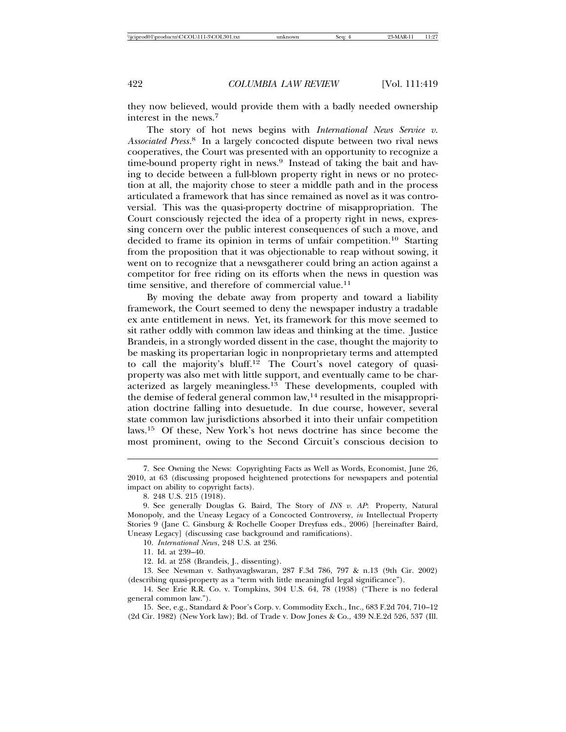they now believed, would provide them with a badly needed ownership interest in the news.<sup>7</sup>

The story of hot news begins with *International News Service v. Associated Press*. 8 In a largely concocted dispute between two rival news cooperatives, the Court was presented with an opportunity to recognize a time-bound property right in news.9 Instead of taking the bait and having to decide between a full-blown property right in news or no protection at all, the majority chose to steer a middle path and in the process articulated a framework that has since remained as novel as it was controversial. This was the quasi-property doctrine of misappropriation. The Court consciously rejected the idea of a property right in news, expressing concern over the public interest consequences of such a move, and decided to frame its opinion in terms of unfair competition.10 Starting from the proposition that it was objectionable to reap without sowing, it went on to recognize that a newsgatherer could bring an action against a competitor for free riding on its efforts when the news in question was time sensitive, and therefore of commercial value.<sup>11</sup>

By moving the debate away from property and toward a liability framework, the Court seemed to deny the newspaper industry a tradable ex ante entitlement in news. Yet, its framework for this move seemed to sit rather oddly with common law ideas and thinking at the time. Justice Brandeis, in a strongly worded dissent in the case, thought the majority to be masking its propertarian logic in nonproprietary terms and attempted to call the majority's bluff.<sup>12</sup> The Court's novel category of quasiproperty was also met with little support, and eventually came to be characterized as largely meaningless. $13$  These developments, coupled with the demise of federal general common law,<sup>14</sup> resulted in the misappropriation doctrine falling into desuetude. In due course, however, several state common law jurisdictions absorbed it into their unfair competition laws.15 Of these, New York's hot news doctrine has since become the most prominent, owing to the Second Circuit's conscious decision to

11. Id. at 239–40.

12. Id. at 258 (Brandeis, J., dissenting).

13. See Newman v. Sathyavaglswaran, 287 F.3d 786, 797 & n.13 (9th Cir. 2002) (describing quasi-property as a "term with little meaningful legal significance").

<sup>7.</sup> See Owning the News: Copyrighting Facts as Well as Words, Economist, June 26, 2010, at 63 (discussing proposed heightened protections for newspapers and potential impact on ability to copyright facts).

<sup>8. 248</sup> U.S. 215 (1918).

<sup>9.</sup> See generally Douglas G. Baird, The Story of *INS v. AP*: Property, Natural Monopoly, and the Uneasy Legacy of a Concocted Controversy, *in* Intellectual Property Stories 9 (Jane C. Ginsburg & Rochelle Cooper Dreyfuss eds., 2006) [hereinafter Baird, Uneasy Legacy] (discussing case background and ramifications).

<sup>10.</sup> *International News*, 248 U.S. at 236.

<sup>14.</sup> See Erie R.R. Co. v. Tompkins, 304 U.S. 64, 78 (1938) ("There is no federal general common law.").

<sup>15.</sup> See, e.g., Standard & Poor's Corp. v. Commodity Exch., Inc., 683 F.2d 704, 710–12 (2d Cir. 1982) (New York law); Bd. of Trade v. Dow Jones & Co., 439 N.E.2d 526, 537 (Ill.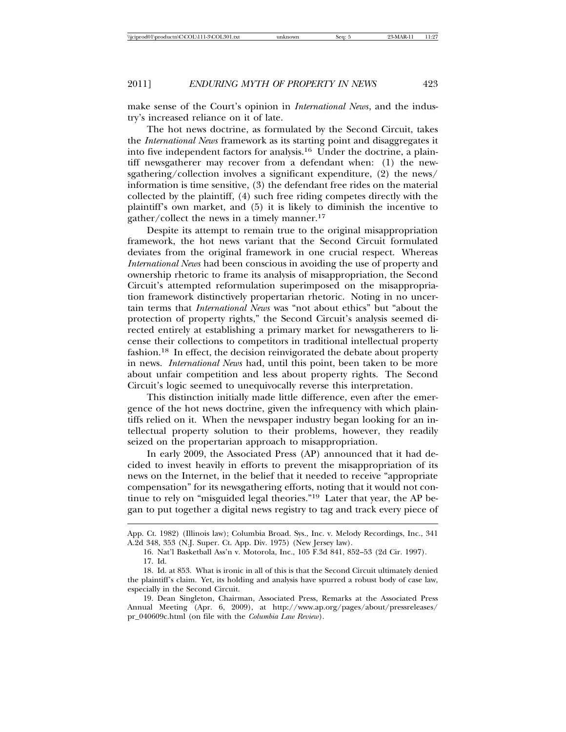make sense of the Court's opinion in *International News*, and the industry's increased reliance on it of late.

The hot news doctrine, as formulated by the Second Circuit, takes the *International News* framework as its starting point and disaggregates it into five independent factors for analysis.16 Under the doctrine, a plaintiff newsgatherer may recover from a defendant when: (1) the newsgathering/collection involves a significant expenditure, (2) the news/ information is time sensitive, (3) the defendant free rides on the material collected by the plaintiff, (4) such free riding competes directly with the plaintiff's own market, and (5) it is likely to diminish the incentive to gather/collect the news in a timely manner.<sup>17</sup>

Despite its attempt to remain true to the original misappropriation framework, the hot news variant that the Second Circuit formulated deviates from the original framework in one crucial respect. Whereas *International News* had been conscious in avoiding the use of property and ownership rhetoric to frame its analysis of misappropriation, the Second Circuit's attempted reformulation superimposed on the misappropriation framework distinctively propertarian rhetoric. Noting in no uncertain terms that *International News* was "not about ethics" but "about the protection of property rights," the Second Circuit's analysis seemed directed entirely at establishing a primary market for newsgatherers to license their collections to competitors in traditional intellectual property fashion.18 In effect, the decision reinvigorated the debate about property in news. *International News* had, until this point, been taken to be more about unfair competition and less about property rights. The Second Circuit's logic seemed to unequivocally reverse this interpretation.

This distinction initially made little difference, even after the emergence of the hot news doctrine, given the infrequency with which plaintiffs relied on it. When the newspaper industry began looking for an intellectual property solution to their problems, however, they readily seized on the propertarian approach to misappropriation.

In early 2009, the Associated Press (AP) announced that it had decided to invest heavily in efforts to prevent the misappropriation of its news on the Internet, in the belief that it needed to receive "appropriate compensation" for its newsgathering efforts, noting that it would not continue to rely on "misguided legal theories."19 Later that year, the AP began to put together a digital news registry to tag and track every piece of

App. Ct. 1982) (Illinois law); Columbia Broad. Sys., Inc. v. Melody Recordings, Inc., 341 A.2d 348, 353 (N.J. Super. Ct. App. Div. 1975) (New Jersey law).

<sup>16.</sup> Nat'l Basketball Ass'n v. Motorola, Inc., 105 F.3d 841, 852–53 (2d Cir. 1997).

<sup>17.</sup> Id.

<sup>18.</sup> Id. at 853. What is ironic in all of this is that the Second Circuit ultimately denied the plaintiff's claim. Yet, its holding and analysis have spurred a robust body of case law, especially in the Second Circuit.

<sup>19.</sup> Dean Singleton, Chairman, Associated Press, Remarks at the Associated Press Annual Meeting (Apr. 6, 2009), at http://www.ap.org/pages/about/pressreleases/ pr\_040609c.html (on file with the *Columbia Law Review*).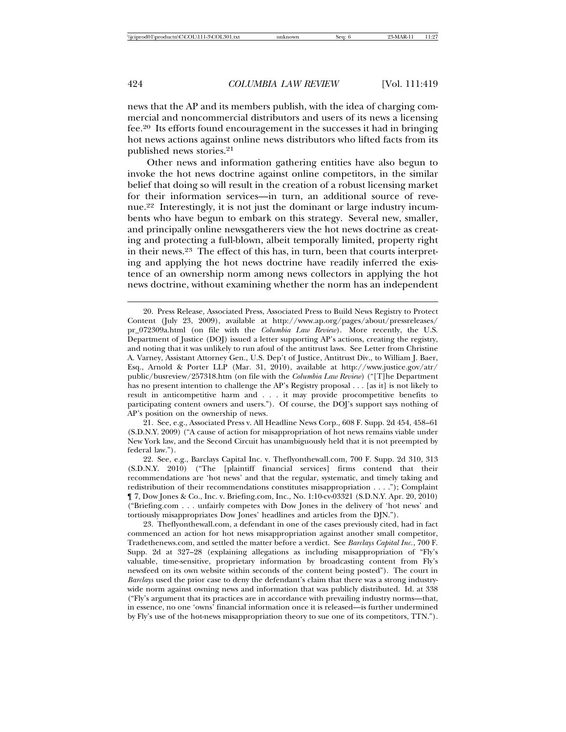news that the AP and its members publish, with the idea of charging commercial and noncommercial distributors and users of its news a licensing fee.20 Its efforts found encouragement in the successes it had in bringing hot news actions against online news distributors who lifted facts from its published news stories.<sup>21</sup>

Other news and information gathering entities have also begun to invoke the hot news doctrine against online competitors, in the similar belief that doing so will result in the creation of a robust licensing market for their information services—in turn, an additional source of revenue.22 Interestingly, it is not just the dominant or large industry incumbents who have begun to embark on this strategy. Several new, smaller, and principally online newsgatherers view the hot news doctrine as creating and protecting a full-blown, albeit temporally limited, property right in their news.23 The effect of this has, in turn, been that courts interpreting and applying the hot news doctrine have readily inferred the existence of an ownership norm among news collectors in applying the hot news doctrine, without examining whether the norm has an independent

21. See, e.g., Associated Press v. All Headline News Corp., 608 F. Supp. 2d 454, 458–61 (S.D.N.Y. 2009) ("A cause of action for misappropriation of hot news remains viable under New York law, and the Second Circuit has unambiguously held that it is not preempted by federal law.").

22. See, e.g., Barclays Capital Inc. v. Theflyonthewall.com, 700 F. Supp. 2d 310, 313 (S.D.N.Y. 2010) ("The [plaintiff financial services] firms contend that their recommendations are 'hot news' and that the regular, systematic, and timely taking and redistribution of their recommendations constitutes misappropriation . . . ."); Complaint ¶ 7, Dow Jones & Co., Inc. v. Briefing.com, Inc., No. 1:10-cv-03321 (S.D.N.Y. Apr. 20, 2010) ("Briefing.com . . . unfairly competes with Dow Jones in the delivery of 'hot news' and tortiously misappropriates Dow Jones' headlines and articles from the DJN.").

23. Theflyonthewall.com, a defendant in one of the cases previously cited, had in fact commenced an action for hot news misappropriation against another small competitor, Tradethenews.com, and settled the matter before a verdict. See *Barclays Capital Inc.*, 700 F. Supp. 2d at 327–28 (explaining allegations as including misappropriation of "Fly's valuable, time-sensitive, proprietary information by broadcasting content from Fly's newsfeed on its own website within seconds of the content being posted"). The court in *Barclays* used the prior case to deny the defendant's claim that there was a strong industrywide norm against owning news and information that was publicly distributed. Id. at 338 ("Fly's argument that its practices are in accordance with prevailing industry norms—that, in essence, no one 'owns' financial information once it is released—is further undermined by Fly's use of the hot-news misappropriation theory to sue one of its competitors, TTN.").

<sup>20.</sup> Press Release, Associated Press, Associated Press to Build News Registry to Protect Content (July 23, 2009), available at http://www.ap.org/pages/about/pressreleases/ pr\_072309a.html (on file with the *Columbia Law Review*). More recently, the U.S. Department of Justice (DOJ) issued a letter supporting AP's actions, creating the registry, and noting that it was unlikely to run afoul of the antitrust laws. See Letter from Christine A. Varney, Assistant Attorney Gen., U.S. Dep't of Justice, Antitrust Div., to William J. Baer, Esq., Arnold & Porter LLP (Mar. 31, 2010), available at http://www.justice.gov/atr/ public/busreview/257318.htm (on file with the *Columbia Law Review*) ("[T]he Department has no present intention to challenge the AP's Registry proposal . . . [as it] is not likely to result in anticompetitive harm and . . . it may provide procompetitive benefits to participating content owners and users."). Of course, the DOJ's support says nothing of AP's position on the ownership of news.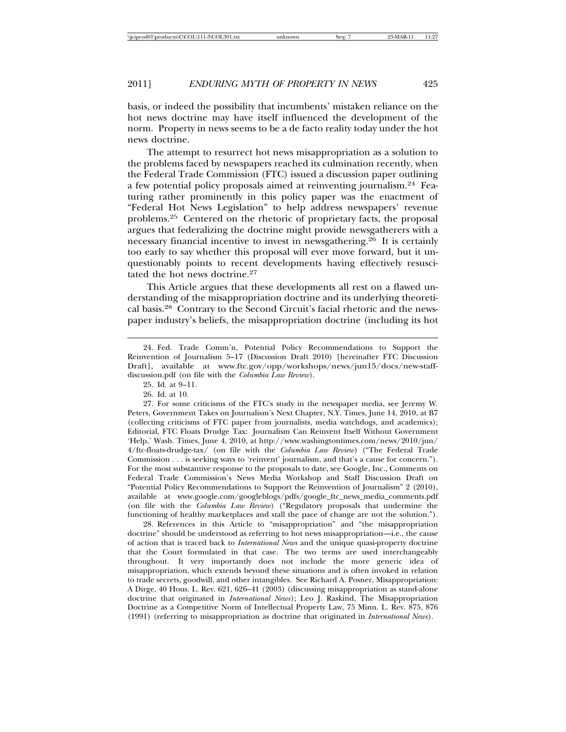basis, or indeed the possibility that incumbents' mistaken reliance on the hot news doctrine may have itself influenced the development of the norm. Property in news seems to be a de facto reality today under the hot news doctrine.

The attempt to resurrect hot news misappropriation as a solution to the problems faced by newspapers reached its culmination recently, when the Federal Trade Commission (FTC) issued a discussion paper outlining a few potential policy proposals aimed at reinventing journalism.24 Featuring rather prominently in this policy paper was the enactment of "Federal Hot News Legislation" to help address newspapers' revenue problems.25 Centered on the rhetoric of proprietary facts, the proposal argues that federalizing the doctrine might provide newsgatherers with a necessary financial incentive to invest in newsgathering.26 It is certainly too early to say whether this proposal will ever move forward, but it unquestionably points to recent developments having effectively resuscitated the hot news doctrine.<sup>27</sup>

This Article argues that these developments all rest on a flawed understanding of the misappropriation doctrine and its underlying theoretical basis.28 Contrary to the Second Circuit's facial rhetoric and the newspaper industry's beliefs, the misappropriation doctrine (including its hot

26. Id. at 10.

27. For some criticisms of the FTC's study in the newspaper media, see Jeremy W. Peters, Government Takes on Journalism's Next Chapter, N.Y. Times, June 14, 2010, at B7 (collecting criticisms of FTC paper from journalists, media watchdogs, and academics); Editorial, FTC Floats Drudge Tax: Journalism Can Reinvent Itself Without Government 'Help,' Wash. Times, June 4, 2010, at http://www.washingtontimes.com/news/2010/jun/ 4/ftc-floats-drudge-tax/ (on file with the *Columbia Law Review*) ("The Federal Trade Commission . . . is seeking ways to 'reinvent' journalism, and that's a cause for concern."). For the most substantive response to the proposals to date, see Google, Inc., Comments on Federal Trade Commission's News Media Workshop and Staff Discussion Draft on "Potential Policy Recommendations to Support the Reinvention of Journalism" 2 (2010), available at www.google.com/googleblogs/pdfs/google\_ftc\_news\_media\_comments.pdf (on file with the *Columbia Law Review*) ("Regulatory proposals that undermine the functioning of healthy marketplaces and stall the pace of change are not the solution.").

28. References in this Article to "misappropriation" and "the misappropriation doctrine" should be understood as referring to hot news misappropriation—i.e., the cause of action that is traced back to *International News* and the unique quasi-property doctrine that the Court formulated in that case. The two terms are used interchangeably throughout. It very importantly does not include the more generic idea of misappropriation, which extends beyond these situations and is often invoked in relation to trade secrets, goodwill, and other intangibles. See Richard A. Posner, Misappropriation: A Dirge, 40 Hous. L. Rev. 621, 626–41 (2003) (discussing misappropriation as stand-alone doctrine that originated in *International News*); Leo J. Raskind, The Misappropriation Doctrine as a Competitive Norm of Intellectual Property Law, 75 Minn. L. Rev. 875, 876 (1991) (referring to misappropriation as doctrine that originated in *International News*).

<sup>24.</sup> Fed. Trade Comm'n, Potential Policy Recommendations to Support the Reinvention of Journalism 5–17 (Discussion Draft 2010) [hereinafter FTC Discussion Draft], available at www.ftc.gov/opp/workshops/news/jun15/docs/new-staffdiscussion.pdf (on file with the *Columbia Law Review*).

<sup>25.</sup> Id. at 9–11.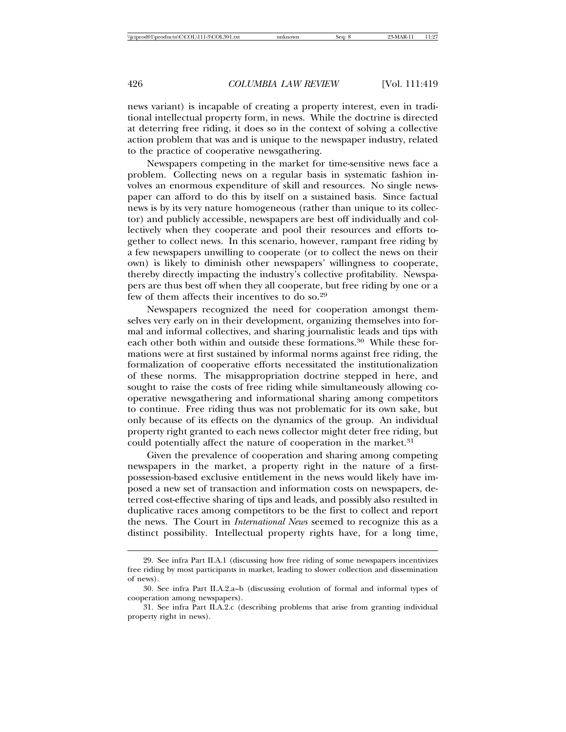news variant) is incapable of creating a property interest, even in traditional intellectual property form, in news. While the doctrine is directed at deterring free riding, it does so in the context of solving a collective action problem that was and is unique to the newspaper industry, related to the practice of cooperative newsgathering.

Newspapers competing in the market for time-sensitive news face a problem. Collecting news on a regular basis in systematic fashion involves an enormous expenditure of skill and resources. No single newspaper can afford to do this by itself on a sustained basis. Since factual news is by its very nature homogeneous (rather than unique to its collector) and publicly accessible, newspapers are best off individually and collectively when they cooperate and pool their resources and efforts together to collect news. In this scenario, however, rampant free riding by a few newspapers unwilling to cooperate (or to collect the news on their own) is likely to diminish other newspapers' willingness to cooperate, thereby directly impacting the industry's collective profitability. Newspapers are thus best off when they all cooperate, but free riding by one or a few of them affects their incentives to do so.<sup>29</sup>

Newspapers recognized the need for cooperation amongst themselves very early on in their development, organizing themselves into formal and informal collectives, and sharing journalistic leads and tips with each other both within and outside these formations.<sup>30</sup> While these formations were at first sustained by informal norms against free riding, the formalization of cooperative efforts necessitated the institutionalization of these norms. The misappropriation doctrine stepped in here, and sought to raise the costs of free riding while simultaneously allowing cooperative newsgathering and informational sharing among competitors to continue. Free riding thus was not problematic for its own sake, but only because of its effects on the dynamics of the group. An individual property right granted to each news collector might deter free riding, but could potentially affect the nature of cooperation in the market.<sup>31</sup>

Given the prevalence of cooperation and sharing among competing newspapers in the market, a property right in the nature of a firstpossession-based exclusive entitlement in the news would likely have imposed a new set of transaction and information costs on newspapers, deterred cost-effective sharing of tips and leads, and possibly also resulted in duplicative races among competitors to be the first to collect and report the news. The Court in *International News* seemed to recognize this as a distinct possibility. Intellectual property rights have, for a long time,

<sup>29.</sup> See infra Part II.A.1 (discussing how free riding of some newspapers incentivizes free riding by most participants in market, leading to slower collection and dissemination of news).

<sup>30.</sup> See infra Part II.A.2.a–b (discussing evolution of formal and informal types of cooperation among newspapers).

<sup>31.</sup> See infra Part II.A.2.c (describing problems that arise from granting individual property right in news).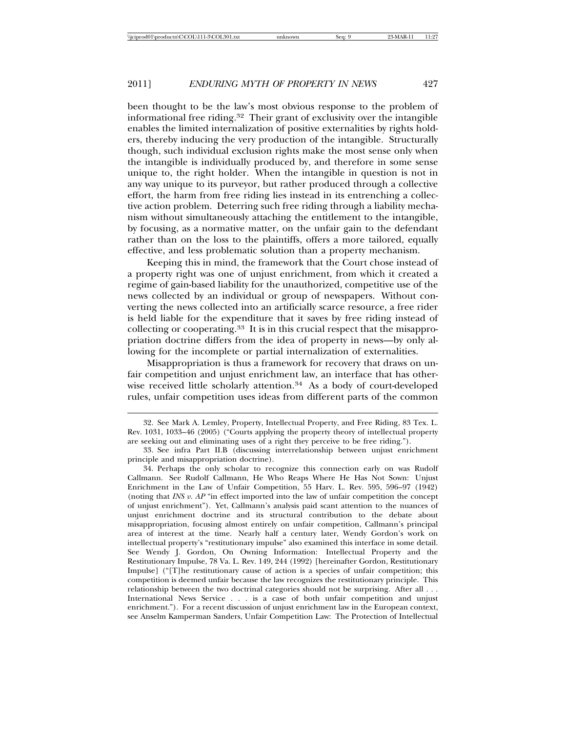been thought to be the law's most obvious response to the problem of informational free riding.32 Their grant of exclusivity over the intangible enables the limited internalization of positive externalities by rights holders, thereby inducing the very production of the intangible. Structurally though, such individual exclusion rights make the most sense only when the intangible is individually produced by, and therefore in some sense unique to, the right holder. When the intangible in question is not in any way unique to its purveyor, but rather produced through a collective effort, the harm from free riding lies instead in its entrenching a collective action problem. Deterring such free riding through a liability mechanism without simultaneously attaching the entitlement to the intangible, by focusing, as a normative matter, on the unfair gain to the defendant rather than on the loss to the plaintiffs, offers a more tailored, equally effective, and less problematic solution than a property mechanism.

Keeping this in mind, the framework that the Court chose instead of a property right was one of unjust enrichment, from which it created a regime of gain-based liability for the unauthorized, competitive use of the news collected by an individual or group of newspapers. Without converting the news collected into an artificially scarce resource, a free rider is held liable for the expenditure that it saves by free riding instead of collecting or cooperating.33 It is in this crucial respect that the misappropriation doctrine differs from the idea of property in news—by only allowing for the incomplete or partial internalization of externalities.

Misappropriation is thus a framework for recovery that draws on unfair competition and unjust enrichment law, an interface that has otherwise received little scholarly attention.<sup>34</sup> As a body of court-developed rules, unfair competition uses ideas from different parts of the common

<sup>32.</sup> See Mark A. Lemley, Property, Intellectual Property, and Free Riding, 83 Tex. L. Rev. 1031, 1033–46 (2005) ("Courts applying the property theory of intellectual property are seeking out and eliminating uses of a right they perceive to be free riding.").

<sup>33.</sup> See infra Part II.B (discussing interrelationship between unjust enrichment principle and misappropriation doctrine).

<sup>34.</sup> Perhaps the only scholar to recognize this connection early on was Rudolf Callmann. See Rudolf Callmann, He Who Reaps Where He Has Not Sown: Unjust Enrichment in the Law of Unfair Competition, 55 Harv. L. Rev. 595, 596–97 (1942) (noting that *INS v. AP* "in effect imported into the law of unfair competition the concept of unjust enrichment"). Yet, Callmann's analysis paid scant attention to the nuances of unjust enrichment doctrine and its structural contribution to the debate about misappropriation, focusing almost entirely on unfair competition, Callmann's principal area of interest at the time. Nearly half a century later, Wendy Gordon's work on intellectual property's "restitutionary impulse" also examined this interface in some detail. See Wendy J. Gordon, On Owning Information: Intellectual Property and the Restitutionary Impulse, 78 Va. L. Rev. 149, 244 (1992) [hereinafter Gordon, Restitutionary Impulse] ("[T]he restitutionary cause of action is a species of unfair competition; this competition is deemed unfair because the law recognizes the restitutionary principle. This relationship between the two doctrinal categories should not be surprising. After all . . . International News Service . . . is a case of both unfair competition and unjust enrichment."). For a recent discussion of unjust enrichment law in the European context, see Anselm Kamperman Sanders, Unfair Competition Law: The Protection of Intellectual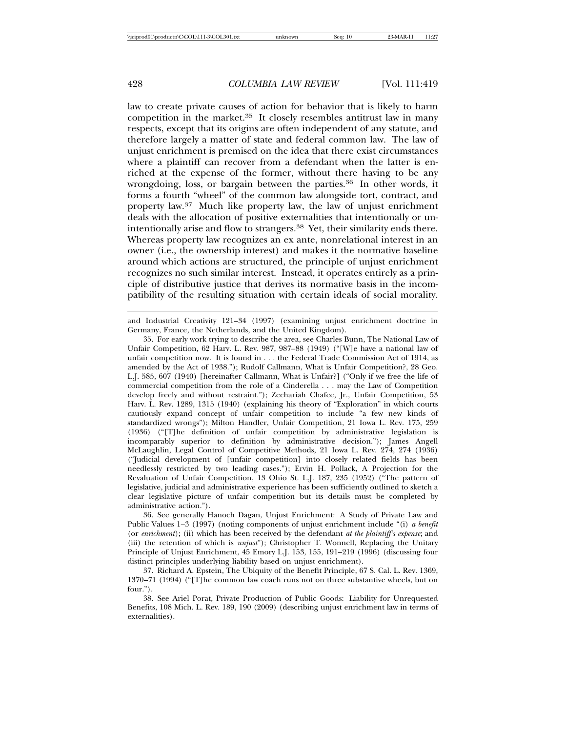law to create private causes of action for behavior that is likely to harm competition in the market.35 It closely resembles antitrust law in many respects, except that its origins are often independent of any statute, and therefore largely a matter of state and federal common law. The law of unjust enrichment is premised on the idea that there exist circumstances where a plaintiff can recover from a defendant when the latter is enriched at the expense of the former, without there having to be any wrongdoing, loss, or bargain between the parties.<sup>36</sup> In other words, it forms a fourth "wheel" of the common law alongside tort, contract, and property law.37 Much like property law, the law of unjust enrichment deals with the allocation of positive externalities that intentionally or unintentionally arise and flow to strangers.<sup>38</sup> Yet, their similarity ends there. Whereas property law recognizes an ex ante, nonrelational interest in an owner (i.e., the ownership interest) and makes it the normative baseline around which actions are structured, the principle of unjust enrichment recognizes no such similar interest. Instead, it operates entirely as a principle of distributive justice that derives its normative basis in the incompatibility of the resulting situation with certain ideals of social morality.

and Industrial Creativity 121–34 (1997) (examining unjust enrichment doctrine in Germany, France, the Netherlands, and the United Kingdom).

35. For early work trying to describe the area, see Charles Bunn, The National Law of Unfair Competition, 62 Harv. L. Rev. 987, 987–88 (1949) ("[W]e have a national law of unfair competition now. It is found in . . . the Federal Trade Commission Act of 1914, as amended by the Act of 1938."); Rudolf Callmann, What is Unfair Competition?, 28 Geo. L.J. 585, 607 (1940) [hereinafter Callmann, What is Unfair?] ("Only if we free the life of commercial competition from the role of a Cinderella . . . may the Law of Competition develop freely and without restraint."); Zechariah Chafee, Jr., Unfair Competition, 53 Harv. L. Rev. 1289, 1315 (1940) (explaining his theory of "Exploration" in which courts cautiously expand concept of unfair competition to include "a few new kinds of standardized wrongs"); Milton Handler, Unfair Competition, 21 Iowa L. Rev. 175, 259 (1936) ("[T]he definition of unfair competition by administrative legislation is incomparably superior to definition by administrative decision."); James Angell McLaughlin, Legal Control of Competitive Methods, 21 Iowa L. Rev. 274, 274 (1936) ("Judicial development of [unfair competition] into closely related fields has been needlessly restricted by two leading cases."); Ervin H. Pollack, A Projection for the Revaluation of Unfair Competition, 13 Ohio St. L.J. 187, 235 (1952) ("The pattern of legislative, judicial and administrative experience has been sufficiently outlined to sketch a clear legislative picture of unfair competition but its details must be completed by administrative action.").

36. See generally Hanoch Dagan, Unjust Enrichment: A Study of Private Law and Public Values 1–3 (1997) (noting components of unjust enrichment include "(i) *a benefit* (or *enrichment*); (ii) which has been received by the defendant *at the plaintiff's expense*; and (iii) the retention of which is *unjust*"); Christopher T. Wonnell, Replacing the Unitary Principle of Unjust Enrichment, 45 Emory L.J. 153, 155, 191–219 (1996) (discussing four distinct principles underlying liability based on unjust enrichment).

37. Richard A. Epstein, The Ubiquity of the Benefit Principle, 67 S. Cal. L. Rev. 1369, 1370–71 (1994) ("[T]he common law coach runs not on three substantive wheels, but on four.").

38. See Ariel Porat, Private Production of Public Goods: Liability for Unrequested Benefits, 108 Mich. L. Rev. 189, 190 (2009) (describing unjust enrichment law in terms of externalities).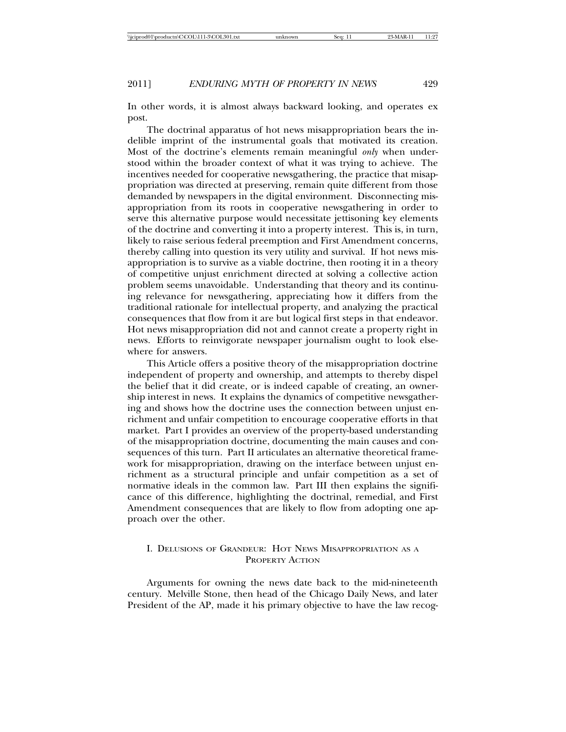In other words, it is almost always backward looking, and operates ex post.

The doctrinal apparatus of hot news misappropriation bears the indelible imprint of the instrumental goals that motivated its creation. Most of the doctrine's elements remain meaningful *only* when understood within the broader context of what it was trying to achieve. The incentives needed for cooperative newsgathering, the practice that misappropriation was directed at preserving, remain quite different from those demanded by newspapers in the digital environment. Disconnecting misappropriation from its roots in cooperative newsgathering in order to serve this alternative purpose would necessitate jettisoning key elements of the doctrine and converting it into a property interest. This is, in turn, likely to raise serious federal preemption and First Amendment concerns, thereby calling into question its very utility and survival. If hot news misappropriation is to survive as a viable doctrine, then rooting it in a theory of competitive unjust enrichment directed at solving a collective action problem seems unavoidable. Understanding that theory and its continuing relevance for newsgathering, appreciating how it differs from the traditional rationale for intellectual property, and analyzing the practical consequences that flow from it are but logical first steps in that endeavor. Hot news misappropriation did not and cannot create a property right in news. Efforts to reinvigorate newspaper journalism ought to look elsewhere for answers.

This Article offers a positive theory of the misappropriation doctrine independent of property and ownership, and attempts to thereby dispel the belief that it did create, or is indeed capable of creating, an ownership interest in news. It explains the dynamics of competitive newsgathering and shows how the doctrine uses the connection between unjust enrichment and unfair competition to encourage cooperative efforts in that market. Part I provides an overview of the property-based understanding of the misappropriation doctrine, documenting the main causes and consequences of this turn. Part II articulates an alternative theoretical framework for misappropriation, drawing on the interface between unjust enrichment as a structural principle and unfair competition as a set of normative ideals in the common law. Part III then explains the significance of this difference, highlighting the doctrinal, remedial, and First Amendment consequences that are likely to flow from adopting one approach over the other.

### I. DELUSIONS OF GRANDEUR: HOT NEWS MISAPPROPRIATION AS A PROPERTY ACTION

Arguments for owning the news date back to the mid-nineteenth century. Melville Stone, then head of the Chicago Daily News, and later President of the AP, made it his primary objective to have the law recog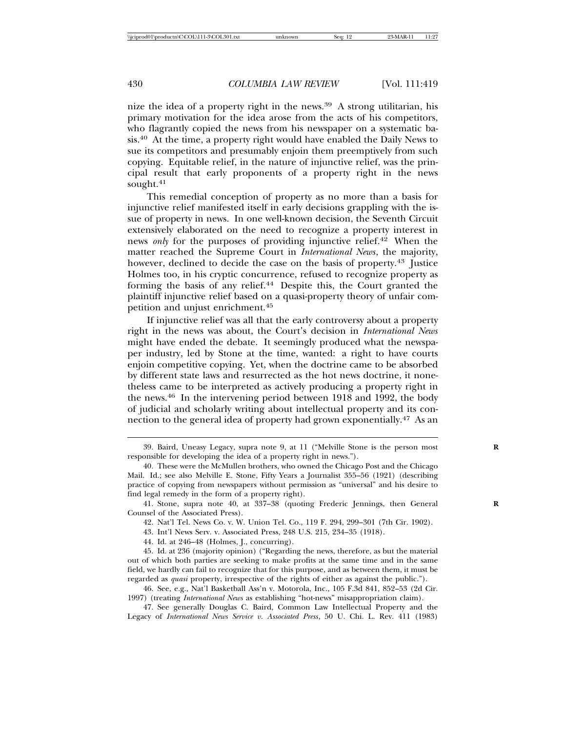nize the idea of a property right in the news.39 A strong utilitarian, his primary motivation for the idea arose from the acts of his competitors, who flagrantly copied the news from his newspaper on a systematic basis.40 At the time, a property right would have enabled the Daily News to sue its competitors and presumably enjoin them preemptively from such copying. Equitable relief, in the nature of injunctive relief, was the principal result that early proponents of a property right in the news sought.<sup>41</sup>

This remedial conception of property as no more than a basis for injunctive relief manifested itself in early decisions grappling with the issue of property in news. In one well-known decision, the Seventh Circuit extensively elaborated on the need to recognize a property interest in news *only* for the purposes of providing injunctive relief.<sup>42</sup> When the matter reached the Supreme Court in *International News*, the majority, however, declined to decide the case on the basis of property.<sup>43</sup> Justice Holmes too, in his cryptic concurrence, refused to recognize property as forming the basis of any relief.44 Despite this, the Court granted the plaintiff injunctive relief based on a quasi-property theory of unfair competition and unjust enrichment.<sup>45</sup>

If injunctive relief was all that the early controversy about a property right in the news was about, the Court's decision in *International News* might have ended the debate. It seemingly produced what the newspaper industry, led by Stone at the time, wanted: a right to have courts enjoin competitive copying. Yet, when the doctrine came to be absorbed by different state laws and resurrected as the hot news doctrine, it nonetheless came to be interpreted as actively producing a property right in the news.46 In the intervening period between 1918 and 1992, the body of judicial and scholarly writing about intellectual property and its connection to the general idea of property had grown exponentially.47 As an

42. Nat'l Tel. News Co. v. W. Union Tel. Co., 119 F. 294, 299–301 (7th Cir. 1902).

43. Int'l News Serv. v. Associated Press, 248 U.S. 215, 234–35 (1918).

44. Id. at 246–48 (Holmes, J., concurring).

45. Id. at 236 (majority opinion) ("Regarding the news, therefore, as but the material out of which both parties are seeking to make profits at the same time and in the same field, we hardly can fail to recognize that for this purpose, and as between them, it must be regarded as *quasi* property, irrespective of the rights of either as against the public.").

46. See, e.g., Nat'l Basketball Ass'n v. Motorola, Inc., 105 F.3d 841, 852–53 (2d Cir. 1997) (treating *International News* as establishing "hot-news" misappropriation claim).

<sup>39.</sup> Baird, Uneasy Legacy, supra note 9, at 11 ("Melville Stone is the person most **R** responsible for developing the idea of a property right in news.").

<sup>40.</sup> These were the McMullen brothers, who owned the Chicago Post and the Chicago Mail. Id.; see also Melville E. Stone, Fifty Years a Journalist 355–56 (1921) (describing practice of copying from newspapers without permission as "universal" and his desire to find legal remedy in the form of a property right).

<sup>41.</sup> Stone, supra note 40, at 337–38 (quoting Frederic Jennings, then General **R** Counsel of the Associated Press).

<sup>47.</sup> See generally Douglas C. Baird, Common Law Intellectual Property and the Legacy of *International News Service v. Associated Press*, 50 U. Chi. L. Rev. 411 (1983)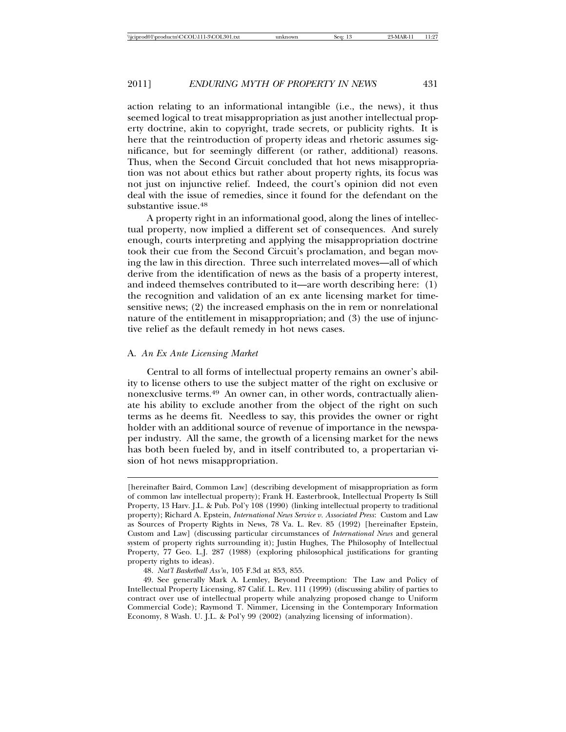action relating to an informational intangible (i.e., the news), it thus seemed logical to treat misappropriation as just another intellectual property doctrine, akin to copyright, trade secrets, or publicity rights. It is here that the reintroduction of property ideas and rhetoric assumes significance, but for seemingly different (or rather, additional) reasons. Thus, when the Second Circuit concluded that hot news misappropriation was not about ethics but rather about property rights, its focus was not just on injunctive relief. Indeed, the court's opinion did not even deal with the issue of remedies, since it found for the defendant on the substantive issue.<sup>48</sup>

A property right in an informational good, along the lines of intellectual property, now implied a different set of consequences. And surely enough, courts interpreting and applying the misappropriation doctrine took their cue from the Second Circuit's proclamation, and began moving the law in this direction. Three such interrelated moves—all of which derive from the identification of news as the basis of a property interest, and indeed themselves contributed to it—are worth describing here: (1) the recognition and validation of an ex ante licensing market for timesensitive news; (2) the increased emphasis on the in rem or nonrelational nature of the entitlement in misappropriation; and (3) the use of injunctive relief as the default remedy in hot news cases.

#### A. *An Ex Ante Licensing Market*

Central to all forms of intellectual property remains an owner's ability to license others to use the subject matter of the right on exclusive or nonexclusive terms.49 An owner can, in other words, contractually alienate his ability to exclude another from the object of the right on such terms as he deems fit. Needless to say, this provides the owner or right holder with an additional source of revenue of importance in the newspaper industry. All the same, the growth of a licensing market for the news has both been fueled by, and in itself contributed to, a propertarian vision of hot news misappropriation.

48. *Nat'l Basketball Ass'n*, 105 F.3d at 853, 855.

<sup>[</sup>hereinafter Baird, Common Law] (describing development of misappropriation as form of common law intellectual property); Frank H. Easterbrook, Intellectual Property Is Still Property, 13 Harv. J.L. & Pub. Pol'y 108 (1990) (linking intellectual property to traditional property); Richard A. Epstein, *International News Service v. Associated Press*: Custom and Law as Sources of Property Rights in News, 78 Va. L. Rev. 85 (1992) [hereinafter Epstein, Custom and Law] (discussing particular circumstances of *International News* and general system of property rights surrounding it); Justin Hughes, The Philosophy of Intellectual Property, 77 Geo. L.J. 287 (1988) (exploring philosophical justifications for granting property rights to ideas).

<sup>49.</sup> See generally Mark A. Lemley, Beyond Preemption: The Law and Policy of Intellectual Property Licensing, 87 Calif. L. Rev. 111 (1999) (discussing ability of parties to contract over use of intellectual property while analyzing proposed change to Uniform Commercial Code); Raymond T. Nimmer, Licensing in the Contemporary Information Economy, 8 Wash. U. J.L. & Pol'y 99 (2002) (analyzing licensing of information).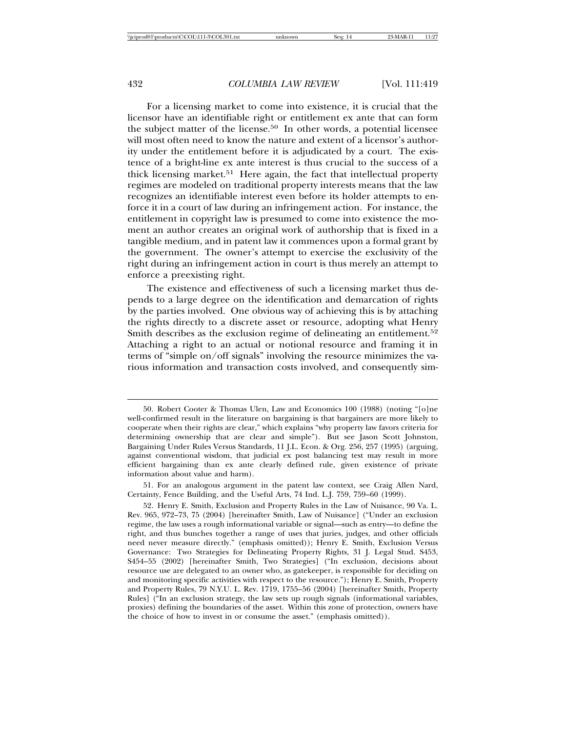For a licensing market to come into existence, it is crucial that the licensor have an identifiable right or entitlement ex ante that can form the subject matter of the license.50 In other words, a potential licensee will most often need to know the nature and extent of a licensor's authority under the entitlement before it is adjudicated by a court. The existence of a bright-line ex ante interest is thus crucial to the success of a thick licensing market.<sup>51</sup> Here again, the fact that intellectual property regimes are modeled on traditional property interests means that the law recognizes an identifiable interest even before its holder attempts to enforce it in a court of law during an infringement action. For instance, the entitlement in copyright law is presumed to come into existence the moment an author creates an original work of authorship that is fixed in a tangible medium, and in patent law it commences upon a formal grant by the government. The owner's attempt to exercise the exclusivity of the right during an infringement action in court is thus merely an attempt to enforce a preexisting right.

The existence and effectiveness of such a licensing market thus depends to a large degree on the identification and demarcation of rights by the parties involved. One obvious way of achieving this is by attaching the rights directly to a discrete asset or resource, adopting what Henry Smith describes as the exclusion regime of delineating an entitlement.<sup>52</sup> Attaching a right to an actual or notional resource and framing it in terms of "simple on/off signals" involving the resource minimizes the various information and transaction costs involved, and consequently sim-

51. For an analogous argument in the patent law context, see Craig Allen Nard, Certainty, Fence Building, and the Useful Arts, 74 Ind. L.J. 759, 759–60 (1999).

<sup>50.</sup> Robert Cooter & Thomas Ulen, Law and Economics 100 (1988) (noting "[o]ne well-confirmed result in the literature on bargaining is that bargainers are more likely to cooperate when their rights are clear," which explains "why property law favors criteria for determining ownership that are clear and simple"). But see Jason Scott Johnston, Bargaining Under Rules Versus Standards, 11 J.L. Econ. & Org. 256, 257 (1995) (arguing, against conventional wisdom, that judicial ex post balancing test may result in more efficient bargaining than ex ante clearly defined rule, given existence of private information about value and harm).

<sup>52.</sup> Henry E. Smith, Exclusion and Property Rules in the Law of Nuisance, 90 Va. L. Rev. 965, 972–73, 75 (2004) [hereinafter Smith, Law of Nuisance] ("Under an exclusion regime, the law uses a rough informational variable or signal—such as entry—to define the right, and thus bunches together a range of uses that juries, judges, and other officials need never measure directly." (emphasis omitted)); Henry E. Smith, Exclusion Versus Governance: Two Strategies for Delineating Property Rights, 31 J. Legal Stud. S453, S454–55 (2002) [hereinafter Smith, Two Strategies] ("In exclusion, decisions about resource use are delegated to an owner who, as gatekeeper, is responsible for deciding on and monitoring specific activities with respect to the resource."); Henry E. Smith, Property and Property Rules, 79 N.Y.U. L. Rev. 1719, 1755–56 (2004) [hereinafter Smith, Property Rules] ("In an exclusion strategy, the law sets up rough signals (informational variables, proxies) defining the boundaries of the asset. Within this zone of protection, owners have the choice of how to invest in or consume the asset." (emphasis omitted)).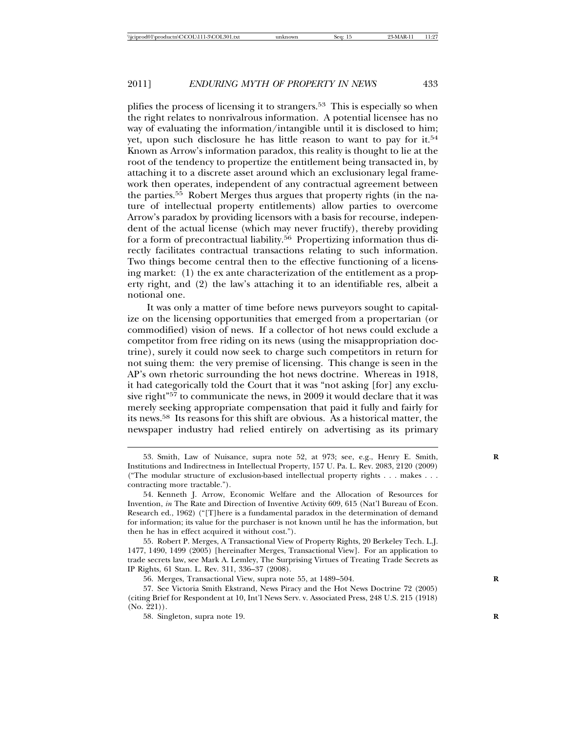plifies the process of licensing it to strangers.53 This is especially so when the right relates to nonrivalrous information. A potential licensee has no way of evaluating the information/intangible until it is disclosed to him; yet, upon such disclosure he has little reason to want to pay for it.<sup>54</sup> Known as Arrow's information paradox, this reality is thought to lie at the root of the tendency to propertize the entitlement being transacted in, by attaching it to a discrete asset around which an exclusionary legal framework then operates, independent of any contractual agreement between the parties.55 Robert Merges thus argues that property rights (in the nature of intellectual property entitlements) allow parties to overcome Arrow's paradox by providing licensors with a basis for recourse, independent of the actual license (which may never fructify), thereby providing for a form of precontractual liability.<sup>56</sup> Propertizing information thus directly facilitates contractual transactions relating to such information. Two things become central then to the effective functioning of a licensing market: (1) the ex ante characterization of the entitlement as a property right, and (2) the law's attaching it to an identifiable res, albeit a notional one.

It was only a matter of time before news purveyors sought to capitalize on the licensing opportunities that emerged from a propertarian (or commodified) vision of news. If a collector of hot news could exclude a competitor from free riding on its news (using the misappropriation doctrine), surely it could now seek to charge such competitors in return for not suing them: the very premise of licensing. This change is seen in the AP's own rhetoric surrounding the hot news doctrine. Whereas in 1918, it had categorically told the Court that it was "not asking [for] any exclusive right"<sup>57</sup> to communicate the news, in 2009 it would declare that it was merely seeking appropriate compensation that paid it fully and fairly for its news.58 Its reasons for this shift are obvious. As a historical matter, the newspaper industry had relied entirely on advertising as its primary

<sup>53.</sup> Smith, Law of Nuisance, supra note 52, at 973; see, e.g., Henry E. Smith, Institutions and Indirectness in Intellectual Property, 157 U. Pa. L. Rev. 2083, 2120 (2009) ("The modular structure of exclusion-based intellectual property rights . . . makes . . . contracting more tractable.").

<sup>54.</sup> Kenneth J. Arrow, Economic Welfare and the Allocation of Resources for Invention, *in* The Rate and Direction of Inventive Activity 609, 615 (Nat'l Bureau of Econ. Research ed., 1962) ("[T]here is a fundamental paradox in the determination of demand for information; its value for the purchaser is not known until he has the information, but then he has in effect acquired it without cost.").

<sup>55.</sup> Robert P. Merges, A Transactional View of Property Rights, 20 Berkeley Tech. L.J. 1477, 1490, 1499 (2005) [hereinafter Merges, Transactional View]. For an application to trade secrets law, see Mark A. Lemley, The Surprising Virtues of Treating Trade Secrets as IP Rights, 61 Stan. L. Rev. 311, 336–37 (2008).

<sup>56.</sup> Merges, Transactional View, supra note 55, at 1489–504. **R**

<sup>57.</sup> See Victoria Smith Ekstrand, News Piracy and the Hot News Doctrine 72 (2005) (citing Brief for Respondent at 10, Int'l News Serv. v. Associated Press, 248 U.S. 215 (1918) (No. 221)).

<sup>58.</sup> Singleton, supra note 19. **R**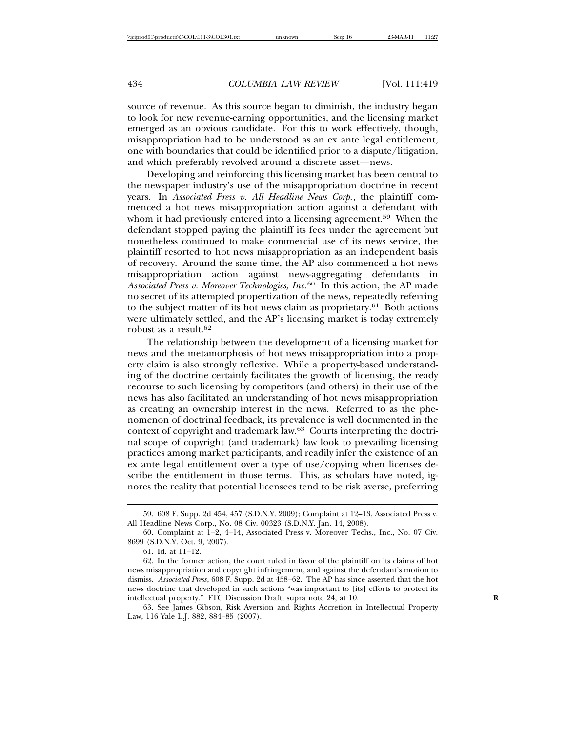source of revenue. As this source began to diminish, the industry began to look for new revenue-earning opportunities, and the licensing market emerged as an obvious candidate. For this to work effectively, though, misappropriation had to be understood as an ex ante legal entitlement, one with boundaries that could be identified prior to a dispute/litigation, and which preferably revolved around a discrete asset—news.

Developing and reinforcing this licensing market has been central to the newspaper industry's use of the misappropriation doctrine in recent years. In *Associated Press v. All Headline News Corp.*, the plaintiff commenced a hot news misappropriation action against a defendant with whom it had previously entered into a licensing agreement.<sup>59</sup> When the defendant stopped paying the plaintiff its fees under the agreement but nonetheless continued to make commercial use of its news service, the plaintiff resorted to hot news misappropriation as an independent basis of recovery. Around the same time, the AP also commenced a hot news misappropriation action against news-aggregating defendants in *Associated Press v. Moreover Technologies, Inc.*60 In this action, the AP made no secret of its attempted propertization of the news, repeatedly referring to the subject matter of its hot news claim as proprietary.<sup>61</sup> Both actions were ultimately settled, and the AP's licensing market is today extremely robust as a result.<sup>62</sup>

The relationship between the development of a licensing market for news and the metamorphosis of hot news misappropriation into a property claim is also strongly reflexive. While a property-based understanding of the doctrine certainly facilitates the growth of licensing, the ready recourse to such licensing by competitors (and others) in their use of the news has also facilitated an understanding of hot news misappropriation as creating an ownership interest in the news. Referred to as the phenomenon of doctrinal feedback, its prevalence is well documented in the context of copyright and trademark law.63 Courts interpreting the doctrinal scope of copyright (and trademark) law look to prevailing licensing practices among market participants, and readily infer the existence of an ex ante legal entitlement over a type of use/copying when licenses describe the entitlement in those terms. This, as scholars have noted, ignores the reality that potential licensees tend to be risk averse, preferring

<sup>59. 608</sup> F. Supp. 2d 454, 457 (S.D.N.Y. 2009); Complaint at 12–13, Associated Press v. All Headline News Corp., No. 08 Civ. 00323 (S.D.N.Y. Jan. 14, 2008).

<sup>60.</sup> Complaint at 1–2, 4–14, Associated Press v. Moreover Techs., Inc., No. 07 Civ. 8699 (S.D.N.Y. Oct. 9, 2007).

<sup>61.</sup> Id. at 11–12.

<sup>62.</sup> In the former action, the court ruled in favor of the plaintiff on its claims of hot news misappropriation and copyright infringement, and against the defendant's motion to dismiss. *Associated Press*, 608 F. Supp. 2d at 458–62. The AP has since asserted that the hot news doctrine that developed in such actions "was important to [its] efforts to protect its intellectual property." FTC Discussion Draft, supra note 24, at 10. **R**

<sup>63.</sup> See James Gibson, Risk Aversion and Rights Accretion in Intellectual Property Law, 116 Yale L.J. 882, 884–85 (2007).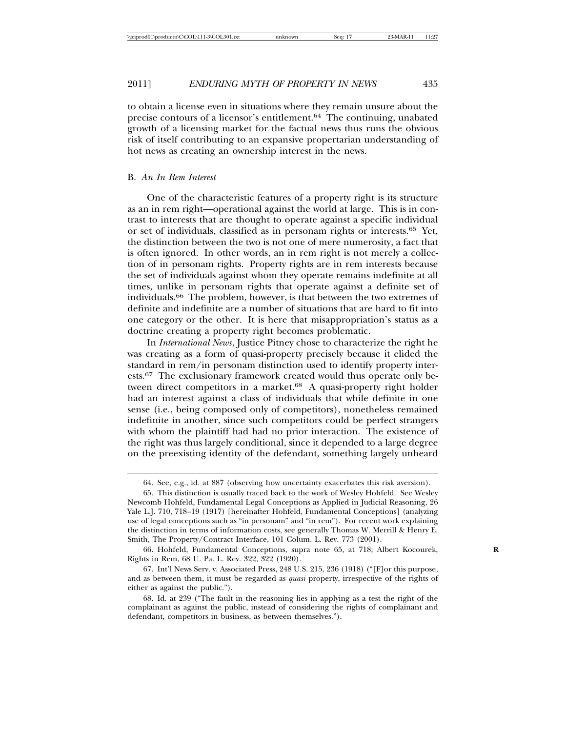to obtain a license even in situations where they remain unsure about the precise contours of a licensor's entitlement.64 The continuing, unabated growth of a licensing market for the factual news thus runs the obvious risk of itself contributing to an expansive propertarian understanding of hot news as creating an ownership interest in the news.

#### B. *An In Rem Interest*

One of the characteristic features of a property right is its structure as an in rem right—operational against the world at large. This is in contrast to interests that are thought to operate against a specific individual or set of individuals, classified as in personam rights or interests.65 Yet, the distinction between the two is not one of mere numerosity, a fact that is often ignored. In other words, an in rem right is not merely a collection of in personam rights. Property rights are in rem interests because the set of individuals against whom they operate remains indefinite at all times, unlike in personam rights that operate against a definite set of individuals.66 The problem, however, is that between the two extremes of definite and indefinite are a number of situations that are hard to fit into one category or the other. It is here that misappropriation's status as a doctrine creating a property right becomes problematic.

In *International News*, Justice Pitney chose to characterize the right he was creating as a form of quasi-property precisely because it elided the standard in rem/in personam distinction used to identify property interests.67 The exclusionary framework created would thus operate only between direct competitors in a market.<sup>68</sup> A quasi-property right holder had an interest against a class of individuals that while definite in one sense (i.e., being composed only of competitors), nonetheless remained indefinite in another, since such competitors could be perfect strangers with whom the plaintiff had had no prior interaction. The existence of the right was thus largely conditional, since it depended to a large degree on the preexisting identity of the defendant, something largely unheard

<sup>64.</sup> See, e.g., id. at 887 (observing how uncertainty exacerbates this risk aversion).

<sup>65.</sup> This distinction is usually traced back to the work of Wesley Hohfeld. See Wesley Newcomb Hohfeld, Fundamental Legal Conceptions as Applied in Judicial Reasoning, 26 Yale L.J. 710, 718–19 (1917) [hereinafter Hohfeld, Fundamental Conceptions] (analyzing use of legal conceptions such as "in personam" and "in rem"). For recent work explaining the distinction in terms of information costs, see generally Thomas W. Merrill & Henry E. Smith, The Property/Contract Interface, 101 Colum. L. Rev. 773 (2001).

<sup>66.</sup> Hohfeld, Fundamental Conceptions, supra note 65, at 718; Albert Kocourek, **R** Rights in Rem, 68 U. Pa. L. Rev. 322, 322 (1920).

<sup>67.</sup> Int'l News Serv. v. Associated Press, 248 U.S. 215, 236 (1918) ("[F]or this purpose, and as between them, it must be regarded as *quasi* property, irrespective of the rights of either as against the public.").

<sup>68.</sup> Id. at 239 ("The fault in the reasoning lies in applying as a test the right of the complainant as against the public, instead of considering the rights of complainant and defendant, competitors in business, as between themselves.").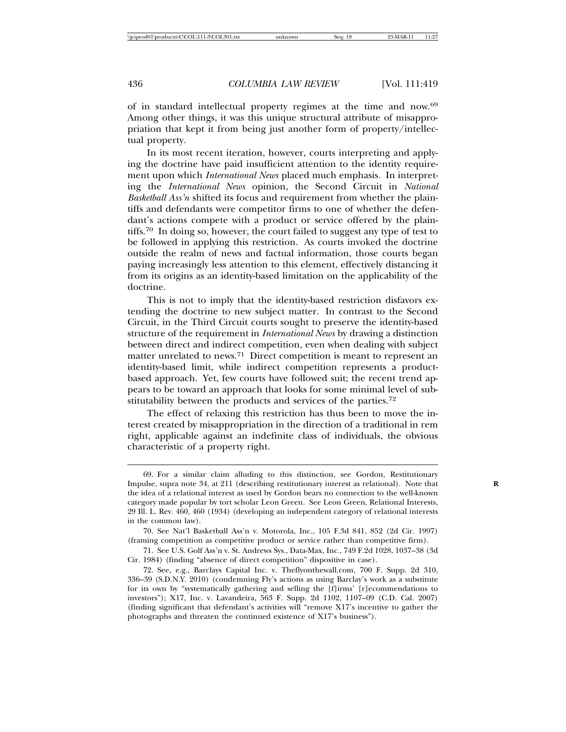of in standard intellectual property regimes at the time and now.<sup>69</sup> Among other things, it was this unique structural attribute of misappropriation that kept it from being just another form of property/intellectual property.

In its most recent iteration, however, courts interpreting and applying the doctrine have paid insufficient attention to the identity requirement upon which *International News* placed much emphasis. In interpreting the *International News* opinion, the Second Circuit in *National Basketball Ass'n* shifted its focus and requirement from whether the plaintiffs and defendants were competitor firms to one of whether the defendant's actions compete with a product or service offered by the plaintiffs.70 In doing so, however, the court failed to suggest any type of test to be followed in applying this restriction. As courts invoked the doctrine outside the realm of news and factual information, those courts began paying increasingly less attention to this element, effectively distancing it from its origins as an identity-based limitation on the applicability of the doctrine.

This is not to imply that the identity-based restriction disfavors extending the doctrine to new subject matter. In contrast to the Second Circuit, in the Third Circuit courts sought to preserve the identity-based structure of the requirement in *International News* by drawing a distinction between direct and indirect competition, even when dealing with subject matter unrelated to news.<sup>71</sup> Direct competition is meant to represent an identity-based limit, while indirect competition represents a productbased approach. Yet, few courts have followed suit; the recent trend appears to be toward an approach that looks for some minimal level of substitutability between the products and services of the parties.<sup>72</sup>

The effect of relaxing this restriction has thus been to move the interest created by misappropriation in the direction of a traditional in rem right, applicable against an indefinite class of individuals, the obvious characteristic of a property right.

<sup>69.</sup> For a similar claim alluding to this distinction, see Gordon, Restitutionary Impulse, supra note 34, at 211 (describing restitutionary interest as relational). Note that **R** the idea of a relational interest as used by Gordon bears no connection to the well-known category made popular by tort scholar Leon Green. See Leon Green, Relational Interests, 29 Ill. L. Rev. 460, 460 (1934) (developing an independent category of relational interests in the common law).

<sup>70.</sup> See Nat'l Basketball Ass'n v. Motorola, Inc., 105 F.3d 841, 852 (2d Cir. 1997) (framing competition as competitive product or service rather than competitive firm).

<sup>71.</sup> See U.S. Golf Ass'n v. St. Andrews Sys., Data-Max, Inc., 749 F.2d 1028, 1037–38 (3d Cir. 1984) (finding "absence of direct competition" dispositive in case).

<sup>72.</sup> See, e.g., Barclays Capital Inc. v. Theflyonthewall.com, 700 F. Supp. 2d 310, 336–39 (S.D.N.Y. 2010) (condemning Fly's actions as using Barclay's work as a substitute for its own by "systematically gathering and selling the [f]irms' [r]ecommendations to investors"); X17, Inc. v. Lavandeira, 563 F. Supp. 2d 1102, 1107–09 (C.D. Cal. 2007) (finding significant that defendant's activities will "remove X17's incentive to gather the photographs and threaten the continued existence of X17's business").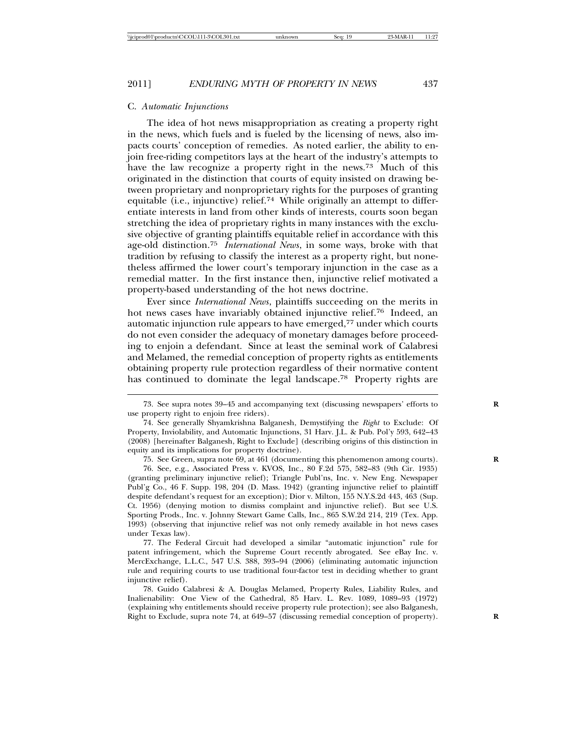#### 2011] *ENDURING MYTH OF PROPERTY IN NEWS* 437

#### C. *Automatic Injunctions*

The idea of hot news misappropriation as creating a property right in the news, which fuels and is fueled by the licensing of news, also impacts courts' conception of remedies. As noted earlier, the ability to enjoin free-riding competitors lays at the heart of the industry's attempts to have the law recognize a property right in the news.<sup>73</sup> Much of this originated in the distinction that courts of equity insisted on drawing between proprietary and nonproprietary rights for the purposes of granting equitable (i.e., injunctive) relief.<sup>74</sup> While originally an attempt to differentiate interests in land from other kinds of interests, courts soon began stretching the idea of proprietary rights in many instances with the exclusive objective of granting plaintiffs equitable relief in accordance with this age-old distinction.<sup>75</sup> *International News*, in some ways, broke with that tradition by refusing to classify the interest as a property right, but nonetheless affirmed the lower court's temporary injunction in the case as a remedial matter. In the first instance then, injunctive relief motivated a property-based understanding of the hot news doctrine.

Ever since *International News*, plaintiffs succeeding on the merits in hot news cases have invariably obtained injunctive relief.76 Indeed, an automatic injunction rule appears to have emerged,77 under which courts do not even consider the adequacy of monetary damages before proceeding to enjoin a defendant. Since at least the seminal work of Calabresi and Melamed, the remedial conception of property rights as entitlements obtaining property rule protection regardless of their normative content has continued to dominate the legal landscape.<sup>78</sup> Property rights are

<sup>73.</sup> See supra notes 39–45 and accompanying text (discussing newspapers' efforts to **R** use property right to enjoin free riders).

<sup>74.</sup> See generally Shyamkrishna Balganesh, Demystifying the *Right* to Exclude: Of Property, Inviolability, and Automatic Injunctions, 31 Harv. J.L. & Pub. Pol'y 593, 642–43 (2008) [hereinafter Balganesh, Right to Exclude] (describing origins of this distinction in equity and its implications for property doctrine).

<sup>75.</sup> See Green, supra note 69, at 461 (documenting this phenomenon among courts). **R**

<sup>76.</sup> See, e.g., Associated Press v. KVOS, Inc., 80 F.2d 575, 582–83 (9th Cir. 1935) (granting preliminary injunctive relief); Triangle Publ'ns, Inc. v. New Eng. Newspaper Publ'g Co., 46 F. Supp. 198, 204 (D. Mass. 1942) (granting injunctive relief to plaintiff despite defendant's request for an exception); Dior v. Milton, 155 N.Y.S.2d 443, 463 (Sup. Ct. 1956) (denying motion to dismiss complaint and injunctive relief). But see U.S. Sporting Prods., Inc. v. Johnny Stewart Game Calls, Inc., 865 S.W.2d 214, 219 (Tex. App. 1993) (observing that injunctive relief was not only remedy available in hot news cases under Texas law).

<sup>77.</sup> The Federal Circuit had developed a similar "automatic injunction" rule for patent infringement, which the Supreme Court recently abrogated. See eBay Inc. v. MercExchange, L.L.C., 547 U.S. 388, 393–94 (2006) (eliminating automatic injunction rule and requiring courts to use traditional four-factor test in deciding whether to grant injunctive relief).

<sup>78.</sup> Guido Calabresi & A. Douglas Melamed, Property Rules, Liability Rules, and Inalienability: One View of the Cathedral, 85 Harv. L. Rev. 1089, 1089–93 (1972) (explaining why entitlements should receive property rule protection); see also Balganesh, Right to Exclude, supra note 74, at 649–57 (discussing remedial conception of property). **R**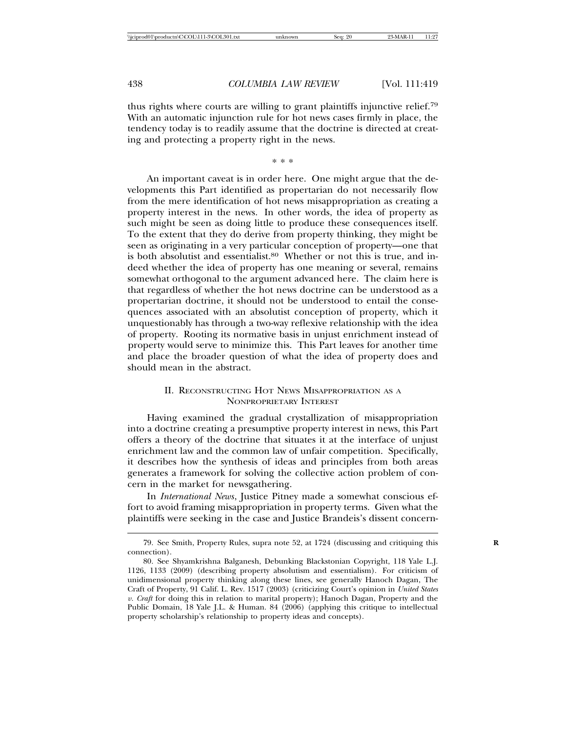thus rights where courts are willing to grant plaintiffs injunctive relief.<sup>79</sup> With an automatic injunction rule for hot news cases firmly in place, the tendency today is to readily assume that the doctrine is directed at creating and protecting a property right in the news.

\* \* \*

An important caveat is in order here. One might argue that the developments this Part identified as propertarian do not necessarily flow from the mere identification of hot news misappropriation as creating a property interest in the news. In other words, the idea of property as such might be seen as doing little to produce these consequences itself. To the extent that they do derive from property thinking, they might be seen as originating in a very particular conception of property—one that is both absolutist and essentialist.<sup>80</sup> Whether or not this is true, and indeed whether the idea of property has one meaning or several, remains somewhat orthogonal to the argument advanced here. The claim here is that regardless of whether the hot news doctrine can be understood as a propertarian doctrine, it should not be understood to entail the consequences associated with an absolutist conception of property, which it unquestionably has through a two-way reflexive relationship with the idea of property. Rooting its normative basis in unjust enrichment instead of property would serve to minimize this. This Part leaves for another time and place the broader question of what the idea of property does and should mean in the abstract.

#### II. RECONSTRUCTING HOT NEWS MISAPPROPRIATION AS A NONPROPRIETARY INTEREST

Having examined the gradual crystallization of misappropriation into a doctrine creating a presumptive property interest in news, this Part offers a theory of the doctrine that situates it at the interface of unjust enrichment law and the common law of unfair competition. Specifically, it describes how the synthesis of ideas and principles from both areas generates a framework for solving the collective action problem of concern in the market for newsgathering.

In *International News*, Justice Pitney made a somewhat conscious effort to avoid framing misappropriation in property terms. Given what the plaintiffs were seeking in the case and Justice Brandeis's dissent concern-

<sup>79.</sup> See Smith, Property Rules, supra note 52, at 1724 (discussing and critiquing this **R** connection).

<sup>80.</sup> See Shyamkrishna Balganesh, Debunking Blackstonian Copyright, 118 Yale L.J. 1126, 1133 (2009) (describing property absolutism and essentialism). For criticism of unidimensional property thinking along these lines, see generally Hanoch Dagan, The Craft of Property, 91 Calif. L. Rev. 1517 (2003) (criticizing Court's opinion in *United States v. Craft* for doing this in relation to marital property); Hanoch Dagan, Property and the Public Domain, 18 Yale J.L. & Human. 84 (2006) (applying this critique to intellectual property scholarship's relationship to property ideas and concepts).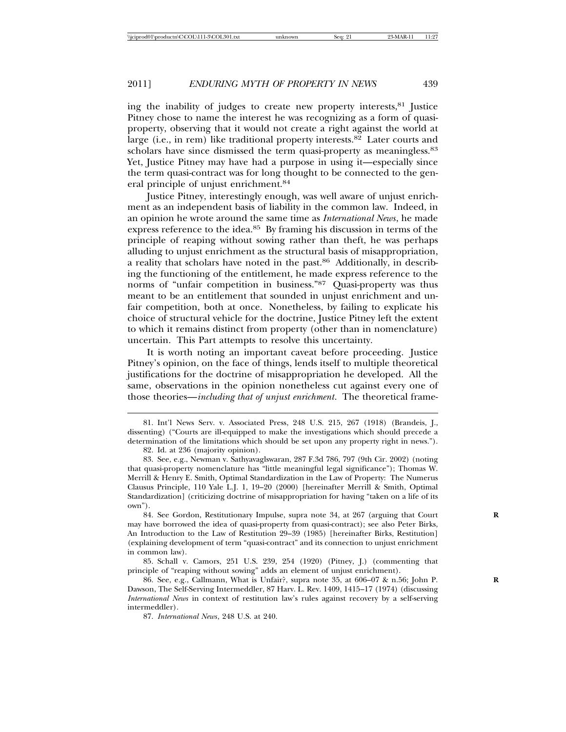ing the inability of judges to create new property interests,81 Justice Pitney chose to name the interest he was recognizing as a form of quasiproperty, observing that it would not create a right against the world at large (i.e., in rem) like traditional property interests. $82$  Later courts and scholars have since dismissed the term quasi-property as meaningless.<sup>83</sup> Yet, Justice Pitney may have had a purpose in using it—especially since the term quasi-contract was for long thought to be connected to the general principle of unjust enrichment.<sup>84</sup>

Justice Pitney, interestingly enough, was well aware of unjust enrichment as an independent basis of liability in the common law. Indeed, in an opinion he wrote around the same time as *International News*, he made express reference to the idea.<sup>85</sup> By framing his discussion in terms of the principle of reaping without sowing rather than theft, he was perhaps alluding to unjust enrichment as the structural basis of misappropriation, a reality that scholars have noted in the past.86 Additionally, in describing the functioning of the entitlement, he made express reference to the norms of "unfair competition in business."87 Quasi-property was thus meant to be an entitlement that sounded in unjust enrichment and unfair competition, both at once. Nonetheless, by failing to explicate his choice of structural vehicle for the doctrine, Justice Pitney left the extent to which it remains distinct from property (other than in nomenclature) uncertain. This Part attempts to resolve this uncertainty.

It is worth noting an important caveat before proceeding. Justice Pitney's opinion, on the face of things, lends itself to multiple theoretical justifications for the doctrine of misappropriation he developed. All the same, observations in the opinion nonetheless cut against every one of those theories—*including that of unjust enrichment*. The theoretical frame-

84. See Gordon, Restitutionary Impulse, supra note 34, at 267 (arguing that Court may have borrowed the idea of quasi-property from quasi-contract); see also Peter Birks, An Introduction to the Law of Restitution 29–39 (1985) [hereinafter Birks, Restitution] (explaining development of term "quasi-contract" and its connection to unjust enrichment in common law).

85. Schall v. Camors, 251 U.S. 239, 254 (1920) (Pitney, J.) (commenting that principle of "reaping without sowing" adds an element of unjust enrichment).

86. See, e.g., Callmann, What is Unfair?, supra note 35, at 606–07 & n.56; John P. **R** Dawson, The Self-Serving Intermeddler, 87 Harv. L. Rev. 1409, 1415–17 (1974) (discussing *International News* in context of restitution law's rules against recovery by a self-serving intermeddler).

87. *International News*, 248 U.S. at 240.

<sup>81.</sup> Int'l News Serv. v. Associated Press, 248 U.S. 215, 267 (1918) (Brandeis, J., dissenting) ("Courts are ill-equipped to make the investigations which should precede a determination of the limitations which should be set upon any property right in news.").

<sup>82.</sup> Id. at 236 (majority opinion).

<sup>83.</sup> See, e.g., Newman v. Sathyavaglswaran, 287 F.3d 786, 797 (9th Cir. 2002) (noting that quasi-property nomenclature has "little meaningful legal significance"); Thomas W. Merrill & Henry E. Smith, Optimal Standardization in the Law of Property: The Numerus Clausus Principle, 110 Yale L.J. 1, 19–20 (2000) [hereinafter Merrill & Smith, Optimal Standardization] (criticizing doctrine of misappropriation for having "taken on a life of its own").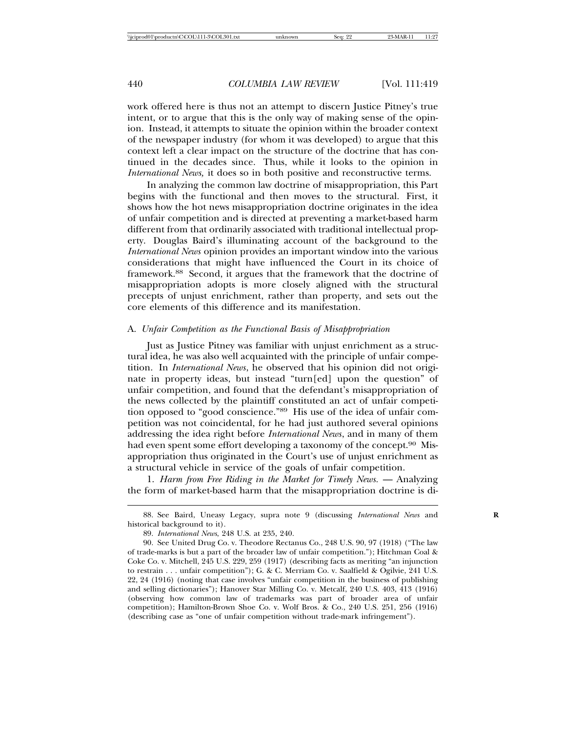work offered here is thus not an attempt to discern Justice Pitney's true intent, or to argue that this is the only way of making sense of the opinion. Instead, it attempts to situate the opinion within the broader context of the newspaper industry (for whom it was developed) to argue that this context left a clear impact on the structure of the doctrine that has continued in the decades since. Thus, while it looks to the opinion in *International News,* it does so in both positive and reconstructive terms.

In analyzing the common law doctrine of misappropriation, this Part begins with the functional and then moves to the structural. First, it shows how the hot news misappropriation doctrine originates in the idea of unfair competition and is directed at preventing a market-based harm different from that ordinarily associated with traditional intellectual property. Douglas Baird's illuminating account of the background to the *International News* opinion provides an important window into the various considerations that might have influenced the Court in its choice of framework.88 Second, it argues that the framework that the doctrine of misappropriation adopts is more closely aligned with the structural precepts of unjust enrichment, rather than property, and sets out the core elements of this difference and its manifestation.

#### A. *Unfair Competition as the Functional Basis of Misappropriation*

Just as Justice Pitney was familiar with unjust enrichment as a structural idea, he was also well acquainted with the principle of unfair competition. In *International News*, he observed that his opinion did not originate in property ideas, but instead "turn[ed] upon the question" of unfair competition, and found that the defendant's misappropriation of the news collected by the plaintiff constituted an act of unfair competition opposed to "good conscience."89 His use of the idea of unfair competition was not coincidental, for he had just authored several opinions addressing the idea right before *International News*, and in many of them had even spent some effort developing a taxonomy of the concept.<sup>90</sup> Misappropriation thus originated in the Court's use of unjust enrichment as a structural vehicle in service of the goals of unfair competition.

1. *Harm from Free Riding in the Market for Timely News.* — Analyzing the form of market-based harm that the misappropriation doctrine is di-

<sup>88.</sup> See Baird, Uneasy Legacy, supra note 9 (discussing *International News* and historical background to it).

<sup>89.</sup> *International News*, 248 U.S. at 235, 240.

<sup>90.</sup> See United Drug Co. v. Theodore Rectanus Co., 248 U.S. 90, 97 (1918) ("The law of trade-marks is but a part of the broader law of unfair competition."); Hitchman Coal & Coke Co. v. Mitchell, 245 U.S. 229, 259 (1917) (describing facts as meriting "an injunction to restrain . . . unfair competition"); G. & C. Merriam Co. v. Saalfield & Ogilvie, 241 U.S. 22, 24 (1916) (noting that case involves "unfair competition in the business of publishing and selling dictionaries"); Hanover Star Milling Co. v. Metcalf, 240 U.S. 403, 413 (1916) (observing how common law of trademarks was part of broader area of unfair competition); Hamilton-Brown Shoe Co. v. Wolf Bros. & Co., 240 U.S. 251, 256 (1916) (describing case as "one of unfair competition without trade-mark infringement").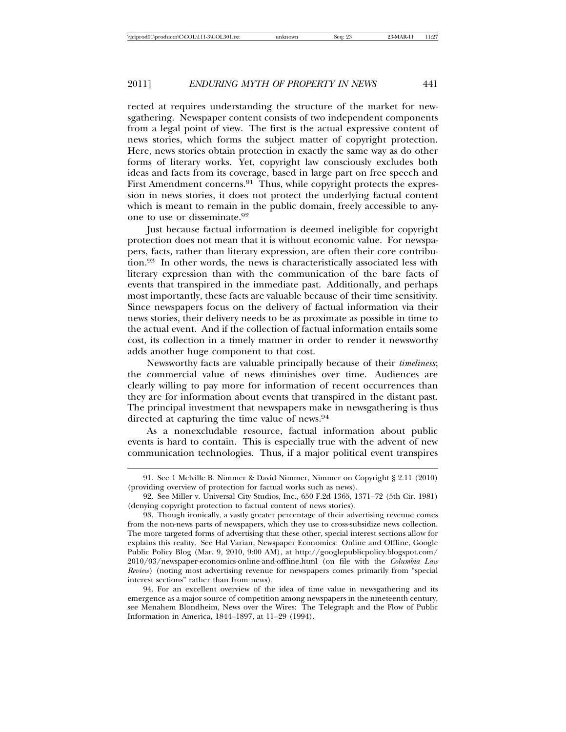rected at requires understanding the structure of the market for newsgathering. Newspaper content consists of two independent components from a legal point of view. The first is the actual expressive content of news stories, which forms the subject matter of copyright protection. Here, news stories obtain protection in exactly the same way as do other forms of literary works. Yet, copyright law consciously excludes both ideas and facts from its coverage, based in large part on free speech and First Amendment concerns.<sup>91</sup> Thus, while copyright protects the expression in news stories, it does not protect the underlying factual content which is meant to remain in the public domain, freely accessible to anyone to use or disseminate.<sup>92</sup>

Just because factual information is deemed ineligible for copyright protection does not mean that it is without economic value. For newspapers, facts, rather than literary expression, are often their core contribution.93 In other words, the news is characteristically associated less with literary expression than with the communication of the bare facts of events that transpired in the immediate past. Additionally, and perhaps most importantly, these facts are valuable because of their time sensitivity. Since newspapers focus on the delivery of factual information via their news stories, their delivery needs to be as proximate as possible in time to the actual event. And if the collection of factual information entails some cost, its collection in a timely manner in order to render it newsworthy adds another huge component to that cost.

Newsworthy facts are valuable principally because of their *timeliness*; the commercial value of news diminishes over time. Audiences are clearly willing to pay more for information of recent occurrences than they are for information about events that transpired in the distant past. The principal investment that newspapers make in newsgathering is thus directed at capturing the time value of news.<sup>94</sup>

As a nonexcludable resource, factual information about public events is hard to contain. This is especially true with the advent of new communication technologies. Thus, if a major political event transpires

94. For an excellent overview of the idea of time value in newsgathering and its emergence as a major source of competition among newspapers in the nineteenth century, see Menahem Blondheim, News over the Wires: The Telegraph and the Flow of Public Information in America, 1844–1897, at 11–29 (1994).

<sup>91.</sup> See 1 Melville B. Nimmer & David Nimmer, Nimmer on Copyright § 2.11 (2010) (providing overview of protection for factual works such as news).

<sup>92.</sup> See Miller v. Universal City Studios, Inc., 650 F.2d 1365, 1371–72 (5th Cir. 1981) (denying copyright protection to factual content of news stories).

<sup>93.</sup> Though ironically, a vastly greater percentage of their advertising revenue comes from the non-news parts of newspapers, which they use to cross-subsidize news collection. The more targeted forms of advertising that these other, special interest sections allow for explains this reality. See Hal Varian, Newspaper Economics: Online and Offline, Google Public Policy Blog (Mar. 9, 2010, 9:00 AM), at http://googlepublicpolicy.blogspot.com/ 2010/03/newspaper-economics-online-and-offline.html (on file with the *Columbia Law Review*) (noting most advertising revenue for newspapers comes primarily from "special interest sections" rather than from news).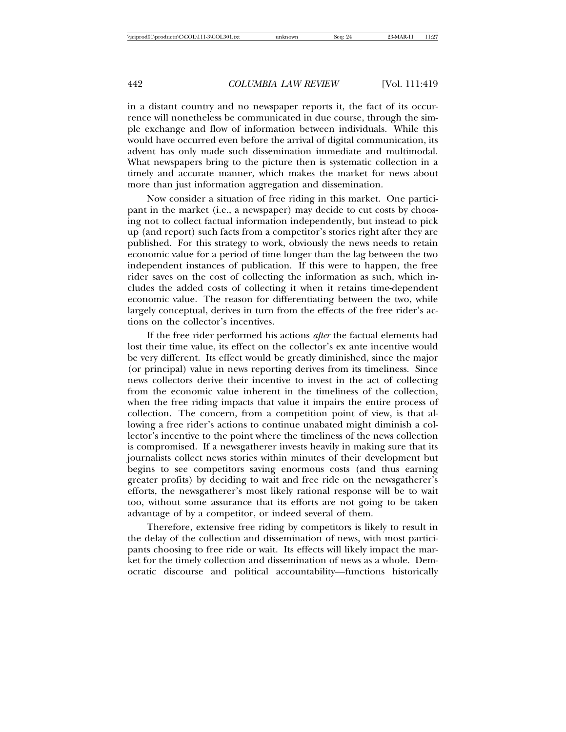in a distant country and no newspaper reports it, the fact of its occurrence will nonetheless be communicated in due course, through the simple exchange and flow of information between individuals. While this would have occurred even before the arrival of digital communication, its advent has only made such dissemination immediate and multimodal. What newspapers bring to the picture then is systematic collection in a timely and accurate manner, which makes the market for news about more than just information aggregation and dissemination.

Now consider a situation of free riding in this market. One participant in the market (i.e., a newspaper) may decide to cut costs by choosing not to collect factual information independently, but instead to pick up (and report) such facts from a competitor's stories right after they are published. For this strategy to work, obviously the news needs to retain economic value for a period of time longer than the lag between the two independent instances of publication. If this were to happen, the free rider saves on the cost of collecting the information as such, which includes the added costs of collecting it when it retains time-dependent economic value. The reason for differentiating between the two, while largely conceptual, derives in turn from the effects of the free rider's actions on the collector's incentives.

If the free rider performed his actions *after* the factual elements had lost their time value, its effect on the collector's ex ante incentive would be very different. Its effect would be greatly diminished, since the major (or principal) value in news reporting derives from its timeliness. Since news collectors derive their incentive to invest in the act of collecting from the economic value inherent in the timeliness of the collection, when the free riding impacts that value it impairs the entire process of collection. The concern, from a competition point of view, is that allowing a free rider's actions to continue unabated might diminish a collector's incentive to the point where the timeliness of the news collection is compromised. If a newsgatherer invests heavily in making sure that its journalists collect news stories within minutes of their development but begins to see competitors saving enormous costs (and thus earning greater profits) by deciding to wait and free ride on the newsgatherer's efforts, the newsgatherer's most likely rational response will be to wait too, without some assurance that its efforts are not going to be taken advantage of by a competitor, or indeed several of them.

Therefore, extensive free riding by competitors is likely to result in the delay of the collection and dissemination of news, with most participants choosing to free ride or wait. Its effects will likely impact the market for the timely collection and dissemination of news as a whole. Democratic discourse and political accountability—functions historically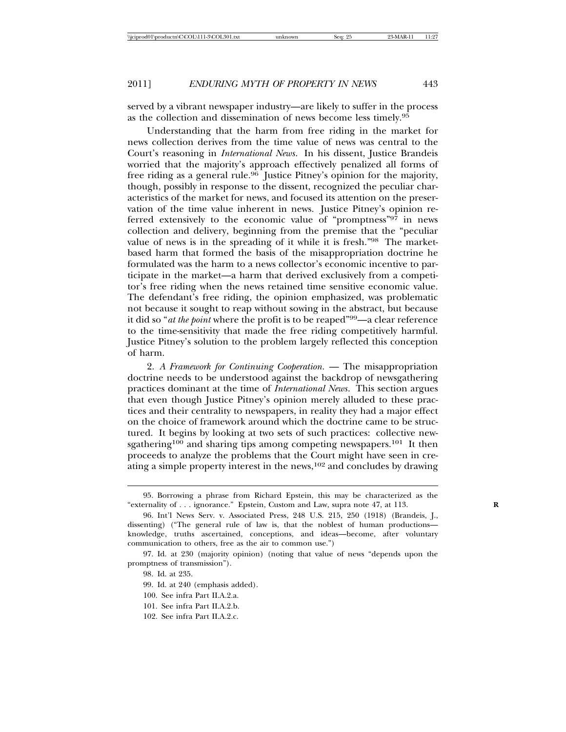served by a vibrant newspaper industry—are likely to suffer in the process as the collection and dissemination of news become less timely.<sup>95</sup>

Understanding that the harm from free riding in the market for news collection derives from the time value of news was central to the Court's reasoning in *International News*. In his dissent, Justice Brandeis worried that the majority's approach effectively penalized all forms of free riding as a general rule.<sup>96</sup> Justice Pitney's opinion for the majority, though, possibly in response to the dissent, recognized the peculiar characteristics of the market for news, and focused its attention on the preservation of the time value inherent in news. Justice Pitney's opinion referred extensively to the economic value of "promptness" $9^{7}$  in news collection and delivery, beginning from the premise that the "peculiar value of news is in the spreading of it while it is fresh."98 The marketbased harm that formed the basis of the misappropriation doctrine he formulated was the harm to a news collector's economic incentive to participate in the market—a harm that derived exclusively from a competitor's free riding when the news retained time sensitive economic value. The defendant's free riding, the opinion emphasized, was problematic not because it sought to reap without sowing in the abstract, but because it did so "*at the point* where the profit is to be reaped"99—a clear reference to the time-sensitivity that made the free riding competitively harmful. Justice Pitney's solution to the problem largely reflected this conception of harm.

2. *A Framework for Continuing Cooperation.* — The misappropriation doctrine needs to be understood against the backdrop of newsgathering practices dominant at the time of *International News*. This section argues that even though Justice Pitney's opinion merely alluded to these practices and their centrality to newspapers, in reality they had a major effect on the choice of framework around which the doctrine came to be structured. It begins by looking at two sets of such practices: collective newsgathering<sup>100</sup> and sharing tips among competing newspapers.<sup>101</sup> It then proceeds to analyze the problems that the Court might have seen in creating a simple property interest in the news,  $102$  and concludes by drawing

- 100. See infra Part II.A.2.a.
- 101. See infra Part II.A.2.b.
- 102. See infra Part II.A.2.c.

<sup>95.</sup> Borrowing a phrase from Richard Epstein, this may be characterized as the "externality of . . . ignorance." Epstein, Custom and Law, supra note 47, at 113. **R**

<sup>96.</sup> Int'l News Serv. v. Associated Press, 248 U.S. 215, 250 (1918) (Brandeis, J., dissenting) ("The general rule of law is, that the noblest of human productions knowledge, truths ascertained, conceptions, and ideas—become, after voluntary communication to others, free as the air to common use.")

<sup>97.</sup> Id. at 230 (majority opinion) (noting that value of news "depends upon the promptness of transmission").

<sup>98.</sup> Id. at 235.

<sup>99.</sup> Id. at 240 (emphasis added).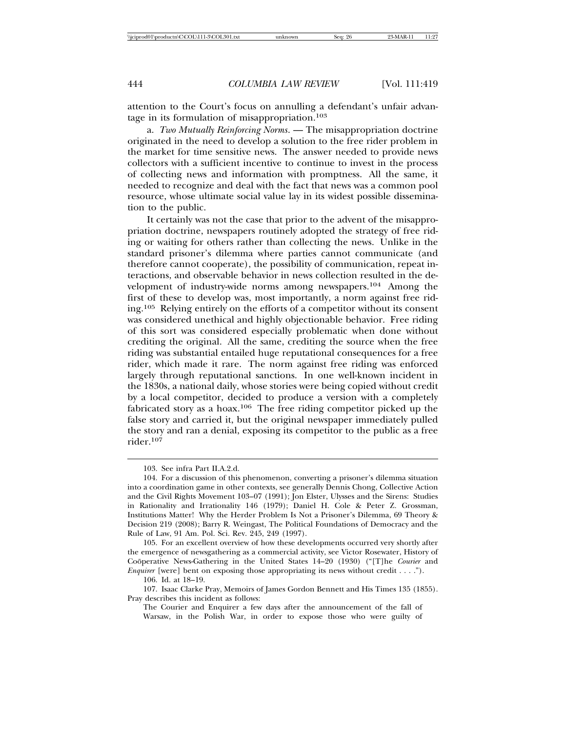attention to the Court's focus on annulling a defendant's unfair advantage in its formulation of misappropriation.<sup>103</sup>

a. *Two Mutually Reinforcing Norms*. — The misappropriation doctrine originated in the need to develop a solution to the free rider problem in the market for time sensitive news. The answer needed to provide news collectors with a sufficient incentive to continue to invest in the process of collecting news and information with promptness. All the same, it needed to recognize and deal with the fact that news was a common pool resource, whose ultimate social value lay in its widest possible dissemination to the public.

It certainly was not the case that prior to the advent of the misappropriation doctrine, newspapers routinely adopted the strategy of free riding or waiting for others rather than collecting the news. Unlike in the standard prisoner's dilemma where parties cannot communicate (and therefore cannot cooperate), the possibility of communication, repeat interactions, and observable behavior in news collection resulted in the development of industry-wide norms among newspapers.104 Among the first of these to develop was, most importantly, a norm against free riding.105 Relying entirely on the efforts of a competitor without its consent was considered unethical and highly objectionable behavior. Free riding of this sort was considered especially problematic when done without crediting the original. All the same, crediting the source when the free riding was substantial entailed huge reputational consequences for a free rider, which made it rare. The norm against free riding was enforced largely through reputational sanctions. In one well-known incident in the 1830s, a national daily, whose stories were being copied without credit by a local competitor, decided to produce a version with a completely fabricated story as a hoax.<sup>106</sup> The free riding competitor picked up the false story and carried it, but the original newspaper immediately pulled the story and ran a denial, exposing its competitor to the public as a free rider.<sup>107</sup>

105. For an excellent overview of how these developments occurred very shortly after the emergence of newsgathering as a commercial activity, see Victor Rosewater, History of Cooperative News-Gathering in the United States 14-20 (1930) ("[T]he *Courier* and *Enquirer* [were] bent on exposing those appropriating its news without credit . . . .").

106. Id. at 18–19.

<sup>103.</sup> See infra Part II.A.2.d.

<sup>104.</sup> For a discussion of this phenomenon, converting a prisoner's dilemma situation into a coordination game in other contexts, see generally Dennis Chong, Collective Action and the Civil Rights Movement 103–07 (1991); Jon Elster, Ulysses and the Sirens: Studies in Rationality and Irrationality 146 (1979); Daniel H. Cole & Peter Z. Grossman, Institutions Matter! Why the Herder Problem Is Not a Prisoner's Dilemma, 69 Theory & Decision 219 (2008); Barry R. Weingast, The Political Foundations of Democracy and the Rule of Law, 91 Am. Pol. Sci. Rev. 245, 249 (1997).

<sup>107.</sup> Isaac Clarke Pray, Memoirs of James Gordon Bennett and His Times 135 (1855). Pray describes this incident as follows:

The Courier and Enquirer a few days after the announcement of the fall of Warsaw, in the Polish War, in order to expose those who were guilty of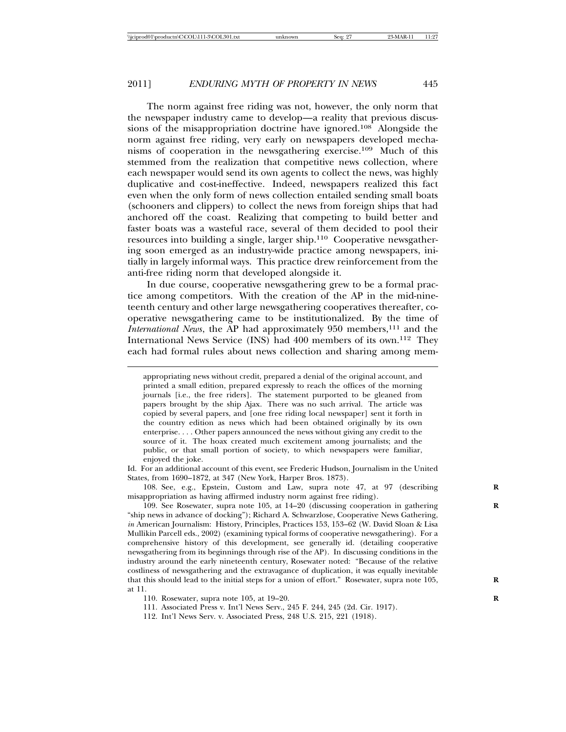The norm against free riding was not, however, the only norm that the newspaper industry came to develop—a reality that previous discussions of the misappropriation doctrine have ignored.108 Alongside the norm against free riding, very early on newspapers developed mechanisms of cooperation in the newsgathering exercise.109 Much of this stemmed from the realization that competitive news collection, where each newspaper would send its own agents to collect the news, was highly duplicative and cost-ineffective. Indeed, newspapers realized this fact even when the only form of news collection entailed sending small boats (schooners and clippers) to collect the news from foreign ships that had anchored off the coast. Realizing that competing to build better and faster boats was a wasteful race, several of them decided to pool their resources into building a single, larger ship.110 Cooperative newsgathering soon emerged as an industry-wide practice among newspapers, initially in largely informal ways. This practice drew reinforcement from the anti-free riding norm that developed alongside it.

In due course, cooperative newsgathering grew to be a formal practice among competitors. With the creation of the AP in the mid-nineteenth century and other large newsgathering cooperatives thereafter, cooperative newsgathering came to be institutionalized. By the time of *International News*, the AP had approximately 950 members,<sup>111</sup> and the International News Service (INS) had 400 members of its own.112 They each had formal rules about news collection and sharing among mem-

appropriating news without credit, prepared a denial of the original account, and printed a small edition, prepared expressly to reach the offices of the morning journals [i.e., the free riders]. The statement purported to be gleaned from papers brought by the ship Ajax. There was no such arrival. The article was copied by several papers, and [one free riding local newspaper] sent it forth in the country edition as news which had been obtained originally by its own enterprise. . . . Other papers announced the news without giving any credit to the source of it. The hoax created much excitement among journalists; and the public, or that small portion of society, to which newspapers were familiar, enjoyed the joke.

Id. For an additional account of this event, see Frederic Hudson, Journalism in the United States, from 1690–1872, at 347 (New York, Harper Bros. 1873).

108. See, e.g., Epstein, Custom and Law, supra note 47, at 97 (describing misappropriation as having affirmed industry norm against free riding).

109. See Rosewater, supra note 105, at 14–20 (discussing cooperation in gathering **R** "ship news in advance of docking"); Richard A. Schwarzlose, Cooperative News Gathering, *in* American Journalism: History, Principles, Practices 153, 153–62 (W. David Sloan & Lisa Mullikin Parcell eds., 2002) (examining typical forms of cooperative newsgathering). For a comprehensive history of this development, see generally id. (detailing cooperative newsgathering from its beginnings through rise of the AP). In discussing conditions in the industry around the early nineteenth century, Rosewater noted: "Because of the relative costliness of newsgathering and the extravagance of duplication, it was equally inevitable that this should lead to the initial steps for a union of effort." Rosewater, supra note 105, **R** at 11.

110. Rosewater, supra note 105, at 19–20. **R**

111. Associated Press v. Int'l News Serv., 245 F. 244, 245 (2d. Cir. 1917).

112. Int'l News Serv. v. Associated Press, 248 U.S. 215, 221 (1918).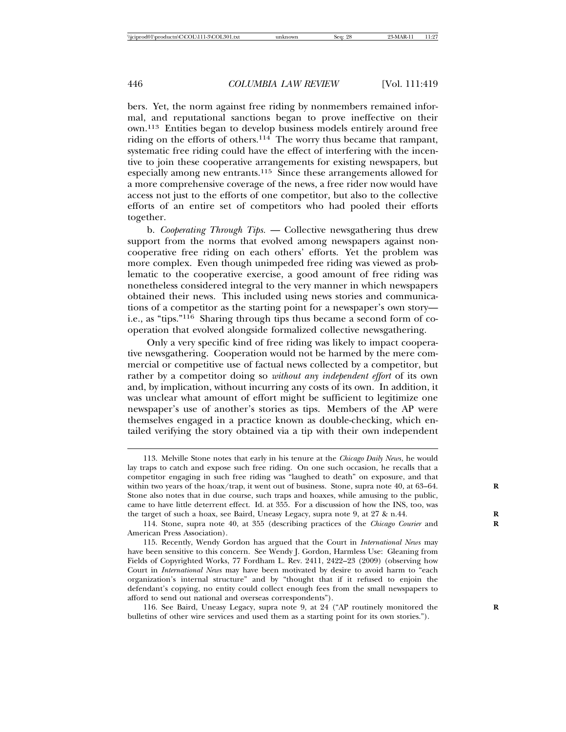bers. Yet, the norm against free riding by nonmembers remained informal, and reputational sanctions began to prove ineffective on their own.113 Entities began to develop business models entirely around free riding on the efforts of others.114 The worry thus became that rampant, systematic free riding could have the effect of interfering with the incentive to join these cooperative arrangements for existing newspapers, but especially among new entrants.115 Since these arrangements allowed for a more comprehensive coverage of the news, a free rider now would have access not just to the efforts of one competitor, but also to the collective efforts of an entire set of competitors who had pooled their efforts together.

b. *Cooperating Through Tips.* — Collective newsgathering thus drew support from the norms that evolved among newspapers against noncooperative free riding on each others' efforts. Yet the problem was more complex. Even though unimpeded free riding was viewed as problematic to the cooperative exercise, a good amount of free riding was nonetheless considered integral to the very manner in which newspapers obtained their news. This included using news stories and communications of a competitor as the starting point for a newspaper's own story i.e., as "tips."116 Sharing through tips thus became a second form of cooperation that evolved alongside formalized collective newsgathering.

Only a very specific kind of free riding was likely to impact cooperative newsgathering. Cooperation would not be harmed by the mere commercial or competitive use of factual news collected by a competitor, but rather by a competitor doing so *without any independent effort* of its own and, by implication, without incurring any costs of its own. In addition, it was unclear what amount of effort might be sufficient to legitimize one newspaper's use of another's stories as tips. Members of the AP were themselves engaged in a practice known as double-checking, which entailed verifying the story obtained via a tip with their own independent

<sup>113.</sup> Melville Stone notes that early in his tenure at the *Chicago Daily News*, he would lay traps to catch and expose such free riding. On one such occasion, he recalls that a competitor engaging in such free riding was "laughed to death" on exposure, and that within two years of the hoax/trap, it went out of business. Stone, supra note 40, at 63–64. Stone also notes that in due course, such traps and hoaxes, while amusing to the public, came to have little deterrent effect. Id. at 355. For a discussion of how the INS, too, was the target of such a hoax, see Baird, Uneasy Legacy, supra note 9, at 27 & n.44. **R**

<sup>114.</sup> Stone, supra note 40, at 355 (describing practices of the *Chicago Courier* and **R** American Press Association).

<sup>115.</sup> Recently, Wendy Gordon has argued that the Court in *International News* may have been sensitive to this concern. See Wendy J. Gordon, Harmless Use: Gleaning from Fields of Copyrighted Works, 77 Fordham L. Rev. 2411, 2422–23 (2009) (observing how Court in *International News* may have been motivated by desire to avoid harm to "each organization's internal structure" and by "thought that if it refused to enjoin the defendant's copying, no entity could collect enough fees from the small newspapers to afford to send out national and overseas correspondents").

<sup>116.</sup> See Baird, Uneasy Legacy, supra note 9, at 24 ("AP routinely monitored the **R** bulletins of other wire services and used them as a starting point for its own stories.").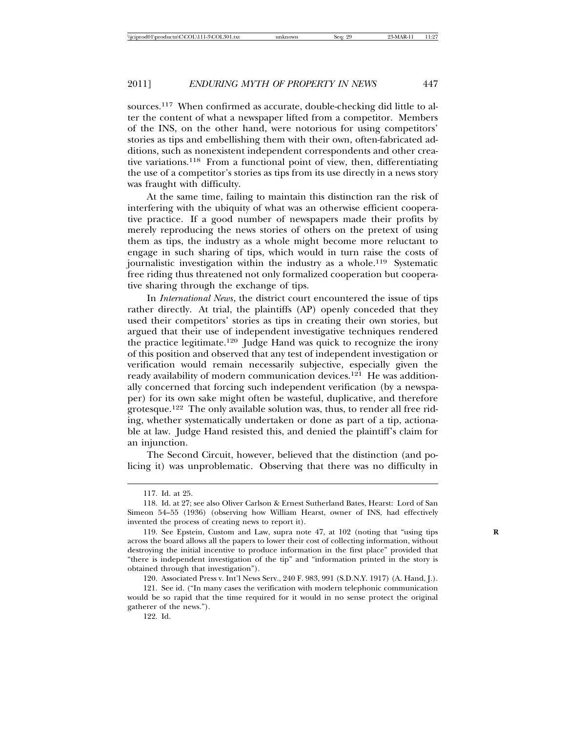sources.117 When confirmed as accurate, double-checking did little to alter the content of what a newspaper lifted from a competitor. Members of the INS, on the other hand, were notorious for using competitors' stories as tips and embellishing them with their own, often-fabricated additions, such as nonexistent independent correspondents and other creative variations.118 From a functional point of view, then, differentiating the use of a competitor's stories as tips from its use directly in a news story was fraught with difficulty.

At the same time, failing to maintain this distinction ran the risk of interfering with the ubiquity of what was an otherwise efficient cooperative practice. If a good number of newspapers made their profits by merely reproducing the news stories of others on the pretext of using them as tips, the industry as a whole might become more reluctant to engage in such sharing of tips, which would in turn raise the costs of journalistic investigation within the industry as a whole.119 Systematic free riding thus threatened not only formalized cooperation but cooperative sharing through the exchange of tips.

In *International News*, the district court encountered the issue of tips rather directly. At trial, the plaintiffs (AP) openly conceded that they used their competitors' stories as tips in creating their own stories, but argued that their use of independent investigative techniques rendered the practice legitimate.<sup>120</sup> Judge Hand was quick to recognize the irony of this position and observed that any test of independent investigation or verification would remain necessarily subjective, especially given the ready availability of modern communication devices.<sup>121</sup> He was additionally concerned that forcing such independent verification (by a newspaper) for its own sake might often be wasteful, duplicative, and therefore grotesque.122 The only available solution was, thus, to render all free riding, whether systematically undertaken or done as part of a tip, actionable at law. Judge Hand resisted this, and denied the plaintiff's claim for an injunction.

The Second Circuit, however, believed that the distinction (and policing it) was unproblematic. Observing that there was no difficulty in

120. Associated Press v. Int'l News Serv., 240 F. 983, 991 (S.D.N.Y. 1917) (A. Hand, J.).

122. Id.

<sup>117.</sup> Id. at 25.

<sup>118.</sup> Id. at 27; see also Oliver Carlson & Ernest Sutherland Bates, Hearst: Lord of San Simeon 54–55 (1936) (observing how William Hearst, owner of INS, had effectively invented the process of creating news to report it).

<sup>119.</sup> See Epstein, Custom and Law, supra note 47, at 102 (noting that "using tips **R** across the board allows all the papers to lower their cost of collecting information, without destroying the initial incentive to produce information in the first place" provided that "there is independent investigation of the tip" and "information printed in the story is obtained through that investigation").

<sup>121.</sup> See id. ("In many cases the verification with modern telephonic communication would be so rapid that the time required for it would in no sense protect the original gatherer of the news.").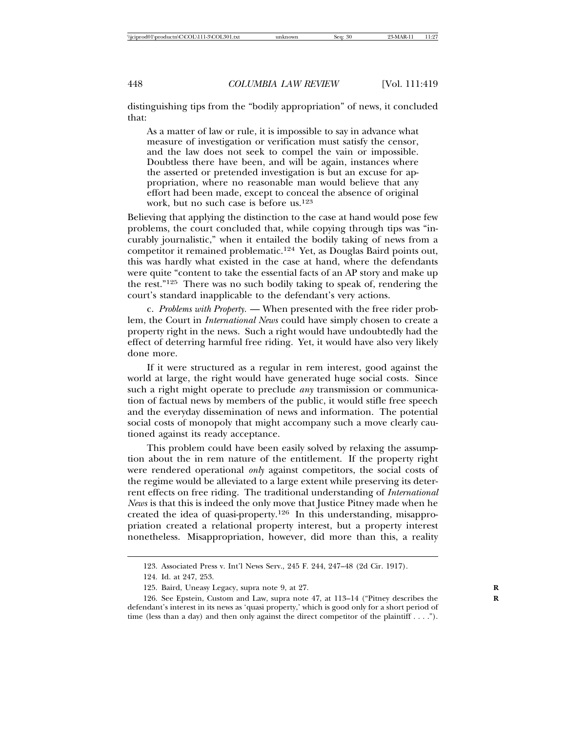distinguishing tips from the "bodily appropriation" of news, it concluded that:

As a matter of law or rule, it is impossible to say in advance what measure of investigation or verification must satisfy the censor, and the law does not seek to compel the vain or impossible. Doubtless there have been, and will be again, instances where the asserted or pretended investigation is but an excuse for appropriation, where no reasonable man would believe that any effort had been made, except to conceal the absence of original work, but no such case is before us.<sup>123</sup>

Believing that applying the distinction to the case at hand would pose few problems, the court concluded that, while copying through tips was "incurably journalistic," when it entailed the bodily taking of news from a competitor it remained problematic.124 Yet, as Douglas Baird points out, this was hardly what existed in the case at hand, where the defendants were quite "content to take the essential facts of an AP story and make up the rest."125 There was no such bodily taking to speak of, rendering the court's standard inapplicable to the defendant's very actions.

c. *Problems with Property.* — When presented with the free rider problem, the Court in *International News* could have simply chosen to create a property right in the news. Such a right would have undoubtedly had the effect of deterring harmful free riding. Yet, it would have also very likely done more.

If it were structured as a regular in rem interest, good against the world at large, the right would have generated huge social costs. Since such a right might operate to preclude *any* transmission or communication of factual news by members of the public, it would stifle free speech and the everyday dissemination of news and information. The potential social costs of monopoly that might accompany such a move clearly cautioned against its ready acceptance.

This problem could have been easily solved by relaxing the assumption about the in rem nature of the entitlement. If the property right were rendered operational *only* against competitors, the social costs of the regime would be alleviated to a large extent while preserving its deterrent effects on free riding. The traditional understanding of *International News* is that this is indeed the only move that Justice Pitney made when he created the idea of quasi-property.126 In this understanding, misappropriation created a relational property interest, but a property interest nonetheless. Misappropriation, however, did more than this, a reality

<sup>123.</sup> Associated Press v. Int'l News Serv., 245 F. 244, 247–48 (2d Cir. 1917).

<sup>124.</sup> Id. at 247, 253.

<sup>125.</sup> Baird, Uneasy Legacy, supra note 9, at 27. **R**

<sup>126.</sup> See Epstein, Custom and Law, supra note 47, at 113-14 ("Pitney describes the defendant's interest in its news as 'quasi property,' which is good only for a short period of time (less than a day) and then only against the direct competitor of the plaintiff . . . .").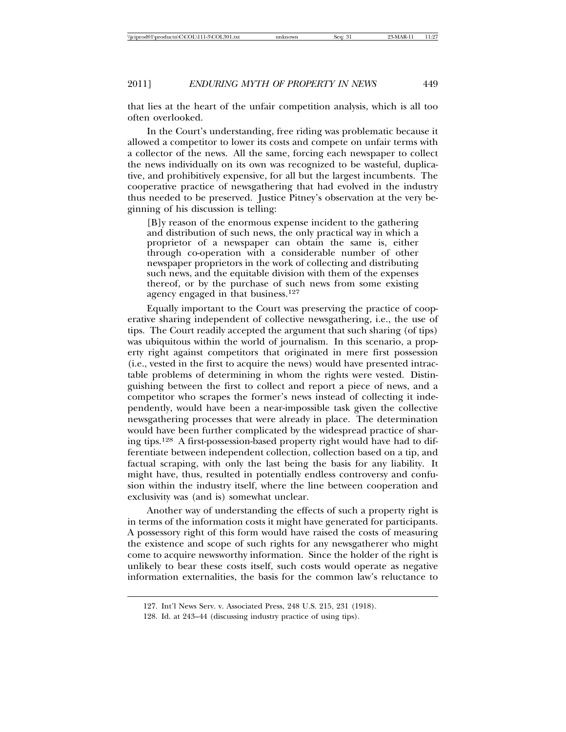that lies at the heart of the unfair competition analysis, which is all too often overlooked.

In the Court's understanding, free riding was problematic because it allowed a competitor to lower its costs and compete on unfair terms with a collector of the news. All the same, forcing each newspaper to collect the news individually on its own was recognized to be wasteful, duplicative, and prohibitively expensive, for all but the largest incumbents. The cooperative practice of newsgathering that had evolved in the industry thus needed to be preserved. Justice Pitney's observation at the very beginning of his discussion is telling:

[B]y reason of the enormous expense incident to the gathering and distribution of such news, the only practical way in which a proprietor of a newspaper can obtain the same is, either through co-operation with a considerable number of other newspaper proprietors in the work of collecting and distributing such news, and the equitable division with them of the expenses thereof, or by the purchase of such news from some existing agency engaged in that business.<sup>127</sup>

Equally important to the Court was preserving the practice of cooperative sharing independent of collective newsgathering, i.e., the use of tips. The Court readily accepted the argument that such sharing (of tips) was ubiquitous within the world of journalism. In this scenario, a property right against competitors that originated in mere first possession (i.e., vested in the first to acquire the news) would have presented intractable problems of determining in whom the rights were vested. Distinguishing between the first to collect and report a piece of news, and a competitor who scrapes the former's news instead of collecting it independently, would have been a near-impossible task given the collective newsgathering processes that were already in place. The determination would have been further complicated by the widespread practice of sharing tips.128 A first-possession-based property right would have had to differentiate between independent collection, collection based on a tip, and factual scraping, with only the last being the basis for any liability. It might have, thus, resulted in potentially endless controversy and confusion within the industry itself, where the line between cooperation and exclusivity was (and is) somewhat unclear.

Another way of understanding the effects of such a property right is in terms of the information costs it might have generated for participants. A possessory right of this form would have raised the costs of measuring the existence and scope of such rights for any newsgatherer who might come to acquire newsworthy information. Since the holder of the right is unlikely to bear these costs itself, such costs would operate as negative information externalities, the basis for the common law's reluctance to

<sup>127.</sup> Int'l News Serv. v. Associated Press, 248 U.S. 215, 231 (1918).

<sup>128.</sup> Id. at 243–44 (discussing industry practice of using tips).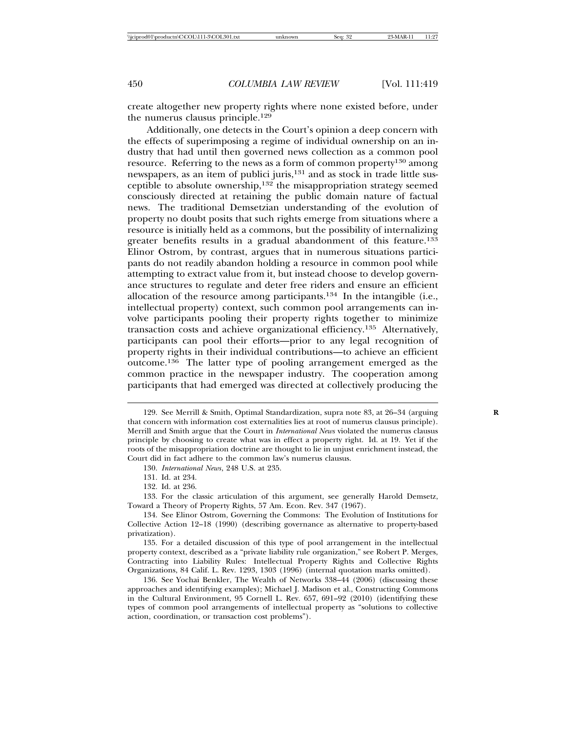create altogether new property rights where none existed before, under the numerus clausus principle.<sup>129</sup>

Additionally, one detects in the Court's opinion a deep concern with the effects of superimposing a regime of individual ownership on an industry that had until then governed news collection as a common pool resource. Referring to the news as a form of common property<sup>130</sup> among newspapers, as an item of publici juris,<sup>131</sup> and as stock in trade little susceptible to absolute ownership, $132$  the misappropriation strategy seemed consciously directed at retaining the public domain nature of factual news. The traditional Demsetzian understanding of the evolution of property no doubt posits that such rights emerge from situations where a resource is initially held as a commons, but the possibility of internalizing greater benefits results in a gradual abandonment of this feature.<sup>133</sup> Elinor Ostrom, by contrast, argues that in numerous situations participants do not readily abandon holding a resource in common pool while attempting to extract value from it, but instead choose to develop governance structures to regulate and deter free riders and ensure an efficient allocation of the resource among participants.134 In the intangible (i.e., intellectual property) context, such common pool arrangements can involve participants pooling their property rights together to minimize transaction costs and achieve organizational efficiency.135 Alternatively, participants can pool their efforts—prior to any legal recognition of property rights in their individual contributions—to achieve an efficient outcome.136 The latter type of pooling arrangement emerged as the common practice in the newspaper industry. The cooperation among participants that had emerged was directed at collectively producing the

132. Id. at 236.

133. For the classic articulation of this argument, see generally Harold Demsetz, Toward a Theory of Property Rights, 57 Am. Econ. Rev. 347 (1967).

<sup>129.</sup> See Merrill & Smith, Optimal Standardization, supra note 83, at 26–34 (arguing **R** that concern with information cost externalities lies at root of numerus clausus principle). Merrill and Smith argue that the Court in *International News* violated the numerus clausus principle by choosing to create what was in effect a property right. Id. at 19. Yet if the roots of the misappropriation doctrine are thought to lie in unjust enrichment instead, the Court did in fact adhere to the common law's numerus clausus.

<sup>130.</sup> *International News*, 248 U.S. at 235.

<sup>131.</sup> Id. at 234.

<sup>134.</sup> See Elinor Ostrom, Governing the Commons: The Evolution of Institutions for Collective Action 12–18 (1990) (describing governance as alternative to property-based privatization).

<sup>135.</sup> For a detailed discussion of this type of pool arrangement in the intellectual property context, described as a "private liability rule organization," see Robert P. Merges, Contracting into Liability Rules: Intellectual Property Rights and Collective Rights Organizations, 84 Calif. L. Rev. 1293, 1303 (1996) (internal quotation marks omitted).

<sup>136.</sup> See Yochai Benkler, The Wealth of Networks 338–44 (2006) (discussing these approaches and identifying examples); Michael J. Madison et al., Constructing Commons in the Cultural Environment, 95 Cornell L. Rev. 657, 691–92 (2010) (identifying these types of common pool arrangements of intellectual property as "solutions to collective action, coordination, or transaction cost problems").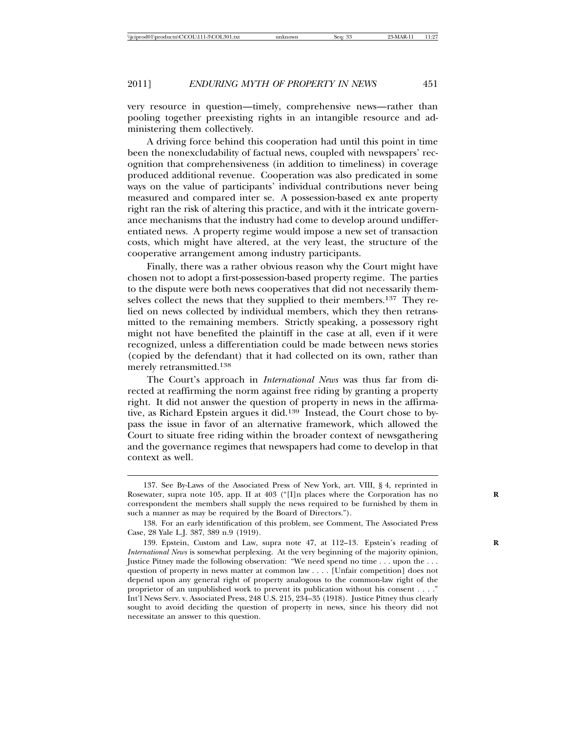very resource in question—timely, comprehensive news—rather than pooling together preexisting rights in an intangible resource and administering them collectively.

A driving force behind this cooperation had until this point in time been the nonexcludability of factual news, coupled with newspapers' recognition that comprehensiveness (in addition to timeliness) in coverage produced additional revenue. Cooperation was also predicated in some ways on the value of participants' individual contributions never being measured and compared inter se. A possession-based ex ante property right ran the risk of altering this practice, and with it the intricate governance mechanisms that the industry had come to develop around undifferentiated news. A property regime would impose a new set of transaction costs, which might have altered, at the very least, the structure of the cooperative arrangement among industry participants.

Finally, there was a rather obvious reason why the Court might have chosen not to adopt a first-possession-based property regime. The parties to the dispute were both news cooperatives that did not necessarily themselves collect the news that they supplied to their members.137 They relied on news collected by individual members, which they then retransmitted to the remaining members. Strictly speaking, a possessory right might not have benefited the plaintiff in the case at all, even if it were recognized, unless a differentiation could be made between news stories (copied by the defendant) that it had collected on its own, rather than merely retransmitted.<sup>138</sup>

The Court's approach in *International News* was thus far from directed at reaffirming the norm against free riding by granting a property right. It did not answer the question of property in news in the affirmative, as Richard Epstein argues it did.139 Instead, the Court chose to bypass the issue in favor of an alternative framework, which allowed the Court to situate free riding within the broader context of newsgathering and the governance regimes that newspapers had come to develop in that context as well.

<sup>137.</sup> See By-Laws of the Associated Press of New York, art. VIII, § 4, reprinted in Rosewater, supra note 105, app. II at 403 ("[I]n places where the Corporation has no **R** correspondent the members shall supply the news required to be furnished by them in such a manner as may be required by the Board of Directors.").

<sup>138.</sup> For an early identification of this problem, see Comment, The Associated Press Case, 28 Yale L.J. 387, 389 n.9 (1919).

<sup>139.</sup> Epstein, Custom and Law, supra note 47, at 112-13. Epstein's reading of *International News* is somewhat perplexing. At the very beginning of the majority opinion, Justice Pitney made the following observation: "We need spend no time . . . upon the . . . question of property in news matter at common law . . . . [Unfair competition] does not depend upon any general right of property analogous to the common-law right of the proprietor of an unpublished work to prevent its publication without his consent . . . ." Int'l News Serv. v. Associated Press, 248 U.S. 215, 234–35 (1918). Justice Pitney thus clearly sought to avoid deciding the question of property in news, since his theory did not necessitate an answer to this question.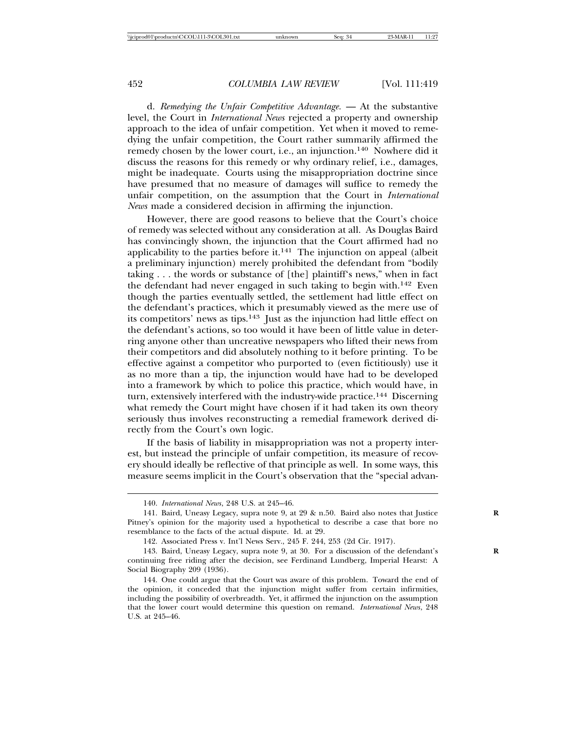d. *Remedying the Unfair Competitive Advantage.* — At the substantive level, the Court in *International News* rejected a property and ownership approach to the idea of unfair competition. Yet when it moved to remedying the unfair competition, the Court rather summarily affirmed the remedy chosen by the lower court, i.e., an injunction.140 Nowhere did it discuss the reasons for this remedy or why ordinary relief, i.e., damages, might be inadequate. Courts using the misappropriation doctrine since have presumed that no measure of damages will suffice to remedy the unfair competition, on the assumption that the Court in *International News* made a considered decision in affirming the injunction.

However, there are good reasons to believe that the Court's choice of remedy was selected without any consideration at all. As Douglas Baird has convincingly shown, the injunction that the Court affirmed had no applicability to the parties before it. $141$  The injunction on appeal (albeit a preliminary injunction) merely prohibited the defendant from "bodily taking . . . the words or substance of [the] plaintiff's news," when in fact the defendant had never engaged in such taking to begin with.142 Even though the parties eventually settled, the settlement had little effect on the defendant's practices, which it presumably viewed as the mere use of its competitors' news as tips.143 Just as the injunction had little effect on the defendant's actions, so too would it have been of little value in deterring anyone other than uncreative newspapers who lifted their news from their competitors and did absolutely nothing to it before printing. To be effective against a competitor who purported to (even fictitiously) use it as no more than a tip, the injunction would have had to be developed into a framework by which to police this practice, which would have, in turn, extensively interfered with the industry-wide practice.144 Discerning what remedy the Court might have chosen if it had taken its own theory seriously thus involves reconstructing a remedial framework derived directly from the Court's own logic.

If the basis of liability in misappropriation was not a property interest, but instead the principle of unfair competition, its measure of recovery should ideally be reflective of that principle as well. In some ways, this measure seems implicit in the Court's observation that the "special advan-

<sup>140.</sup> *International News*, 248 U.S. at 245–46.

<sup>141.</sup> Baird, Uneasy Legacy, supra note 9, at 29 & n.50. Baird also notes that Justice **R** Pitney's opinion for the majority used a hypothetical to describe a case that bore no resemblance to the facts of the actual dispute. Id. at 29.

<sup>142.</sup> Associated Press v. Int'l News Serv., 245 F. 244, 253 (2d Cir. 1917).

<sup>143.</sup> Baird, Uneasy Legacy, supra note 9, at 30. For a discussion of the defendant's **R** continuing free riding after the decision, see Ferdinand Lundberg, Imperial Hearst: A Social Biography 209 (1936).

<sup>144.</sup> One could argue that the Court was aware of this problem. Toward the end of the opinion, it conceded that the injunction might suffer from certain infirmities, including the possibility of overbreadth. Yet, it affirmed the injunction on the assumption that the lower court would determine this question on remand. *International News*, 248 U.S. at 245–46.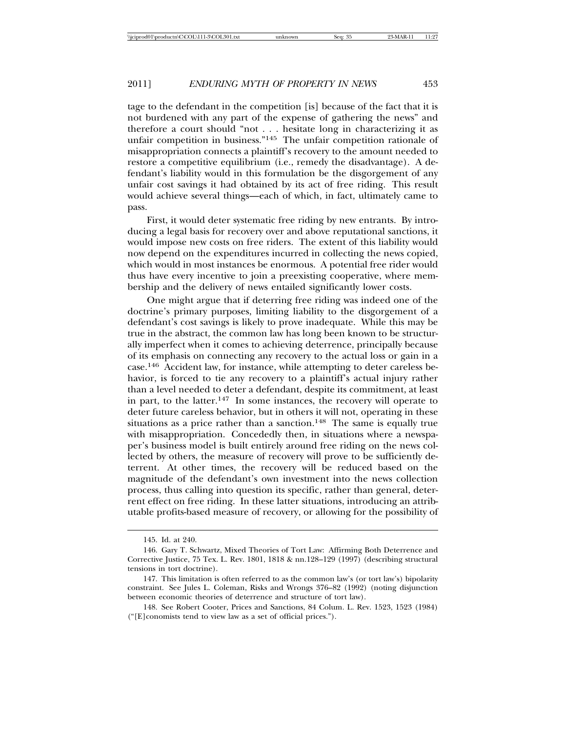tage to the defendant in the competition [is] because of the fact that it is not burdened with any part of the expense of gathering the news" and therefore a court should "not . . . hesitate long in characterizing it as unfair competition in business."145 The unfair competition rationale of misappropriation connects a plaintiff's recovery to the amount needed to restore a competitive equilibrium (i.e., remedy the disadvantage). A defendant's liability would in this formulation be the disgorgement of any unfair cost savings it had obtained by its act of free riding. This result would achieve several things—each of which, in fact, ultimately came to pass.

First, it would deter systematic free riding by new entrants. By introducing a legal basis for recovery over and above reputational sanctions, it would impose new costs on free riders. The extent of this liability would now depend on the expenditures incurred in collecting the news copied, which would in most instances be enormous. A potential free rider would thus have every incentive to join a preexisting cooperative, where membership and the delivery of news entailed significantly lower costs.

One might argue that if deterring free riding was indeed one of the doctrine's primary purposes, limiting liability to the disgorgement of a defendant's cost savings is likely to prove inadequate. While this may be true in the abstract, the common law has long been known to be structurally imperfect when it comes to achieving deterrence, principally because of its emphasis on connecting any recovery to the actual loss or gain in a case.146 Accident law, for instance, while attempting to deter careless behavior, is forced to tie any recovery to a plaintiff's actual injury rather than a level needed to deter a defendant, despite its commitment, at least in part, to the latter.<sup>147</sup> In some instances, the recovery will operate to deter future careless behavior, but in others it will not, operating in these situations as a price rather than a sanction.<sup>148</sup> The same is equally true with misappropriation. Concededly then, in situations where a newspaper's business model is built entirely around free riding on the news collected by others, the measure of recovery will prove to be sufficiently deterrent. At other times, the recovery will be reduced based on the magnitude of the defendant's own investment into the news collection process, thus calling into question its specific, rather than general, deterrent effect on free riding. In these latter situations, introducing an attributable profits-based measure of recovery, or allowing for the possibility of

<sup>145.</sup> Id. at 240.

<sup>146.</sup> Gary T. Schwartz, Mixed Theories of Tort Law: Affirming Both Deterrence and Corrective Justice, 75 Tex. L. Rev. 1801, 1818 & nn.128–129 (1997) (describing structural tensions in tort doctrine).

<sup>147.</sup> This limitation is often referred to as the common law's (or tort law's) bipolarity constraint. See Jules L. Coleman, Risks and Wrongs 376–82 (1992) (noting disjunction between economic theories of deterrence and structure of tort law).

<sup>148.</sup> See Robert Cooter, Prices and Sanctions, 84 Colum. L. Rev. 1523, 1523 (1984) ("[E]conomists tend to view law as a set of official prices.").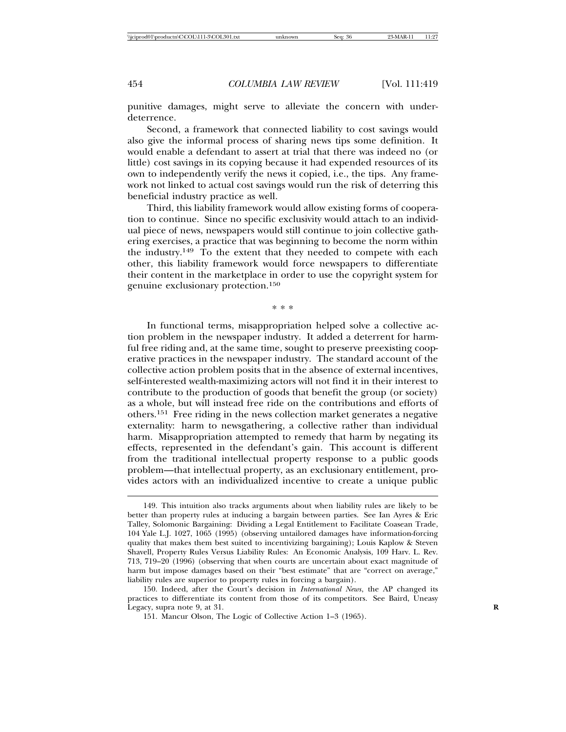punitive damages, might serve to alleviate the concern with underdeterrence.

Second, a framework that connected liability to cost savings would also give the informal process of sharing news tips some definition. It would enable a defendant to assert at trial that there was indeed no (or little) cost savings in its copying because it had expended resources of its own to independently verify the news it copied, i.e., the tips. Any framework not linked to actual cost savings would run the risk of deterring this beneficial industry practice as well.

Third, this liability framework would allow existing forms of cooperation to continue. Since no specific exclusivity would attach to an individual piece of news, newspapers would still continue to join collective gathering exercises, a practice that was beginning to become the norm within the industry.<sup>149</sup> To the extent that they needed to compete with each other, this liability framework would force newspapers to differentiate their content in the marketplace in order to use the copyright system for genuine exclusionary protection.<sup>150</sup>

\* \* \*

In functional terms, misappropriation helped solve a collective action problem in the newspaper industry. It added a deterrent for harmful free riding and, at the same time, sought to preserve preexisting cooperative practices in the newspaper industry. The standard account of the collective action problem posits that in the absence of external incentives, self-interested wealth-maximizing actors will not find it in their interest to contribute to the production of goods that benefit the group (or society) as a whole, but will instead free ride on the contributions and efforts of others.151 Free riding in the news collection market generates a negative externality: harm to newsgathering, a collective rather than individual harm. Misappropriation attempted to remedy that harm by negating its effects, represented in the defendant's gain. This account is different from the traditional intellectual property response to a public goods problem—that intellectual property, as an exclusionary entitlement, provides actors with an individualized incentive to create a unique public

<sup>149.</sup> This intuition also tracks arguments about when liability rules are likely to be better than property rules at inducing a bargain between parties. See Ian Ayres & Eric Talley, Solomonic Bargaining: Dividing a Legal Entitlement to Facilitate Coasean Trade, 104 Yale L.J. 1027, 1065 (1995) (observing untailored damages have information-forcing quality that makes them best suited to incentivizing bargaining); Louis Kaplow & Steven Shavell, Property Rules Versus Liability Rules: An Economic Analysis, 109 Harv. L. Rev. 713, 719–20 (1996) (observing that when courts are uncertain about exact magnitude of harm but impose damages based on their "best estimate" that are "correct on average," liability rules are superior to property rules in forcing a bargain).

<sup>150.</sup> Indeed, after the Court's decision in *International News*, the AP changed its practices to differentiate its content from those of its competitors. See Baird, Uneasy Legacy, supra note 9, at 31. **R**

<sup>151.</sup> Mancur Olson, The Logic of Collective Action 1–3 (1965).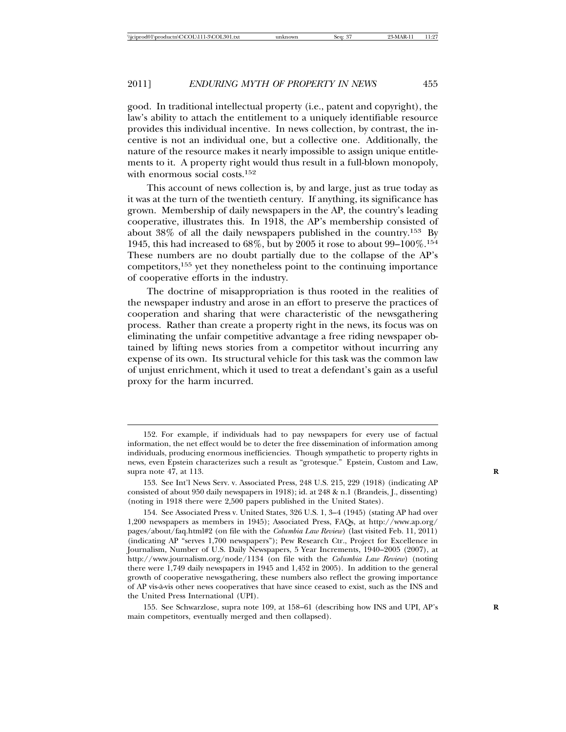good. In traditional intellectual property (i.e., patent and copyright), the law's ability to attach the entitlement to a uniquely identifiable resource provides this individual incentive. In news collection, by contrast, the incentive is not an individual one, but a collective one. Additionally, the nature of the resource makes it nearly impossible to assign unique entitlements to it. A property right would thus result in a full-blown monopoly, with enormous social costs.<sup>152</sup>

This account of news collection is, by and large, just as true today as it was at the turn of the twentieth century. If anything, its significance has grown. Membership of daily newspapers in the AP, the country's leading cooperative, illustrates this. In 1918, the AP's membership consisted of about 38% of all the daily newspapers published in the country.153 By 1945, this had increased to  $68\%$ , but by 2005 it rose to about 99–100%.<sup>154</sup> These numbers are no doubt partially due to the collapse of the AP's competitors,155 yet they nonetheless point to the continuing importance of cooperative efforts in the industry.

The doctrine of misappropriation is thus rooted in the realities of the newspaper industry and arose in an effort to preserve the practices of cooperation and sharing that were characteristic of the newsgathering process. Rather than create a property right in the news, its focus was on eliminating the unfair competitive advantage a free riding newspaper obtained by lifting news stories from a competitor without incurring any expense of its own. Its structural vehicle for this task was the common law of unjust enrichment, which it used to treat a defendant's gain as a useful proxy for the harm incurred.

<sup>152.</sup> For example, if individuals had to pay newspapers for every use of factual information, the net effect would be to deter the free dissemination of information among individuals, producing enormous inefficiencies. Though sympathetic to property rights in news, even Epstein characterizes such a result as "grotesque." Epstein, Custom and Law, supra note 47, at 113. **R**

<sup>153.</sup> See Int'l News Serv. v. Associated Press, 248 U.S. 215, 229 (1918) (indicating AP consisted of about 950 daily newspapers in 1918); id. at 248 & n.1 (Brandeis, J., dissenting) (noting in 1918 there were 2,500 papers published in the United States).

<sup>154.</sup> See Associated Press v. United States, 326 U.S. 1, 3–4 (1945) (stating AP had over 1,200 newspapers as members in 1945); Associated Press, FAQs, at http://www.ap.org/ pages/about/faq.html#2 (on file with the *Columbia Law Review*) (last visited Feb. 11, 2011) (indicating AP "serves 1,700 newspapers"); Pew Research Ctr., Project for Excellence in Journalism, Number of U.S. Daily Newspapers, 5 Year Increments, 1940–2005 (2007), at http://www.journalism.org/node/1134 (on file with the *Columbia Law Review*) (noting there were 1,749 daily newspapers in 1945 and 1,452 in 2005). In addition to the general growth of cooperative newsgathering, these numbers also reflect the growing importance of AP vis-a-vis other news cooperatives that have since ceased to exist, such as the INS and ` the United Press International (UPI).

<sup>155.</sup> See Schwarzlose, supra note 109, at 158-61 (describing how INS and UPI, AP's main competitors, eventually merged and then collapsed).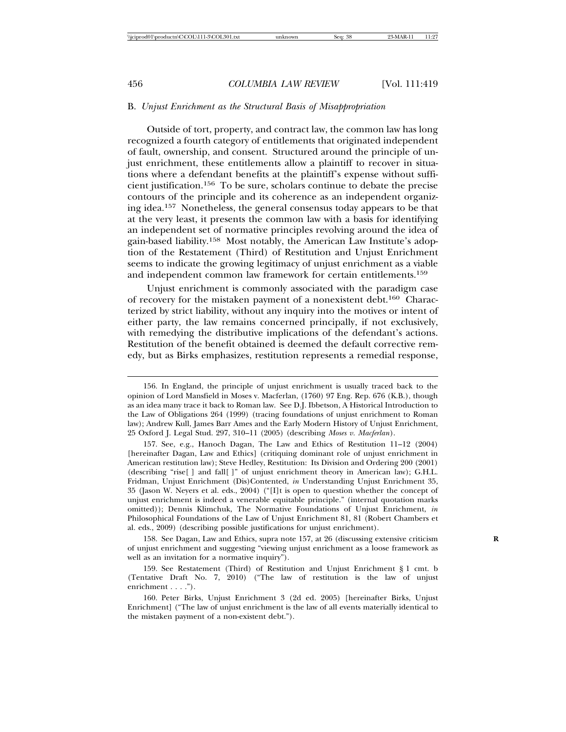# B. *Unjust Enrichment as the Structural Basis of Misappropriation*

Outside of tort, property, and contract law, the common law has long recognized a fourth category of entitlements that originated independent of fault, ownership, and consent. Structured around the principle of unjust enrichment, these entitlements allow a plaintiff to recover in situations where a defendant benefits at the plaintiff's expense without sufficient justification.156 To be sure, scholars continue to debate the precise contours of the principle and its coherence as an independent organizing idea.157 Nonetheless, the general consensus today appears to be that at the very least, it presents the common law with a basis for identifying an independent set of normative principles revolving around the idea of gain-based liability.158 Most notably, the American Law Institute's adoption of the Restatement (Third) of Restitution and Unjust Enrichment seems to indicate the growing legitimacy of unjust enrichment as a viable and independent common law framework for certain entitlements.<sup>159</sup>

Unjust enrichment is commonly associated with the paradigm case of recovery for the mistaken payment of a nonexistent debt.160 Characterized by strict liability, without any inquiry into the motives or intent of either party, the law remains concerned principally, if not exclusively, with remedying the distributive implications of the defendant's actions. Restitution of the benefit obtained is deemed the default corrective remedy, but as Birks emphasizes, restitution represents a remedial response,

<sup>156.</sup> In England, the principle of unjust enrichment is usually traced back to the opinion of Lord Mansfield in Moses v. Macferlan, (1760) 97 Eng. Rep. 676 (K.B.), though as an idea many trace it back to Roman law. See D.J. Ibbetson, A Historical Introduction to the Law of Obligations 264 (1999) (tracing foundations of unjust enrichment to Roman law); Andrew Kull, James Barr Ames and the Early Modern History of Unjust Enrichment, 25 Oxford J. Legal Stud. 297, 310–11 (2005) (describing *Moses v. Macferlan*).

<sup>157.</sup> See, e.g., Hanoch Dagan, The Law and Ethics of Restitution 11–12 (2004) [hereinafter Dagan, Law and Ethics] (critiquing dominant role of unjust enrichment in American restitution law); Steve Hedley, Restitution: Its Division and Ordering 200 (2001) (describing "rise[ ] and fall[ ]" of unjust enrichment theory in American law); G.H.L. Fridman, Unjust Enrichment (Dis)Contented, *in* Understanding Unjust Enrichment 35, 35 (Jason W. Neyers et al. eds., 2004) ("[I]t is open to question whether the concept of unjust enrichment is indeed a venerable equitable principle." (internal quotation marks omitted)); Dennis Klimchuk, The Normative Foundations of Unjust Enrichment, *in* Philosophical Foundations of the Law of Unjust Enrichment 81, 81 (Robert Chambers et al. eds., 2009) (describing possible justifications for unjust enrichment).

<sup>158.</sup> See Dagan, Law and Ethics, supra note 157, at 26 (discussing extensive criticism **R** of unjust enrichment and suggesting "viewing unjust enrichment as a loose framework as well as an invitation for a normative inquiry").

<sup>159.</sup> See Restatement (Third) of Restitution and Unjust Enrichment § 1 cmt. b (Tentative Draft No. 7, 2010) ("The law of restitution is the law of unjust enrichment . . . .").

<sup>160.</sup> Peter Birks, Unjust Enrichment 3 (2d ed. 2005) [hereinafter Birks, Unjust Enrichment] ("The law of unjust enrichment is the law of all events materially identical to the mistaken payment of a non-existent debt.").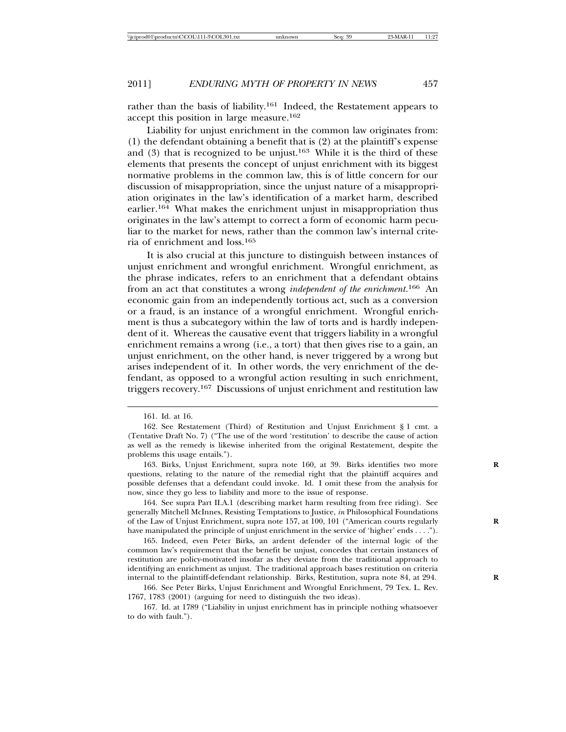rather than the basis of liability.<sup>161</sup> Indeed, the Restatement appears to accept this position in large measure.<sup>162</sup>

Liability for unjust enrichment in the common law originates from: (1) the defendant obtaining a benefit that is (2) at the plaintiff's expense and  $(3)$  that is recognized to be unjust.<sup>163</sup> While it is the third of these elements that presents the concept of unjust enrichment with its biggest normative problems in the common law, this is of little concern for our discussion of misappropriation, since the unjust nature of a misappropriation originates in the law's identification of a market harm, described earlier.164 What makes the enrichment unjust in misappropriation thus originates in the law's attempt to correct a form of economic harm peculiar to the market for news, rather than the common law's internal criteria of enrichment and loss.<sup>165</sup>

It is also crucial at this juncture to distinguish between instances of unjust enrichment and wrongful enrichment. Wrongful enrichment, as the phrase indicates, refers to an enrichment that a defendant obtains from an act that constitutes a wrong *independent of the enrichment*. 166 An economic gain from an independently tortious act, such as a conversion or a fraud, is an instance of a wrongful enrichment. Wrongful enrichment is thus a subcategory within the law of torts and is hardly independent of it. Whereas the causative event that triggers liability in a wrongful enrichment remains a wrong (i.e., a tort) that then gives rise to a gain, an unjust enrichment, on the other hand, is never triggered by a wrong but arises independent of it. In other words, the very enrichment of the defendant, as opposed to a wrongful action resulting in such enrichment, triggers recovery.167 Discussions of unjust enrichment and restitution law

<sup>161.</sup> Id. at 16.

<sup>162.</sup> See Restatement (Third) of Restitution and Unjust Enrichment § 1 cmt. a (Tentative Draft No. 7) ("The use of the word 'restitution' to describe the cause of action as well as the remedy is likewise inherited from the original Restatement, despite the problems this usage entails.").

<sup>163.</sup> Birks, Unjust Enrichment, supra note 160, at 39. Birks identifies two more questions, relating to the nature of the remedial right that the plaintiff acquires and possible defenses that a defendant could invoke. Id. I omit these from the analysis for now, since they go less to liability and more to the issue of response.

<sup>164.</sup> See supra Part II.A.1 (describing market harm resulting from free riding). See generally Mitchell McInnes, Resisting Temptations to Justice, *in* Philosophical Foundations of the Law of Unjust Enrichment, supra note 157, at 100, 101 ("American courts regularly **R** have manipulated the principle of unjust enrichment in the service of 'higher' ends . . . .").

<sup>165.</sup> Indeed, even Peter Birks, an ardent defender of the internal logic of the common law's requirement that the benefit be unjust, concedes that certain instances of restitution are policy-motivated insofar as they deviate from the traditional approach to identifying an enrichment as unjust. The traditional approach bases restitution on criteria internal to the plaintiff-defendant relationship. Birks, Restitution, supra note 84, at 294. **R**

<sup>166.</sup> See Peter Birks, Unjust Enrichment and Wrongful Enrichment, 79 Tex. L. Rev. 1767, 1783 (2001) (arguing for need to distinguish the two ideas).

<sup>167.</sup> Id. at 1789 ("Liability in unjust enrichment has in principle nothing whatsoever to do with fault.").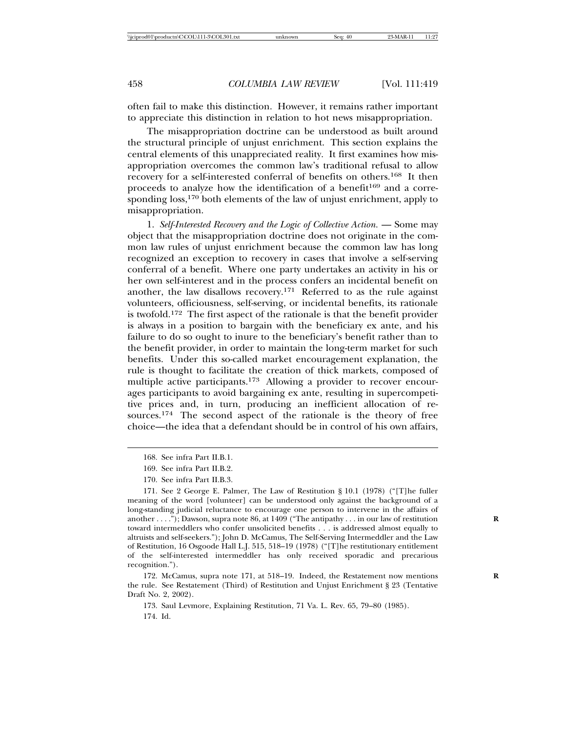often fail to make this distinction. However, it remains rather important to appreciate this distinction in relation to hot news misappropriation.

The misappropriation doctrine can be understood as built around the structural principle of unjust enrichment. This section explains the central elements of this unappreciated reality. It first examines how misappropriation overcomes the common law's traditional refusal to allow recovery for a self-interested conferral of benefits on others.168 It then proceeds to analyze how the identification of a benefit<sup>169</sup> and a corresponding  $loss<sub>170</sub>$  both elements of the law of unjust enrichment, apply to misappropriation.

1. *Self-Interested Recovery and the Logic of Collective Action.* — Some may object that the misappropriation doctrine does not originate in the common law rules of unjust enrichment because the common law has long recognized an exception to recovery in cases that involve a self-serving conferral of a benefit. Where one party undertakes an activity in his or her own self-interest and in the process confers an incidental benefit on another, the law disallows recovery.171 Referred to as the rule against volunteers, officiousness, self-serving, or incidental benefits, its rationale is twofold.172 The first aspect of the rationale is that the benefit provider is always in a position to bargain with the beneficiary ex ante, and his failure to do so ought to inure to the beneficiary's benefit rather than to the benefit provider, in order to maintain the long-term market for such benefits. Under this so-called market encouragement explanation, the rule is thought to facilitate the creation of thick markets, composed of multiple active participants.173 Allowing a provider to recover encourages participants to avoid bargaining ex ante, resulting in supercompetitive prices and, in turn, producing an inefficient allocation of resources.<sup>174</sup> The second aspect of the rationale is the theory of free choice—the idea that a defendant should be in control of his own affairs,

172. McCamus, supra note 171, at 518–19. Indeed, the Restatement now mentions **R** the rule. See Restatement (Third) of Restitution and Unjust Enrichment § 23 (Tentative Draft No. 2, 2002).

173. Saul Levmore, Explaining Restitution, 71 Va. L. Rev. 65, 79–80 (1985). 174. Id.

<sup>168.</sup> See infra Part II.B.1.

<sup>169.</sup> See infra Part II.B.2.

<sup>170.</sup> See infra Part II.B.3.

<sup>171.</sup> See 2 George E. Palmer, The Law of Restitution § 10.1 (1978) ("[T]he fuller meaning of the word [volunteer] can be understood only against the background of a long-standing judicial reluctance to encourage one person to intervene in the affairs of another . . . ."); Dawson, supra note 86, at 1409 ("The antipathy . . . in our law of restitution toward intermeddlers who confer unsolicited benefits . . . is addressed almost equally to altruists and self-seekers."); John D. McCamus, The Self-Serving Intermeddler and the Law of Restitution, 16 Osgoode Hall L.J. 515, 518–19 (1978) ("[T]he restitutionary entitlement of the self-interested intermeddler has only received sporadic and precarious recognition.").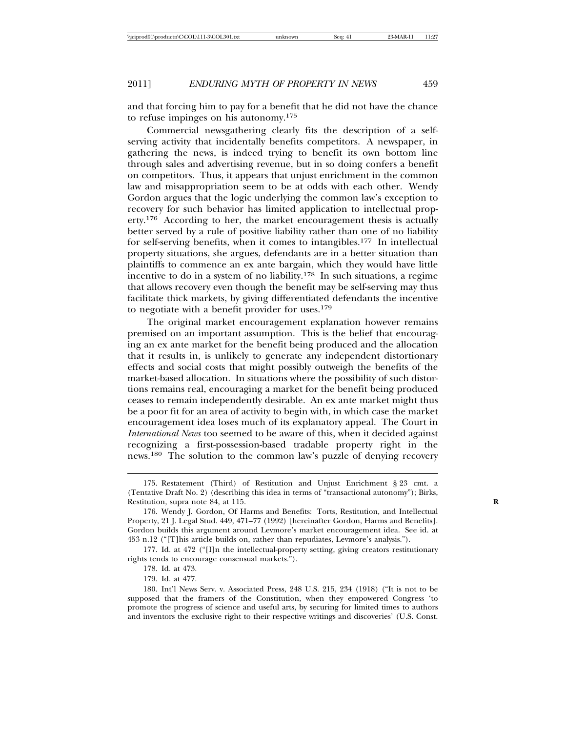and that forcing him to pay for a benefit that he did not have the chance to refuse impinges on his autonomy.<sup>175</sup>

Commercial newsgathering clearly fits the description of a selfserving activity that incidentally benefits competitors. A newspaper, in gathering the news, is indeed trying to benefit its own bottom line through sales and advertising revenue, but in so doing confers a benefit on competitors. Thus, it appears that unjust enrichment in the common law and misappropriation seem to be at odds with each other. Wendy Gordon argues that the logic underlying the common law's exception to recovery for such behavior has limited application to intellectual property.176 According to her, the market encouragement thesis is actually better served by a rule of positive liability rather than one of no liability for self-serving benefits, when it comes to intangibles.177 In intellectual property situations, she argues, defendants are in a better situation than plaintiffs to commence an ex ante bargain, which they would have little incentive to do in a system of no liability.<sup>178</sup> In such situations, a regime that allows recovery even though the benefit may be self-serving may thus facilitate thick markets, by giving differentiated defendants the incentive to negotiate with a benefit provider for uses.<sup>179</sup>

The original market encouragement explanation however remains premised on an important assumption. This is the belief that encouraging an ex ante market for the benefit being produced and the allocation that it results in, is unlikely to generate any independent distortionary effects and social costs that might possibly outweigh the benefits of the market-based allocation. In situations where the possibility of such distortions remains real, encouraging a market for the benefit being produced ceases to remain independently desirable. An ex ante market might thus be a poor fit for an area of activity to begin with, in which case the market encouragement idea loses much of its explanatory appeal. The Court in *International News* too seemed to be aware of this, when it decided against recognizing a first-possession-based tradable property right in the news.180 The solution to the common law's puzzle of denying recovery

179. Id. at 477.

<sup>175.</sup> Restatement (Third) of Restitution and Unjust Enrichment § 23 cmt. a (Tentative Draft No. 2) (describing this idea in terms of "transactional autonomy"); Birks, Restitution, supra note 84, at 115. **R**

<sup>176.</sup> Wendy J. Gordon, Of Harms and Benefits: Torts, Restitution, and Intellectual Property, 21 J. Legal Stud. 449, 471–77 (1992) [hereinafter Gordon, Harms and Benefits]. Gordon builds this argument around Levmore's market encouragement idea. See id. at 453 n.12 ("[T]his article builds on, rather than repudiates, Levmore's analysis.").

<sup>177.</sup> Id. at 472 ("[I]n the intellectual-property setting, giving creators restitutionary rights tends to encourage consensual markets.").

<sup>178.</sup> Id. at 473.

<sup>180.</sup> Int'l News Serv. v. Associated Press, 248 U.S. 215, 234 (1918) ("It is not to be supposed that the framers of the Constitution, when they empowered Congress 'to promote the progress of science and useful arts, by securing for limited times to authors and inventors the exclusive right to their respective writings and discoveries' (U.S. Const.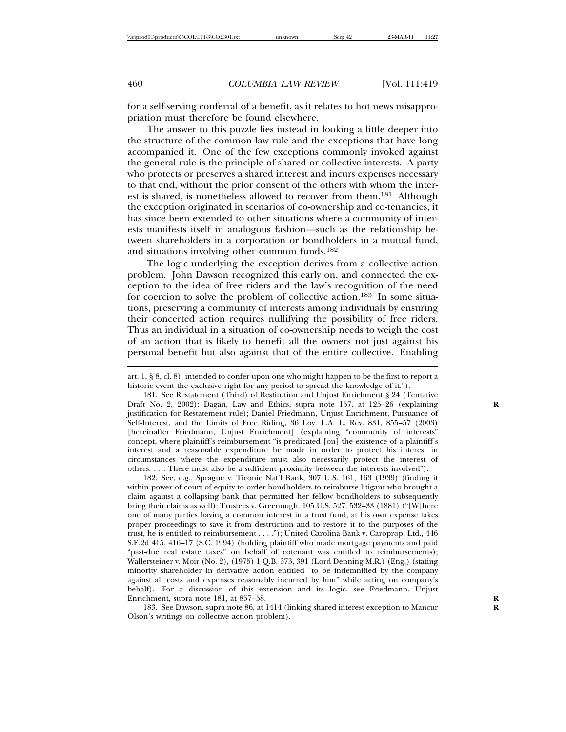for a self-serving conferral of a benefit, as it relates to hot news misappropriation must therefore be found elsewhere.

The answer to this puzzle lies instead in looking a little deeper into the structure of the common law rule and the exceptions that have long accompanied it. One of the few exceptions commonly invoked against the general rule is the principle of shared or collective interests. A party who protects or preserves a shared interest and incurs expenses necessary to that end, without the prior consent of the others with whom the interest is shared, is nonetheless allowed to recover from them.181 Although the exception originated in scenarios of co-ownership and co-tenancies, it has since been extended to other situations where a community of interests manifests itself in analogous fashion—such as the relationship between shareholders in a corporation or bondholders in a mutual fund, and situations involving other common funds.<sup>182</sup>

The logic underlying the exception derives from a collective action problem. John Dawson recognized this early on, and connected the exception to the idea of free riders and the law's recognition of the need for coercion to solve the problem of collective action.183 In some situations, preserving a community of interests among individuals by ensuring their concerted action requires nullifying the possibility of free riders. Thus an individual in a situation of co-ownership needs to weigh the cost of an action that is likely to benefit all the owners not just against his personal benefit but also against that of the entire collective. Enabling

182. See, e.g., Sprague v. Ticonic Nat'l Bank, 307 U.S. 161, 163 (1939) (finding it within power of court of equity to order bondholders to reimburse litigant who brought a claim against a collapsing bank that permitted her fellow bondholders to subsequently bring their claims as well); Trustees v. Greenough, 105 U.S. 527, 532–33 (1881) ("[W]here one of many parties having a common interest in a trust fund, at his own expense takes proper proceedings to save it from destruction and to restore it to the purposes of the trust, he is entitled to reimbursement . . . ."); United Carolina Bank v. Caroprop, Ltd., 446 S.E.2d 415, 416–17 (S.C. 1994) (holding plaintiff who made mortgage payments and paid "past-due real estate taxes" on behalf of cotenant was entitled to reimbursements); Wallersteiner v. Moir (No. 2), (1975) 1 Q.B. 373, 391 (Lord Denning M.R.) (Eng.) (stating minority shareholder in derivative action entitled "to be indemnified by the company against all costs and expenses reasonably incurred by him" while acting on company's behalf). For a discussion of this extension and its logic, see Friedmann, Unjust Enrichment, supra note 181, at 857-58.

183. See Dawson, supra note 86, at 1414 (linking shared interest exception to Mancur **R** Olson's writings on collective action problem).

art. 1, § 8, cl. 8), intended to confer upon one who might happen to be the first to report a historic event the exclusive right for any period to spread the knowledge of it.").

<sup>181.</sup> See Restatement (Third) of Restitution and Unjust Enrichment § 24 (Tentative Draft No. 2, 2002); Dagan, Law and Ethics, supra note 157, at 125–26 (explaining justification for Restatement rule); Daniel Friedmann, Unjust Enrichment, Pursuance of Self-Interest, and the Limits of Free Riding, 36 Loy. L.A. L. Rev. 831, 855–57 (2003) [hereinafter Friedmann, Unjust Enrichment] (explaining "community of interests" concept, where plaintiff's reimbursement "is predicated [on] the existence of a plaintiff's interest and a reasonable expenditure he made in order to protect his interest in circumstances where the expenditure must also necessarily protect the interest of others. . . . There must also be a sufficient proximity between the interests involved").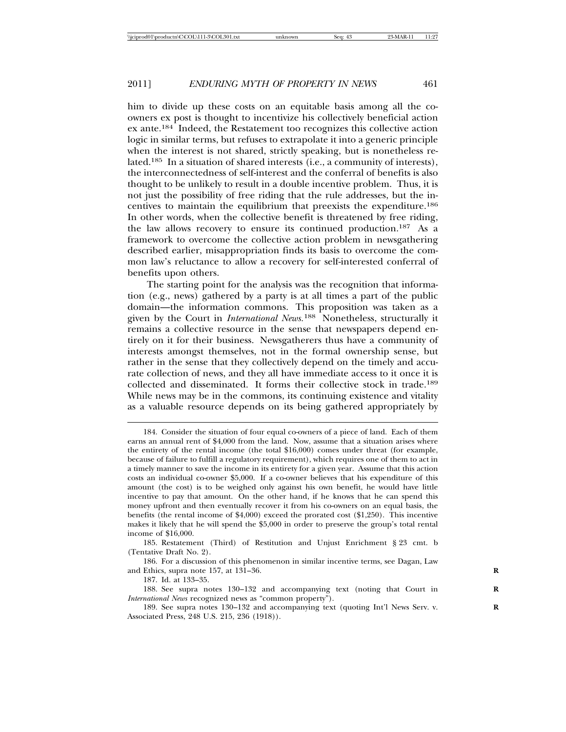him to divide up these costs on an equitable basis among all the coowners ex post is thought to incentivize his collectively beneficial action ex ante.184 Indeed, the Restatement too recognizes this collective action logic in similar terms, but refuses to extrapolate it into a generic principle when the interest is not shared, strictly speaking, but is nonetheless related.185 In a situation of shared interests (i.e., a community of interests), the interconnectedness of self-interest and the conferral of benefits is also thought to be unlikely to result in a double incentive problem. Thus, it is not just the possibility of free riding that the rule addresses, but the incentives to maintain the equilibrium that preexists the expenditure.<sup>186</sup> In other words, when the collective benefit is threatened by free riding, the law allows recovery to ensure its continued production.187 As a framework to overcome the collective action problem in newsgathering described earlier, misappropriation finds its basis to overcome the common law's reluctance to allow a recovery for self-interested conferral of benefits upon others.

The starting point for the analysis was the recognition that information (e.g., news) gathered by a party is at all times a part of the public domain—the information commons. This proposition was taken as a given by the Court in *International News*.<sup>188</sup> Nonetheless, structurally it remains a collective resource in the sense that newspapers depend entirely on it for their business. Newsgatherers thus have a community of interests amongst themselves, not in the formal ownership sense, but rather in the sense that they collectively depend on the timely and accurate collection of news, and they all have immediate access to it once it is collected and disseminated. It forms their collective stock in trade.<sup>189</sup> While news may be in the commons, its continuing existence and vitality as a valuable resource depends on its being gathered appropriately by

<sup>184.</sup> Consider the situation of four equal co-owners of a piece of land. Each of them earns an annual rent of \$4,000 from the land. Now, assume that a situation arises where the entirety of the rental income (the total \$16,000) comes under threat (for example, because of failure to fulfill a regulatory requirement), which requires one of them to act in a timely manner to save the income in its entirety for a given year. Assume that this action costs an individual co-owner \$5,000. If a co-owner believes that his expenditure of this amount (the cost) is to be weighed only against his own benefit, he would have little incentive to pay that amount. On the other hand, if he knows that he can spend this money upfront and then eventually recover it from his co-owners on an equal basis, the benefits (the rental income of \$4,000) exceed the prorated cost (\$1,250). This incentive makes it likely that he will spend the \$5,000 in order to preserve the group's total rental income of \$16,000.

<sup>185.</sup> Restatement (Third) of Restitution and Unjust Enrichment § 23 cmt. b (Tentative Draft No. 2).

<sup>186.</sup> For a discussion of this phenomenon in similar incentive terms, see Dagan, Law and Ethics, supra note 157, at 131–36. **R**

<sup>187.</sup> Id. at 133–35.

<sup>188.</sup> See supra notes 130-132 and accompanying text (noting that Court in *International News* recognized news as "common property").

<sup>189.</sup> See supra notes 130–132 and accompanying text (quoting Int'l News Serv. v. **R** Associated Press, 248 U.S. 215, 236 (1918)).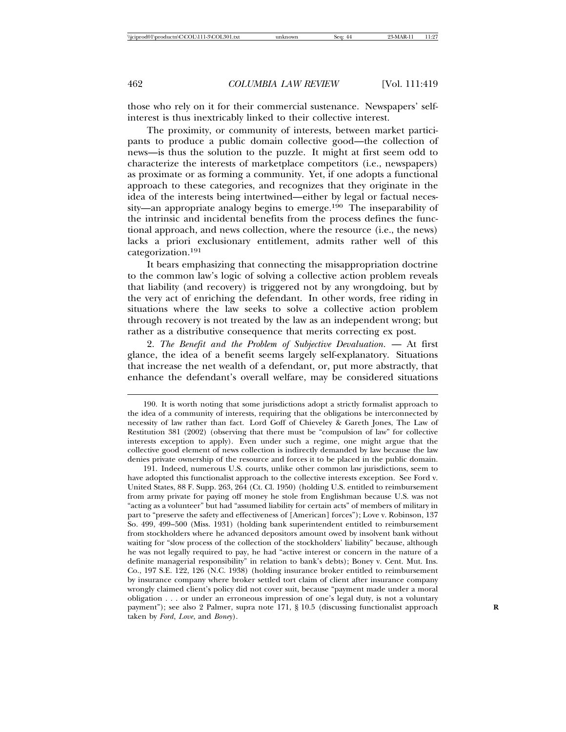those who rely on it for their commercial sustenance. Newspapers' selfinterest is thus inextricably linked to their collective interest.

The proximity, or community of interests, between market participants to produce a public domain collective good—the collection of news—is thus the solution to the puzzle. It might at first seem odd to characterize the interests of marketplace competitors (i.e., newspapers) as proximate or as forming a community. Yet, if one adopts a functional approach to these categories, and recognizes that they originate in the idea of the interests being intertwined—either by legal or factual necessity—an appropriate analogy begins to emerge.190 The inseparability of the intrinsic and incidental benefits from the process defines the functional approach, and news collection, where the resource (i.e., the news) lacks a priori exclusionary entitlement, admits rather well of this categorization.<sup>191</sup>

It bears emphasizing that connecting the misappropriation doctrine to the common law's logic of solving a collective action problem reveals that liability (and recovery) is triggered not by any wrongdoing, but by the very act of enriching the defendant. In other words, free riding in situations where the law seeks to solve a collective action problem through recovery is not treated by the law as an independent wrong; but rather as a distributive consequence that merits correcting ex post.

2. *The Benefit and the Problem of Subjective Devaluation.* — At first glance, the idea of a benefit seems largely self-explanatory. Situations that increase the net wealth of a defendant, or, put more abstractly, that enhance the defendant's overall welfare, may be considered situations

191. Indeed, numerous U.S. courts, unlike other common law jurisdictions, seem to have adopted this functionalist approach to the collective interests exception. See Ford v. United States, 88 F. Supp. 263, 264 (Ct. Cl. 1950) (holding U.S. entitled to reimbursement from army private for paying off money he stole from Englishman because U.S. was not "acting as a volunteer" but had "assumed liability for certain acts" of members of military in part to "preserve the safety and effectiveness of [American] forces"); Love v. Robinson, 137 So. 499, 499–500 (Miss. 1931) (holding bank superintendent entitled to reimbursement from stockholders where he advanced depositors amount owed by insolvent bank without waiting for "slow process of the collection of the stockholders' liability" because, although he was not legally required to pay, he had "active interest or concern in the nature of a definite managerial responsibility" in relation to bank's debts); Boney v. Cent. Mut. Ins. Co., 197 S.E. 122, 126 (N.C. 1938) (holding insurance broker entitled to reimbursement by insurance company where broker settled tort claim of client after insurance company wrongly claimed client's policy did not cover suit, because "payment made under a moral obligation . . . or under an erroneous impression of one's legal duty, is not a voluntary payment"); see also 2 Palmer, supra note 171, § 10.5 (discussing functionalist approach **R** taken by *Ford*, *Love*, and *Boney*).

<sup>190.</sup> It is worth noting that some jurisdictions adopt a strictly formalist approach to the idea of a community of interests, requiring that the obligations be interconnected by necessity of law rather than fact. Lord Goff of Chieveley & Gareth Jones, The Law of Restitution 381 (2002) (observing that there must be "compulsion of law" for collective interests exception to apply). Even under such a regime, one might argue that the collective good element of news collection is indirectly demanded by law because the law denies private ownership of the resource and forces it to be placed in the public domain.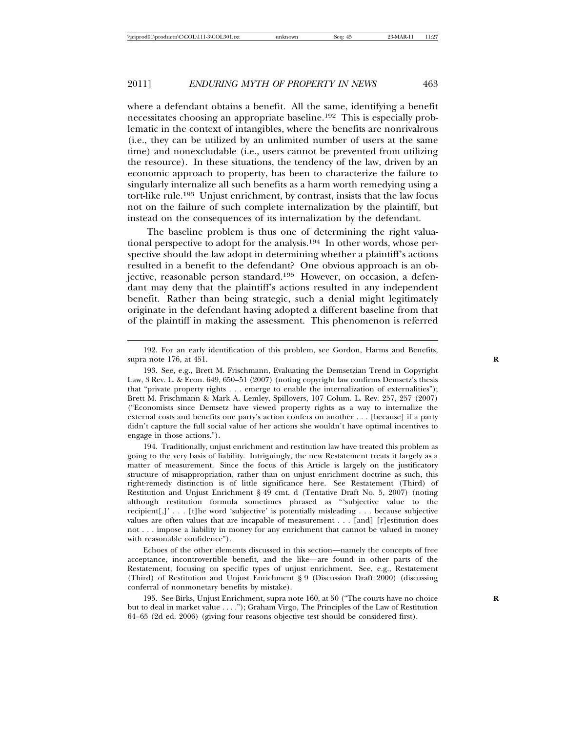where a defendant obtains a benefit. All the same, identifying a benefit necessitates choosing an appropriate baseline.192 This is especially problematic in the context of intangibles, where the benefits are nonrivalrous (i.e., they can be utilized by an unlimited number of users at the same time) and nonexcludable (i.e., users cannot be prevented from utilizing the resource). In these situations, the tendency of the law, driven by an economic approach to property, has been to characterize the failure to singularly internalize all such benefits as a harm worth remedying using a tort-like rule.193 Unjust enrichment, by contrast, insists that the law focus not on the failure of such complete internalization by the plaintiff, but instead on the consequences of its internalization by the defendant.

The baseline problem is thus one of determining the right valuational perspective to adopt for the analysis.194 In other words, whose perspective should the law adopt in determining whether a plaintiff's actions resulted in a benefit to the defendant? One obvious approach is an objective, reasonable person standard.195 However, on occasion, a defendant may deny that the plaintiff's actions resulted in any independent benefit. Rather than being strategic, such a denial might legitimately originate in the defendant having adopted a different baseline from that of the plaintiff in making the assessment. This phenomenon is referred

194. Traditionally, unjust enrichment and restitution law have treated this problem as going to the very basis of liability. Intriguingly, the new Restatement treats it largely as a matter of measurement. Since the focus of this Article is largely on the justificatory structure of misappropriation, rather than on unjust enrichment doctrine as such, this right-remedy distinction is of little significance here. See Restatement (Third) of Restitution and Unjust Enrichment § 49 cmt. d (Tentative Draft No. 5, 2007) (noting although restitution formula sometimes phrased as "'subjective value to the recipient[,]' . . . [t]he word 'subjective' is potentially misleading . . . because subjective values are often values that are incapable of measurement . . . [and] [r]estitution does not . . . impose a liability in money for any enrichment that cannot be valued in money with reasonable confidence").

Echoes of the other elements discussed in this section—namely the concepts of free acceptance, incontrovertible benefit, and the like—are found in other parts of the Restatement, focusing on specific types of unjust enrichment. See, e.g., Restatement (Third) of Restitution and Unjust Enrichment § 9 (Discussion Draft 2000) (discussing conferral of nonmonetary benefits by mistake).

195. See Birks, Unjust Enrichment, supra note 160, at 50 ("The courts have no choice **R** but to deal in market value . . . ."); Graham Virgo, The Principles of the Law of Restitution 64–65 (2d ed. 2006) (giving four reasons objective test should be considered first).

<sup>192.</sup> For an early identification of this problem, see Gordon, Harms and Benefits, supra note 176, at 451. **R**

<sup>193.</sup> See, e.g., Brett M. Frischmann, Evaluating the Demsetzian Trend in Copyright Law, 3 Rev. L. & Econ. 649, 650–51 (2007) (noting copyright law confirms Demsetz's thesis that "private property rights . . . emerge to enable the internalization of externalities"); Brett M. Frischmann & Mark A. Lemley, Spillovers, 107 Colum. L. Rev. 257, 257 (2007) ("Economists since Demsetz have viewed property rights as a way to internalize the external costs and benefits one party's action confers on another . . . [because] if a party didn't capture the full social value of her actions she wouldn't have optimal incentives to engage in those actions.").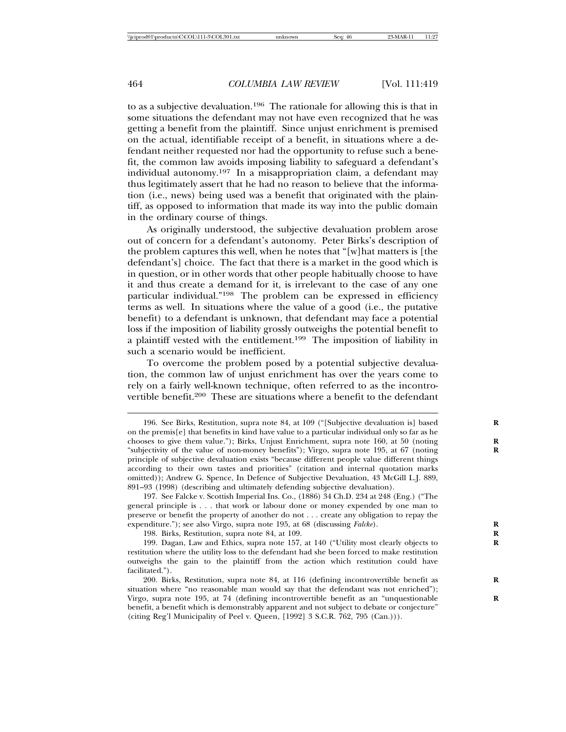to as a subjective devaluation.196 The rationale for allowing this is that in some situations the defendant may not have even recognized that he was getting a benefit from the plaintiff. Since unjust enrichment is premised on the actual, identifiable receipt of a benefit, in situations where a defendant neither requested nor had the opportunity to refuse such a benefit, the common law avoids imposing liability to safeguard a defendant's individual autonomy.197 In a misappropriation claim, a defendant may thus legitimately assert that he had no reason to believe that the information (i.e., news) being used was a benefit that originated with the plaintiff, as opposed to information that made its way into the public domain in the ordinary course of things.

As originally understood, the subjective devaluation problem arose out of concern for a defendant's autonomy. Peter Birks's description of the problem captures this well, when he notes that "[w]hat matters is [the defendant's] choice. The fact that there is a market in the good which is in question, or in other words that other people habitually choose to have it and thus create a demand for it, is irrelevant to the case of any one particular individual."198 The problem can be expressed in efficiency terms as well. In situations where the value of a good (i.e., the putative benefit) to a defendant is unknown, that defendant may face a potential loss if the imposition of liability grossly outweighs the potential benefit to a plaintiff vested with the entitlement.199 The imposition of liability in such a scenario would be inefficient.

To overcome the problem posed by a potential subjective devaluation, the common law of unjust enrichment has over the years come to rely on a fairly well-known technique, often referred to as the incontrovertible benefit.200 These are situations where a benefit to the defendant

198. Birks, Restitution, supra note 84, at 109. **R**

<sup>196.</sup> See Birks, Restitution, supra note 84, at 109 ("[Subjective devaluation is] based **R** on the premis[e] that benefits in kind have value to a particular individual only so far as he chooses to give them value."); Birks, Unjust Enrichment, supra note 160, at 50 (noting **R** "subjectivity of the value of non-money benefits"); Virgo, supra note 195, at 67 (noting **R** principle of subjective devaluation exists "because different people value different things according to their own tastes and priorities" (citation and internal quotation marks omitted)); Andrew G. Spence, In Defence of Subjective Devaluation, 43 McGill L.J. 889, 891–93 (1998) (describing and ultimately defending subjective devaluation).

<sup>197.</sup> See Falcke v. Scottish Imperial Ins. Co., (1886) 34 Ch.D. 234 at 248 (Eng.) ("The general principle is . . . that work or labour done or money expended by one man to preserve or benefit the property of another do not . . . create any obligation to repay the expenditure."); see also Virgo, supra note 195, at 68 (discussing *Falcke*).

<sup>199.</sup> Dagan, Law and Ethics, supra note 157, at 140 ("Utility most clearly objects to **R** restitution where the utility loss to the defendant had she been forced to make restitution outweighs the gain to the plaintiff from the action which restitution could have facilitated.").

<sup>200.</sup> Birks, Restitution, supra note 84, at 116 (defining incontrovertible benefit as **R** situation where "no reasonable man would say that the defendant was not enriched"); Virgo, supra note 195, at 74 (defining incontrovertible benefit as an "unquestionable **R** benefit, a benefit which is demonstrably apparent and not subject to debate or conjecture" (citing Reg'l Municipality of Peel v. Queen, [1992] 3 S.C.R. 762, 795 (Can.))).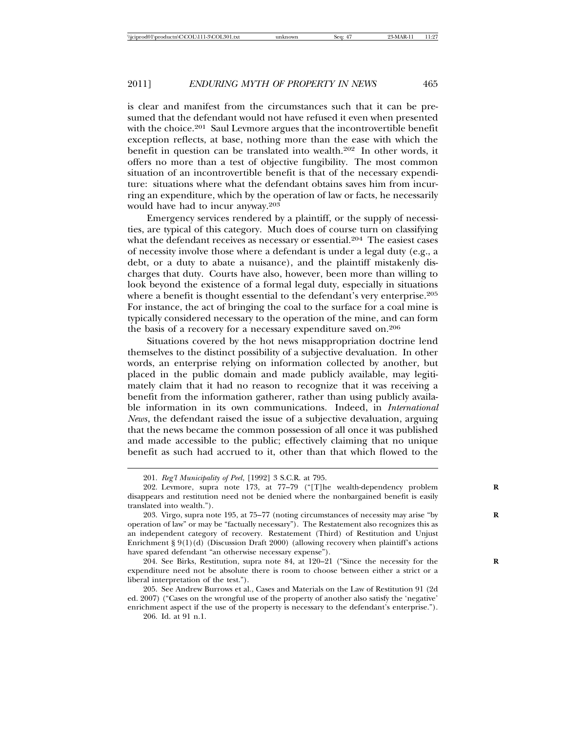is clear and manifest from the circumstances such that it can be presumed that the defendant would not have refused it even when presented with the choice.<sup>201</sup> Saul Levmore argues that the incontrovertible benefit exception reflects, at base, nothing more than the ease with which the benefit in question can be translated into wealth.202 In other words, it offers no more than a test of objective fungibility. The most common situation of an incontrovertible benefit is that of the necessary expenditure: situations where what the defendant obtains saves him from incurring an expenditure, which by the operation of law or facts, he necessarily would have had to incur anyway.<sup>203</sup>

Emergency services rendered by a plaintiff, or the supply of necessities, are typical of this category. Much does of course turn on classifying what the defendant receives as necessary or essential.<sup>204</sup> The easiest cases of necessity involve those where a defendant is under a legal duty (e.g., a debt, or a duty to abate a nuisance), and the plaintiff mistakenly discharges that duty. Courts have also, however, been more than willing to look beyond the existence of a formal legal duty, especially in situations where a benefit is thought essential to the defendant's very enterprise.<sup>205</sup> For instance, the act of bringing the coal to the surface for a coal mine is typically considered necessary to the operation of the mine, and can form the basis of a recovery for a necessary expenditure saved on.<sup>206</sup>

Situations covered by the hot news misappropriation doctrine lend themselves to the distinct possibility of a subjective devaluation. In other words, an enterprise relying on information collected by another, but placed in the public domain and made publicly available, may legitimately claim that it had no reason to recognize that it was receiving a benefit from the information gatherer, rather than using publicly available information in its own communications. Indeed, in *International News*, the defendant raised the issue of a subjective devaluation, arguing that the news became the common possession of all once it was published and made accessible to the public; effectively claiming that no unique benefit as such had accrued to it, other than that which flowed to the

204. See Birks, Restitution, supra note 84, at 120-21 ("Since the necessity for the expenditure need not be absolute there is room to choose between either a strict or a liberal interpretation of the test.").

205. See Andrew Burrows et al., Cases and Materials on the Law of Restitution 91 (2d ed. 2007) ("Cases on the wrongful use of the property of another also satisfy the 'negative' enrichment aspect if the use of the property is necessary to the defendant's enterprise.").

206. Id. at 91 n.1.

<sup>201.</sup> *Reg'l Municipality of Peel*, [1992] 3 S.C.R. at 795.

<sup>202.</sup> Levmore, supra note 173, at 77-79 ("[T]he wealth-dependency problem disappears and restitution need not be denied where the nonbargained benefit is easily translated into wealth.").

<sup>203.</sup> Virgo, supra note 195, at 75–77 (noting circumstances of necessity may arise "by **R** operation of law" or may be "factually necessary"). The Restatement also recognizes this as an independent category of recovery. Restatement (Third) of Restitution and Unjust Enrichment  $\S 9(1)(d)$  (Discussion Draft 2000) (allowing recovery when plaintiff's actions have spared defendant "an otherwise necessary expense").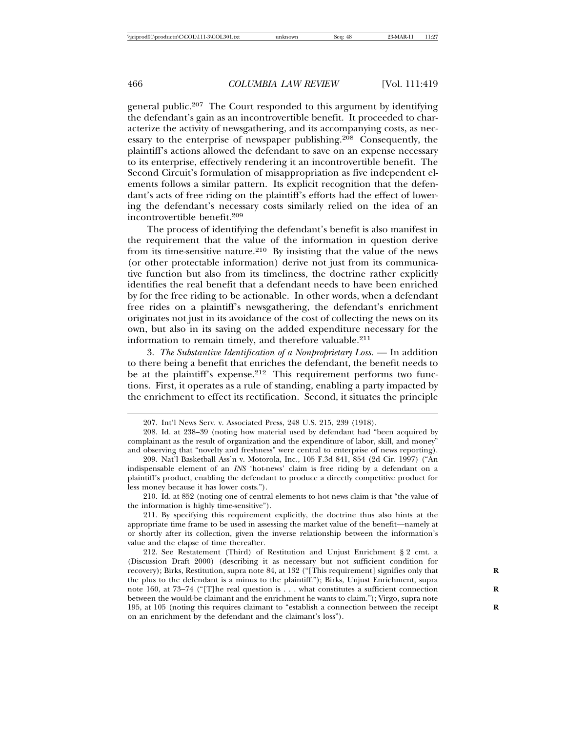general public.207 The Court responded to this argument by identifying the defendant's gain as an incontrovertible benefit. It proceeded to characterize the activity of newsgathering, and its accompanying costs, as necessary to the enterprise of newspaper publishing.208 Consequently, the plaintiff's actions allowed the defendant to save on an expense necessary to its enterprise, effectively rendering it an incontrovertible benefit. The Second Circuit's formulation of misappropriation as five independent elements follows a similar pattern. Its explicit recognition that the defendant's acts of free riding on the plaintiff's efforts had the effect of lowering the defendant's necessary costs similarly relied on the idea of an incontrovertible benefit.<sup>209</sup>

The process of identifying the defendant's benefit is also manifest in the requirement that the value of the information in question derive from its time-sensitive nature.<sup>210</sup> By insisting that the value of the news (or other protectable information) derive not just from its communicative function but also from its timeliness, the doctrine rather explicitly identifies the real benefit that a defendant needs to have been enriched by for the free riding to be actionable. In other words, when a defendant free rides on a plaintiff's newsgathering, the defendant's enrichment originates not just in its avoidance of the cost of collecting the news on its own, but also in its saving on the added expenditure necessary for the information to remain timely, and therefore valuable.<sup>211</sup>

3. *The Substantive Identification of a Nonproprietary Loss.* — In addition to there being a benefit that enriches the defendant, the benefit needs to be at the plaintiff's expense.<sup>212</sup> This requirement performs two functions. First, it operates as a rule of standing, enabling a party impacted by the enrichment to effect its rectification. Second, it situates the principle

210. Id. at 852 (noting one of central elements to hot news claim is that "the value of the information is highly time-sensitive").

211. By specifying this requirement explicitly, the doctrine thus also hints at the appropriate time frame to be used in assessing the market value of the benefit—namely at or shortly after its collection, given the inverse relationship between the information's value and the elapse of time thereafter.

212. See Restatement (Third) of Restitution and Unjust Enrichment § 2 cmt. a (Discussion Draft 2000) (describing it as necessary but not sufficient condition for recovery); Birks, Restitution, supra note 84, at 132 ("[This requirement] signifies only that **R** the plus to the defendant is a minus to the plaintiff."); Birks, Unjust Enrichment, supra note 160, at 73–74 ("[T]he real question is . . . what constitutes a sufficient connection **R** between the would-be claimant and the enrichment he wants to claim."); Virgo, supra note 195, at 105 (noting this requires claimant to "establish a connection between the receipt **R** on an enrichment by the defendant and the claimant's loss").

<sup>207.</sup> Int'l News Serv. v. Associated Press, 248 U.S. 215, 239 (1918).

<sup>208.</sup> Id. at 238–39 (noting how material used by defendant had "been acquired by complainant as the result of organization and the expenditure of labor, skill, and money" and observing that "novelty and freshness" were central to enterprise of news reporting).

<sup>209.</sup> Nat'l Basketball Ass'n v. Motorola, Inc., 105 F.3d 841, 854 (2d Cir. 1997) ("An indispensable element of an *INS* 'hot-news' claim is free riding by a defendant on a plaintiff's product, enabling the defendant to produce a directly competitive product for less money because it has lower costs.").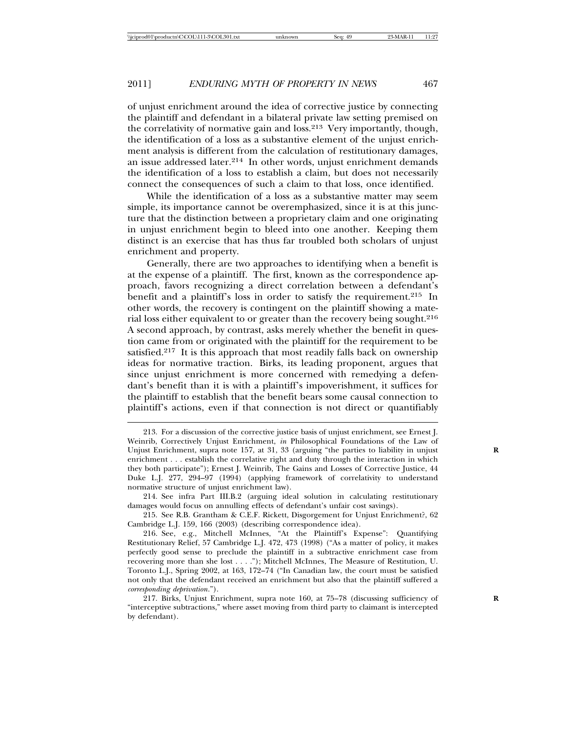of unjust enrichment around the idea of corrective justice by connecting the plaintiff and defendant in a bilateral private law setting premised on the correlativity of normative gain and loss.213 Very importantly, though, the identification of a loss as a substantive element of the unjust enrichment analysis is different from the calculation of restitutionary damages, an issue addressed later.214 In other words, unjust enrichment demands the identification of a loss to establish a claim, but does not necessarily connect the consequences of such a claim to that loss, once identified.

While the identification of a loss as a substantive matter may seem simple, its importance cannot be overemphasized, since it is at this juncture that the distinction between a proprietary claim and one originating in unjust enrichment begin to bleed into one another. Keeping them distinct is an exercise that has thus far troubled both scholars of unjust enrichment and property.

Generally, there are two approaches to identifying when a benefit is at the expense of a plaintiff. The first, known as the correspondence approach, favors recognizing a direct correlation between a defendant's benefit and a plaintiff's loss in order to satisfy the requirement.<sup>215</sup> In other words, the recovery is contingent on the plaintiff showing a material loss either equivalent to or greater than the recovery being sought.<sup>216</sup> A second approach, by contrast, asks merely whether the benefit in question came from or originated with the plaintiff for the requirement to be satisfied.<sup>217</sup> It is this approach that most readily falls back on ownership ideas for normative traction. Birks, its leading proponent, argues that since unjust enrichment is more concerned with remedying a defendant's benefit than it is with a plaintiff's impoverishment, it suffices for the plaintiff to establish that the benefit bears some causal connection to plaintiff's actions, even if that connection is not direct or quantifiably

<sup>213.</sup> For a discussion of the corrective justice basis of unjust enrichment, see Ernest J. Weinrib, Correctively Unjust Enrichment, *in* Philosophical Foundations of the Law of Unjust Enrichment, supra note 157, at 31, 33 (arguing "the parties to liability in unjust **R** enrichment . . . establish the correlative right and duty through the interaction in which they both participate"); Ernest J. Weinrib, The Gains and Losses of Corrective Justice, 44 Duke L.J. 277, 294–97 (1994) (applying framework of correlativity to understand normative structure of unjust enrichment law).

<sup>214.</sup> See infra Part III.B.2 (arguing ideal solution in calculating restitutionary damages would focus on annulling effects of defendant's unfair cost savings).

<sup>215.</sup> See R.B. Grantham & C.E.F. Rickett, Disgorgement for Unjust Enrichment?, 62 Cambridge L.J. 159, 166 (2003) (describing correspondence idea).

<sup>216.</sup> See, e.g., Mitchell McInnes, "At the Plaintiff's Expense": Quantifying Restitutionary Relief, 57 Cambridge L.J. 472, 473 (1998) ("As a matter of policy, it makes perfectly good sense to preclude the plaintiff in a subtractive enrichment case from recovering more than she lost . . . ."); Mitchell McInnes, The Measure of Restitution, U. Toronto L.J., Spring 2002, at 163, 172–74 ("In Canadian law, the court must be satisfied not only that the defendant received an enrichment but also that the plaintiff suffered a *corresponding deprivation*.").

<sup>217.</sup> Birks, Unjust Enrichment, supra note 160, at 75–78 (discussing sufficiency of **R** "interceptive subtractions," where asset moving from third party to claimant is intercepted by defendant).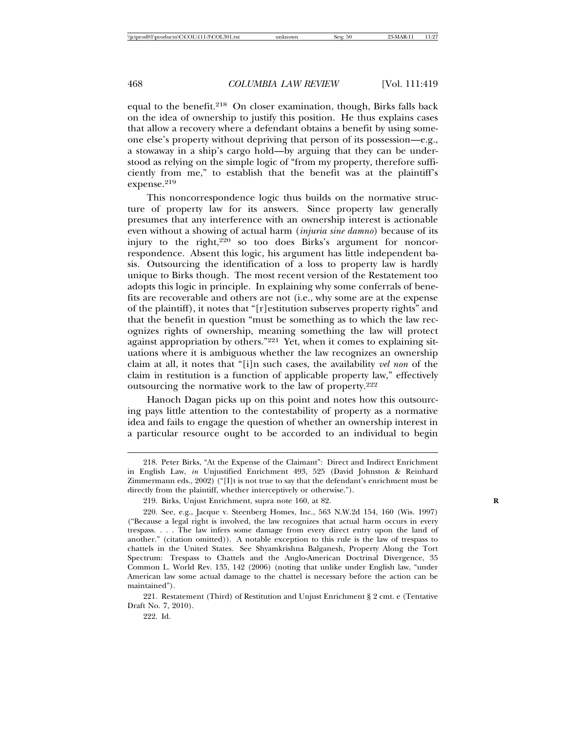equal to the benefit.<sup>218</sup> On closer examination, though, Birks falls back on the idea of ownership to justify this position. He thus explains cases that allow a recovery where a defendant obtains a benefit by using someone else's property without depriving that person of its possession—e.g., a stowaway in a ship's cargo hold—by arguing that they can be understood as relying on the simple logic of "from my property, therefore sufficiently from me," to establish that the benefit was at the plaintiff's expense.<sup>219</sup>

This noncorrespondence logic thus builds on the normative structure of property law for its answers. Since property law generally presumes that any interference with an ownership interest is actionable even without a showing of actual harm (*injuria sine damno*) because of its injury to the right, $220$  so too does Birks's argument for noncorrespondence. Absent this logic, his argument has little independent basis. Outsourcing the identification of a loss to property law is hardly unique to Birks though. The most recent version of the Restatement too adopts this logic in principle. In explaining why some conferrals of benefits are recoverable and others are not (i.e., why some are at the expense of the plaintiff), it notes that "[r]estitution subserves property rights" and that the benefit in question "must be something as to which the law recognizes rights of ownership, meaning something the law will protect against appropriation by others."221 Yet, when it comes to explaining situations where it is ambiguous whether the law recognizes an ownership claim at all, it notes that "[i]n such cases, the availability *vel non* of the claim in restitution is a function of applicable property law," effectively outsourcing the normative work to the law of property.<sup>222</sup>

Hanoch Dagan picks up on this point and notes how this outsourcing pays little attention to the contestability of property as a normative idea and fails to engage the question of whether an ownership interest in a particular resource ought to be accorded to an individual to begin

221. Restatement (Third) of Restitution and Unjust Enrichment § 2 cmt. e (Tentative Draft No. 7, 2010).

222. Id.

<sup>218.</sup> Peter Birks, "At the Expense of the Claimant": Direct and Indirect Enrichment in English Law, *in* Unjustified Enrichment 493, 525 (David Johnston & Reinhard Zimmermann eds., 2002) ("[I]t is not true to say that the defendant's enrichment must be directly from the plaintiff, whether interceptively or otherwise.").

<sup>219.</sup> Birks, Unjust Enrichment, supra note 160, at 82. **R**

<sup>220.</sup> See, e.g., Jacque v. Steenberg Homes, Inc., 563 N.W.2d 154, 160 (Wis. 1997) ("Because a legal right is involved, the law recognizes that actual harm occurs in every trespass. . . . The law infers some damage from every direct entry upon the land of another." (citation omitted)). A notable exception to this rule is the law of trespass to chattels in the United States. See Shyamkrishna Balganesh, Property Along the Tort Spectrum: Trespass to Chattels and the Anglo-American Doctrinal Divergence, 35 Common L. World Rev. 135, 142 (2006) (noting that unlike under English law, "under American law some actual damage to the chattel is necessary before the action can be maintained").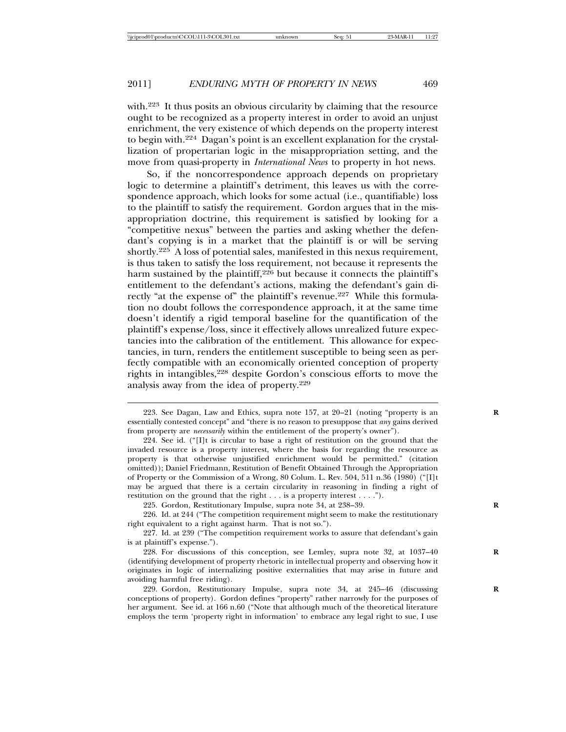with.223 It thus posits an obvious circularity by claiming that the resource ought to be recognized as a property interest in order to avoid an unjust enrichment, the very existence of which depends on the property interest to begin with.224 Dagan's point is an excellent explanation for the crystallization of propertarian logic in the misappropriation setting, and the move from quasi-property in *International News* to property in hot news.

So, if the noncorrespondence approach depends on proprietary logic to determine a plaintiff's detriment, this leaves us with the correspondence approach, which looks for some actual (i.e., quantifiable) loss to the plaintiff to satisfy the requirement. Gordon argues that in the misappropriation doctrine, this requirement is satisfied by looking for a "competitive nexus" between the parties and asking whether the defendant's copying is in a market that the plaintiff is or will be serving shortly.225 A loss of potential sales, manifested in this nexus requirement, is thus taken to satisfy the loss requirement, not because it represents the harm sustained by the plaintiff,<sup>226</sup> but because it connects the plaintiff's entitlement to the defendant's actions, making the defendant's gain directly "at the expense of" the plaintiff's revenue.<sup>227</sup> While this formulation no doubt follows the correspondence approach, it at the same time doesn't identify a rigid temporal baseline for the quantification of the plaintiff's expense/loss, since it effectively allows unrealized future expectancies into the calibration of the entitlement. This allowance for expectancies, in turn, renders the entitlement susceptible to being seen as perfectly compatible with an economically oriented conception of property rights in intangibles,228 despite Gordon's conscious efforts to move the analysis away from the idea of property.<sup>229</sup>

<sup>223.</sup> See Dagan, Law and Ethics, supra note 157, at 20-21 (noting "property is an essentially contested concept" and "there is no reason to presuppose that *any* gains derived from property are *necessarily* within the entitlement of the property's owner").

<sup>224.</sup> See id. ("[I]t is circular to base a right of restitution on the ground that the invaded resource is a property interest, where the basis for regarding the resource as property is that otherwise unjustified enrichment would be permitted." (citation omitted)); Daniel Friedmann, Restitution of Benefit Obtained Through the Appropriation of Property or the Commission of a Wrong, 80 Colum. L. Rev. 504, 511 n.36 (1980) ("[I]t may be argued that there is a certain circularity in reasoning in finding a right of restitution on the ground that the right . . . is a property interest . . . .").

<sup>225.</sup> Gordon, Restitutionary Impulse, supra note 34, at 238–39. **R**

<sup>226.</sup> Id. at 244 ("The competition requirement might seem to make the restitutionary right equivalent to a right against harm. That is not so.").

<sup>227.</sup> Id. at 239 ("The competition requirement works to assure that defendant's gain is at plaintiff's expense.").

<sup>228.</sup> For discussions of this conception, see Lemley, supra note 32, at 1037–40 **R** (identifying development of property rhetoric in intellectual property and observing how it originates in logic of internalizing positive externalities that may arise in future and avoiding harmful free riding).

<sup>229.</sup> Gordon, Restitutionary Impulse, supra note 34, at 245-46 (discussing conceptions of property). Gordon defines "property" rather narrowly for the purposes of her argument. See id. at 166 n.60 ("Note that although much of the theoretical literature employs the term 'property right in information' to embrace any legal right to sue, I use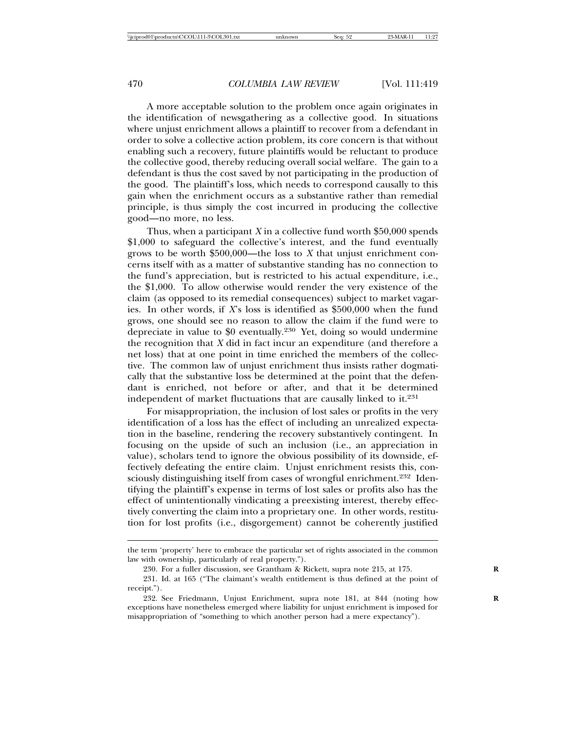A more acceptable solution to the problem once again originates in the identification of newsgathering as a collective good. In situations where unjust enrichment allows a plaintiff to recover from a defendant in order to solve a collective action problem, its core concern is that without enabling such a recovery, future plaintiffs would be reluctant to produce the collective good, thereby reducing overall social welfare. The gain to a defendant is thus the cost saved by not participating in the production of the good. The plaintiff's loss, which needs to correspond causally to this gain when the enrichment occurs as a substantive rather than remedial principle, is thus simply the cost incurred in producing the collective good—no more, no less.

Thus, when a participant *X* in a collective fund worth \$50,000 spends \$1,000 to safeguard the collective's interest, and the fund eventually grows to be worth \$500,000—the loss to *X* that unjust enrichment concerns itself with as a matter of substantive standing has no connection to the fund's appreciation, but is restricted to his actual expenditure, i.e., the \$1,000. To allow otherwise would render the very existence of the claim (as opposed to its remedial consequences) subject to market vagaries. In other words, if *X*'s loss is identified as \$500,000 when the fund grows, one should see no reason to allow the claim if the fund were to depreciate in value to \$0 eventually.230 Yet, doing so would undermine the recognition that *X* did in fact incur an expenditure (and therefore a net loss) that at one point in time enriched the members of the collective. The common law of unjust enrichment thus insists rather dogmatically that the substantive loss be determined at the point that the defendant is enriched, not before or after, and that it be determined independent of market fluctuations that are causally linked to it.<sup>231</sup>

For misappropriation, the inclusion of lost sales or profits in the very identification of a loss has the effect of including an unrealized expectation in the baseline, rendering the recovery substantively contingent. In focusing on the upside of such an inclusion (i.e., an appreciation in value), scholars tend to ignore the obvious possibility of its downside, effectively defeating the entire claim. Unjust enrichment resists this, consciously distinguishing itself from cases of wrongful enrichment.<sup>232</sup> Identifying the plaintiff's expense in terms of lost sales or profits also has the effect of unintentionally vindicating a preexisting interest, thereby effectively converting the claim into a proprietary one. In other words, restitution for lost profits (i.e., disgorgement) cannot be coherently justified

the term 'property' here to embrace the particular set of rights associated in the common law with ownership, particularly of real property.").

<sup>230.</sup> For a fuller discussion, see Grantham & Rickett, supra note 215, at 175. **R**

<sup>231.</sup> Id. at 165 ("The claimant's wealth entitlement is thus defined at the point of receipt.").

<sup>232.</sup> See Friedmann, Unjust Enrichment, supra note 181, at 844 (noting how exceptions have nonetheless emerged where liability for unjust enrichment is imposed for misappropriation of "something to which another person had a mere expectancy").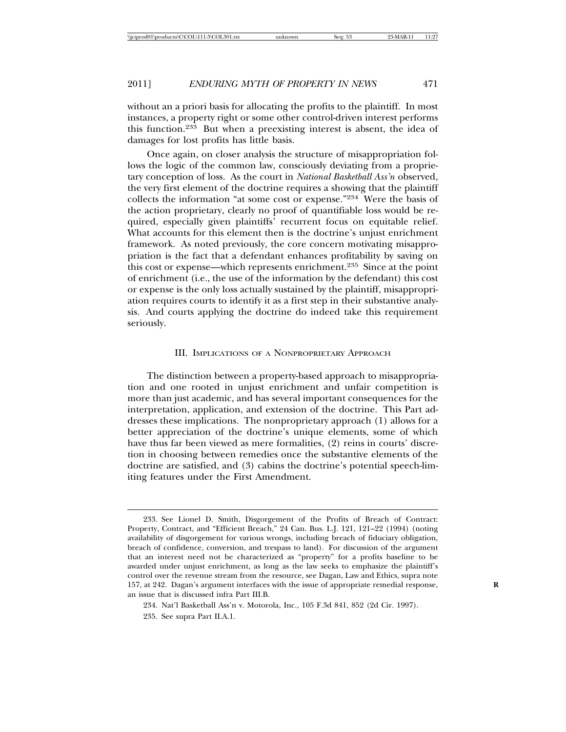without an a priori basis for allocating the profits to the plaintiff. In most instances, a property right or some other control-driven interest performs this function.233 But when a preexisting interest is absent, the idea of damages for lost profits has little basis.

Once again, on closer analysis the structure of misappropriation follows the logic of the common law, consciously deviating from a proprietary conception of loss. As the court in *National Basketball Ass'n* observed, the very first element of the doctrine requires a showing that the plaintiff collects the information "at some cost or expense."234 Were the basis of the action proprietary, clearly no proof of quantifiable loss would be required, especially given plaintiffs' recurrent focus on equitable relief. What accounts for this element then is the doctrine's unjust enrichment framework. As noted previously, the core concern motivating misappropriation is the fact that a defendant enhances profitability by saving on this cost or expense—which represents enrichment.235 Since at the point of enrichment (i.e., the use of the information by the defendant) this cost or expense is the only loss actually sustained by the plaintiff, misappropriation requires courts to identify it as a first step in their substantive analysis. And courts applying the doctrine do indeed take this requirement seriously.

# III. IMPLICATIONS OF A NONPROPRIETARY APPROACH

The distinction between a property-based approach to misappropriation and one rooted in unjust enrichment and unfair competition is more than just academic, and has several important consequences for the interpretation, application, and extension of the doctrine. This Part addresses these implications. The nonproprietary approach (1) allows for a better appreciation of the doctrine's unique elements, some of which have thus far been viewed as mere formalities, (2) reins in courts' discretion in choosing between remedies once the substantive elements of the doctrine are satisfied, and (3) cabins the doctrine's potential speech-limiting features under the First Amendment.

<sup>233.</sup> See Lionel D. Smith, Disgorgement of the Profits of Breach of Contract: Property, Contract, and "Efficient Breach," 24 Can. Bus. L.J. 121, 121–22 (1994) (noting availability of disgorgement for various wrongs, including breach of fiduciary obligation, breach of confidence, conversion, and trespass to land). For discussion of the argument that an interest need not be characterized as "property" for a profits baseline to be awarded under unjust enrichment, as long as the law seeks to emphasize the plaintiff's control over the revenue stream from the resource, see Dagan, Law and Ethics, supra note 157, at 242. Dagan's argument interfaces with the issue of appropriate remedial response, **R** an issue that is discussed infra Part III.B.

<sup>234.</sup> Nat'l Basketball Ass'n v. Motorola, Inc., 105 F.3d 841, 852 (2d Cir. 1997). 235. See supra Part II.A.1.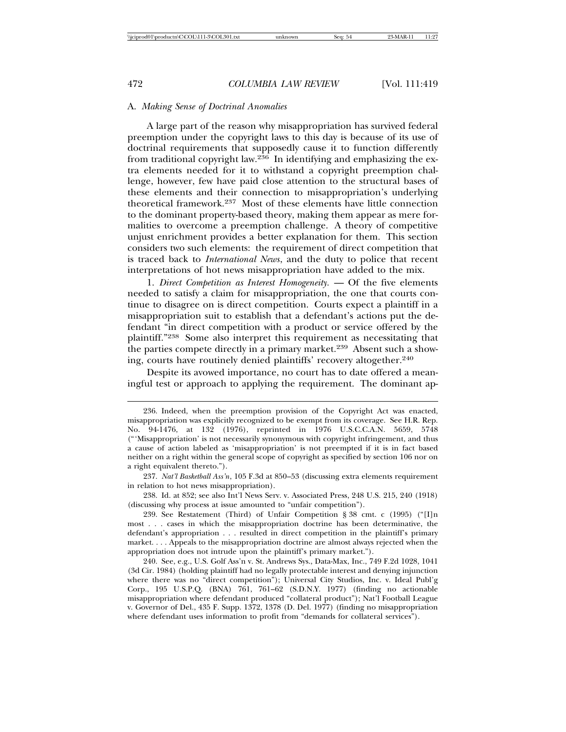# A. *Making Sense of Doctrinal Anomalies*

A large part of the reason why misappropriation has survived federal preemption under the copyright laws to this day is because of its use of doctrinal requirements that supposedly cause it to function differently from traditional copyright law.236 In identifying and emphasizing the extra elements needed for it to withstand a copyright preemption challenge, however, few have paid close attention to the structural bases of these elements and their connection to misappropriation's underlying theoretical framework.237 Most of these elements have little connection to the dominant property-based theory, making them appear as mere formalities to overcome a preemption challenge. A theory of competitive unjust enrichment provides a better explanation for them. This section considers two such elements: the requirement of direct competition that is traced back to *International News*, and the duty to police that recent interpretations of hot news misappropriation have added to the mix.

1. *Direct Competition as Interest Homogeneity.* — Of the five elements needed to satisfy a claim for misappropriation, the one that courts continue to disagree on is direct competition. Courts expect a plaintiff in a misappropriation suit to establish that a defendant's actions put the defendant "in direct competition with a product or service offered by the plaintiff."238 Some also interpret this requirement as necessitating that the parties compete directly in a primary market.<sup>239</sup> Absent such a showing, courts have routinely denied plaintiffs' recovery altogether.<sup>240</sup>

Despite its avowed importance, no court has to date offered a meaningful test or approach to applying the requirement. The dominant ap-

<sup>236.</sup> Indeed, when the preemption provision of the Copyright Act was enacted, misappropriation was explicitly recognized to be exempt from its coverage. See H.R. Rep. No. 94-1476, at 132 (1976), reprinted in 1976 U.S.C.C.A.N. 5659, 5748 ("'Misappropriation' is not necessarily synonymous with copyright infringement, and thus a cause of action labeled as 'misappropriation' is not preempted if it is in fact based neither on a right within the general scope of copyright as specified by section 106 nor on a right equivalent thereto.").

<sup>237.</sup> *Nat'l Basketball Ass'n*, 105 F.3d at 850–53 (discussing extra elements requirement in relation to hot news misappropriation).

<sup>238.</sup> Id. at 852; see also Int'l News Serv. v. Associated Press, 248 U.S. 215, 240 (1918) (discussing why process at issue amounted to "unfair competition").

<sup>239.</sup> See Restatement (Third) of Unfair Competition § 38 cmt. c (1995) ("[I]n most . . . cases in which the misappropriation doctrine has been determinative, the defendant's appropriation . . . resulted in direct competition in the plaintiff's primary market. . . . Appeals to the misappropriation doctrine are almost always rejected when the appropriation does not intrude upon the plaintiff's primary market.").

<sup>240.</sup> See, e.g., U.S. Golf Ass'n v. St. Andrews Sys., Data-Max, Inc., 749 F.2d 1028, 1041 (3d Cir. 1984) (holding plaintiff had no legally protectable interest and denying injunction where there was no "direct competition"); Universal City Studios, Inc. v. Ideal Publ'g Corp., 195 U.S.P.Q. (BNA) 761, 761–62 (S.D.N.Y. 1977) (finding no actionable misappropriation where defendant produced "collateral product"); Nat'l Football League v. Governor of Del., 435 F. Supp. 1372, 1378 (D. Del. 1977) (finding no misappropriation where defendant uses information to profit from "demands for collateral services").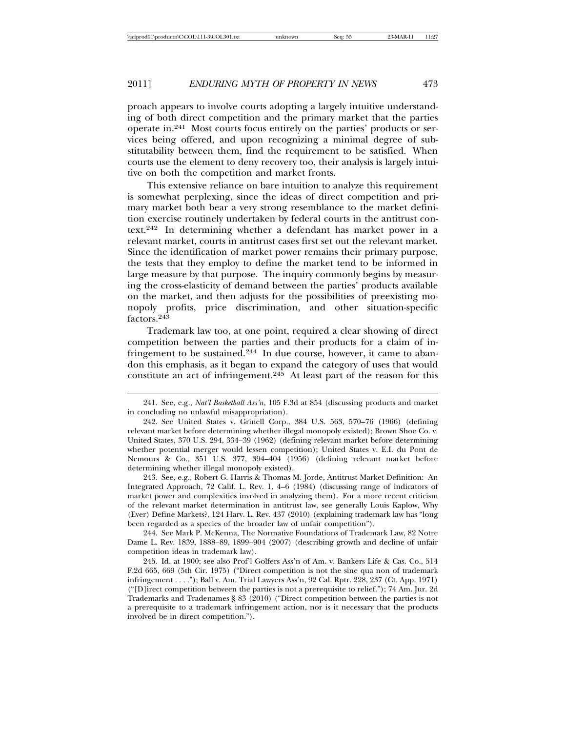proach appears to involve courts adopting a largely intuitive understanding of both direct competition and the primary market that the parties operate in.241 Most courts focus entirely on the parties' products or services being offered, and upon recognizing a minimal degree of substitutability between them, find the requirement to be satisfied. When courts use the element to deny recovery too, their analysis is largely intuitive on both the competition and market fronts.

This extensive reliance on bare intuition to analyze this requirement is somewhat perplexing, since the ideas of direct competition and primary market both bear a very strong resemblance to the market definition exercise routinely undertaken by federal courts in the antitrust context.242 In determining whether a defendant has market power in a relevant market, courts in antitrust cases first set out the relevant market. Since the identification of market power remains their primary purpose, the tests that they employ to define the market tend to be informed in large measure by that purpose. The inquiry commonly begins by measuring the cross-elasticity of demand between the parties' products available on the market, and then adjusts for the possibilities of preexisting monopoly profits, price discrimination, and other situation-specific factors.<sup>243</sup>

Trademark law too, at one point, required a clear showing of direct competition between the parties and their products for a claim of infringement to be sustained.<sup>244</sup> In due course, however, it came to abandon this emphasis, as it began to expand the category of uses that would constitute an act of infringement.245 At least part of the reason for this

243. See, e.g., Robert G. Harris & Thomas M. Jorde, Antitrust Market Definition: An Integrated Approach, 72 Calif. L. Rev. 1, 4–6 (1984) (discussing range of indicators of market power and complexities involved in analyzing them). For a more recent criticism of the relevant market determination in antitrust law, see generally Louis Kaplow, Why (Ever) Define Markets?, 124 Harv. L. Rev. 437 (2010) (explaining trademark law has "long been regarded as a species of the broader law of unfair competition").

244. See Mark P. McKenna, The Normative Foundations of Trademark Law, 82 Notre Dame L. Rev. 1839, 1888–89, 1899–904 (2007) (describing growth and decline of unfair competition ideas in trademark law).

245. Id. at 1900; see also Prof'l Golfers Ass'n of Am. v. Bankers Life & Cas. Co., 514 F.2d 665, 669 (5th Cir. 1975) ("Direct competition is not the sine qua non of trademark infringement . . . ."); Ball v. Am. Trial Lawyers Ass'n, 92 Cal. Rptr. 228, 237 (Ct. App. 1971) ("[D]irect competition between the parties is not a prerequisite to relief."); 74 Am. Jur. 2d Trademarks and Tradenames § 83 (2010) ("Direct competition between the parties is not a prerequisite to a trademark infringement action, nor is it necessary that the products involved be in direct competition.").

<sup>241.</sup> See, e.g., *Nat'l Basketball Ass'n*, 105 F.3d at 854 (discussing products and market in concluding no unlawful misappropriation).

<sup>242.</sup> See United States v. Grinell Corp., 384 U.S. 563, 570–76 (1966) (defining relevant market before determining whether illegal monopoly existed); Brown Shoe Co. v. United States, 370 U.S. 294, 334–39 (1962) (defining relevant market before determining whether potential merger would lessen competition); United States v. E.I. du Pont de Nemours & Co., 351 U.S. 377, 394–404 (1956) (defining relevant market before determining whether illegal monopoly existed).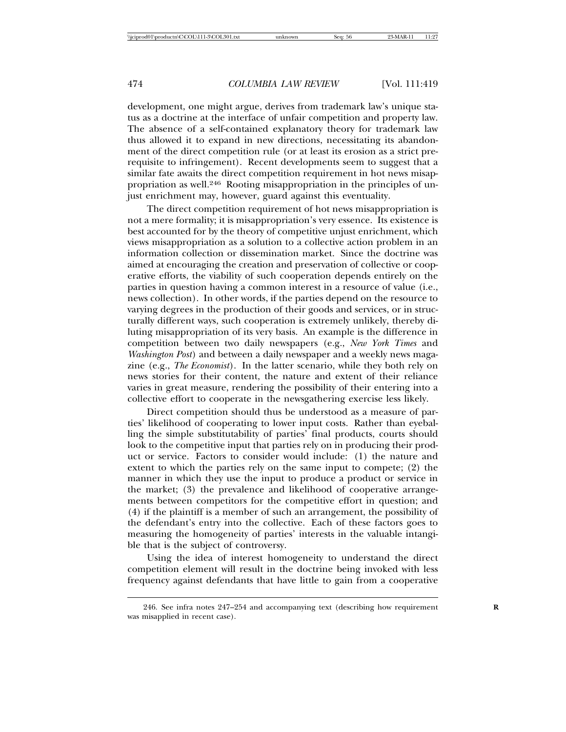development, one might argue, derives from trademark law's unique status as a doctrine at the interface of unfair competition and property law. The absence of a self-contained explanatory theory for trademark law thus allowed it to expand in new directions, necessitating its abandonment of the direct competition rule (or at least its erosion as a strict prerequisite to infringement). Recent developments seem to suggest that a similar fate awaits the direct competition requirement in hot news misappropriation as well.246 Rooting misappropriation in the principles of unjust enrichment may, however, guard against this eventuality.

The direct competition requirement of hot news misappropriation is not a mere formality; it is misappropriation's very essence. Its existence is best accounted for by the theory of competitive unjust enrichment, which views misappropriation as a solution to a collective action problem in an information collection or dissemination market. Since the doctrine was aimed at encouraging the creation and preservation of collective or cooperative efforts, the viability of such cooperation depends entirely on the parties in question having a common interest in a resource of value (i.e., news collection). In other words, if the parties depend on the resource to varying degrees in the production of their goods and services, or in structurally different ways, such cooperation is extremely unlikely, thereby diluting misappropriation of its very basis. An example is the difference in competition between two daily newspapers (e.g., *New York Times* and *Washington Post*) and between a daily newspaper and a weekly news magazine (e.g., *The Economist*). In the latter scenario, while they both rely on news stories for their content, the nature and extent of their reliance varies in great measure, rendering the possibility of their entering into a collective effort to cooperate in the newsgathering exercise less likely.

Direct competition should thus be understood as a measure of parties' likelihood of cooperating to lower input costs. Rather than eyeballing the simple substitutability of parties' final products, courts should look to the competitive input that parties rely on in producing their product or service. Factors to consider would include: (1) the nature and extent to which the parties rely on the same input to compete; (2) the manner in which they use the input to produce a product or service in the market; (3) the prevalence and likelihood of cooperative arrangements between competitors for the competitive effort in question; and (4) if the plaintiff is a member of such an arrangement, the possibility of the defendant's entry into the collective. Each of these factors goes to measuring the homogeneity of parties' interests in the valuable intangible that is the subject of controversy.

Using the idea of interest homogeneity to understand the direct competition element will result in the doctrine being invoked with less frequency against defendants that have little to gain from a cooperative

<sup>246.</sup> See infra notes 247–254 and accompanying text (describing how requirement **R** was misapplied in recent case).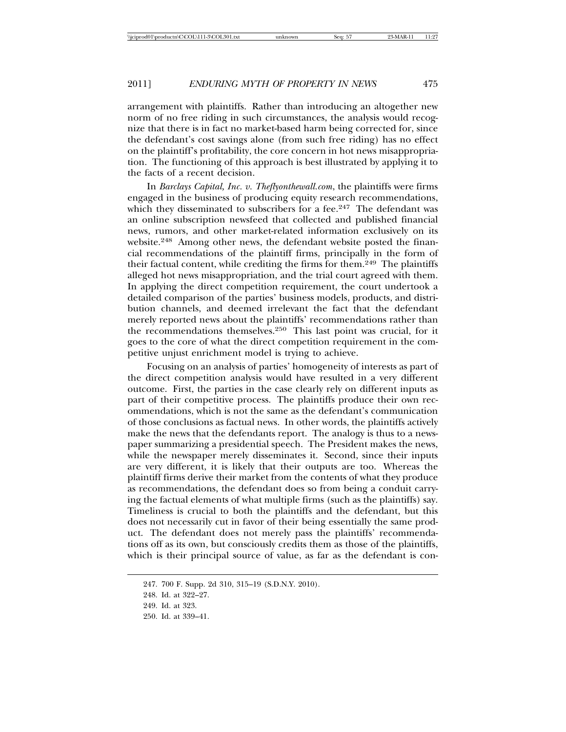arrangement with plaintiffs. Rather than introducing an altogether new norm of no free riding in such circumstances, the analysis would recognize that there is in fact no market-based harm being corrected for, since the defendant's cost savings alone (from such free riding) has no effect on the plaintiff's profitability, the core concern in hot news misappropriation. The functioning of this approach is best illustrated by applying it to the facts of a recent decision.

In *Barclays Capital, Inc. v. Theflyonthewall.com*, the plaintiffs were firms engaged in the business of producing equity research recommendations, which they disseminated to subscribers for a fee.<sup>247</sup> The defendant was an online subscription newsfeed that collected and published financial news, rumors, and other market-related information exclusively on its website.248 Among other news, the defendant website posted the financial recommendations of the plaintiff firms, principally in the form of their factual content, while crediting the firms for them.249 The plaintiffs alleged hot news misappropriation, and the trial court agreed with them. In applying the direct competition requirement, the court undertook a detailed comparison of the parties' business models, products, and distribution channels, and deemed irrelevant the fact that the defendant merely reported news about the plaintiffs' recommendations rather than the recommendations themselves.250 This last point was crucial, for it goes to the core of what the direct competition requirement in the competitive unjust enrichment model is trying to achieve.

Focusing on an analysis of parties' homogeneity of interests as part of the direct competition analysis would have resulted in a very different outcome. First, the parties in the case clearly rely on different inputs as part of their competitive process. The plaintiffs produce their own recommendations, which is not the same as the defendant's communication of those conclusions as factual news. In other words, the plaintiffs actively make the news that the defendants report. The analogy is thus to a newspaper summarizing a presidential speech. The President makes the news, while the newspaper merely disseminates it. Second, since their inputs are very different, it is likely that their outputs are too. Whereas the plaintiff firms derive their market from the contents of what they produce as recommendations, the defendant does so from being a conduit carrying the factual elements of what multiple firms (such as the plaintiffs) say. Timeliness is crucial to both the plaintiffs and the defendant, but this does not necessarily cut in favor of their being essentially the same product. The defendant does not merely pass the plaintiffs' recommendations off as its own, but consciously credits them as those of the plaintiffs, which is their principal source of value, as far as the defendant is con-

<sup>247. 700</sup> F. Supp. 2d 310, 315–19 (S.D.N.Y. 2010).

<sup>248.</sup> Id. at 322–27.

<sup>249.</sup> Id. at 323.

<sup>250.</sup> Id. at 339–41.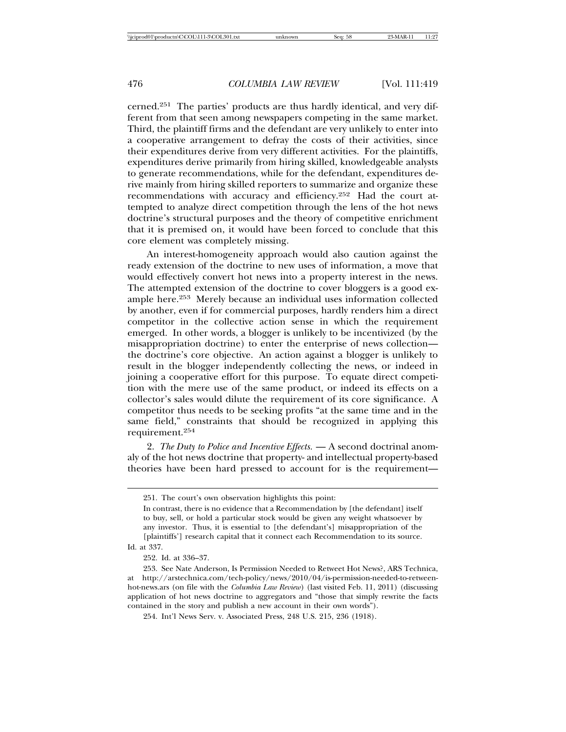cerned.251 The parties' products are thus hardly identical, and very different from that seen among newspapers competing in the same market. Third, the plaintiff firms and the defendant are very unlikely to enter into a cooperative arrangement to defray the costs of their activities, since their expenditures derive from very different activities. For the plaintiffs, expenditures derive primarily from hiring skilled, knowledgeable analysts to generate recommendations, while for the defendant, expenditures derive mainly from hiring skilled reporters to summarize and organize these recommendations with accuracy and efficiency.252 Had the court attempted to analyze direct competition through the lens of the hot news doctrine's structural purposes and the theory of competitive enrichment that it is premised on, it would have been forced to conclude that this core element was completely missing.

An interest-homogeneity approach would also caution against the ready extension of the doctrine to new uses of information, a move that would effectively convert hot news into a property interest in the news. The attempted extension of the doctrine to cover bloggers is a good example here.253 Merely because an individual uses information collected by another, even if for commercial purposes, hardly renders him a direct competitor in the collective action sense in which the requirement emerged. In other words, a blogger is unlikely to be incentivized (by the misappropriation doctrine) to enter the enterprise of news collection the doctrine's core objective. An action against a blogger is unlikely to result in the blogger independently collecting the news, or indeed in joining a cooperative effort for this purpose. To equate direct competition with the mere use of the same product, or indeed its effects on a collector's sales would dilute the requirement of its core significance. A competitor thus needs to be seeking profits "at the same time and in the same field," constraints that should be recognized in applying this requirement.<sup>254</sup>

2. *The Duty to Police and Incentive Effects.* — A second doctrinal anomaly of the hot news doctrine that property- and intellectual property-based theories have been hard pressed to account for is the requirement—

Id. at 337.

254. Int'l News Serv. v. Associated Press, 248 U.S. 215, 236 (1918).

<sup>251.</sup> The court's own observation highlights this point:

In contrast, there is no evidence that a Recommendation by [the defendant] itself to buy, sell, or hold a particular stock would be given any weight whatsoever by any investor. Thus, it is essential to [the defendant's] misappropriation of the [plaintiffs'] research capital that it connect each Recommendation to its source.

<sup>252.</sup> Id. at 336–37.

<sup>253.</sup> See Nate Anderson, Is Permission Needed to Retweet Hot News?, ARS Technica, at http://arstechnica.com/tech-policy/news/2010/04/is-permission-needed-to-retweenhot-news.ars (on file with the *Columbia Law Review*) (last visited Feb. 11, 2011) (discussing application of hot news doctrine to aggregators and "those that simply rewrite the facts contained in the story and publish a new account in their own words").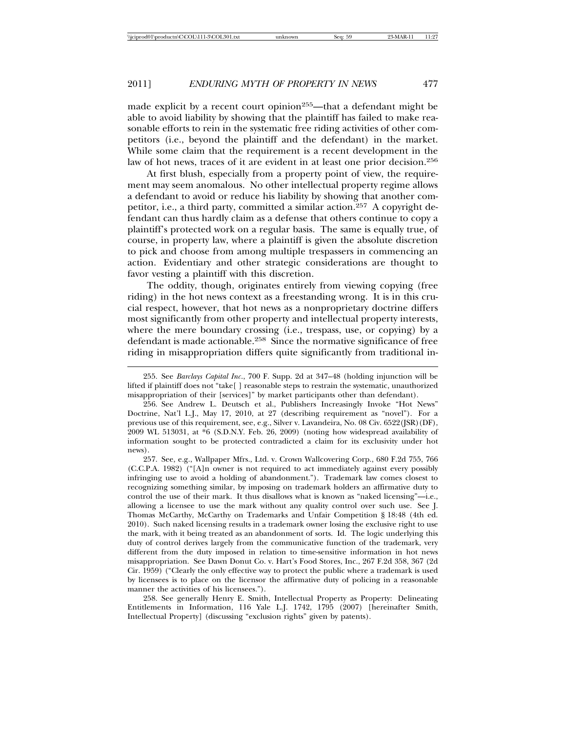made explicit by a recent court opinion<sup>255</sup>—that a defendant might be able to avoid liability by showing that the plaintiff has failed to make reasonable efforts to rein in the systematic free riding activities of other competitors (i.e., beyond the plaintiff and the defendant) in the market. While some claim that the requirement is a recent development in the law of hot news, traces of it are evident in at least one prior decision.<sup>256</sup>

At first blush, especially from a property point of view, the requirement may seem anomalous. No other intellectual property regime allows a defendant to avoid or reduce his liability by showing that another competitor, i.e., a third party, committed a similar action.<sup>257</sup> A copyright defendant can thus hardly claim as a defense that others continue to copy a plaintiff's protected work on a regular basis. The same is equally true, of course, in property law, where a plaintiff is given the absolute discretion to pick and choose from among multiple trespassers in commencing an action. Evidentiary and other strategic considerations are thought to favor vesting a plaintiff with this discretion.

The oddity, though, originates entirely from viewing copying (free riding) in the hot news context as a freestanding wrong. It is in this crucial respect, however, that hot news as a nonproprietary doctrine differs most significantly from other property and intellectual property interests, where the mere boundary crossing (i.e., trespass, use, or copying) by a defendant is made actionable.258 Since the normative significance of free riding in misappropriation differs quite significantly from traditional in-

257. See, e.g., Wallpaper Mfrs., Ltd. v. Crown Wallcovering Corp., 680 F.2d 755, 766 (C.C.P.A. 1982) ("[A]n owner is not required to act immediately against every possibly infringing use to avoid a holding of abandonment."). Trademark law comes closest to recognizing something similar, by imposing on trademark holders an affirmative duty to control the use of their mark. It thus disallows what is known as "naked licensing"—i.e., allowing a licensee to use the mark without any quality control over such use. See J. Thomas McCarthy, McCarthy on Trademarks and Unfair Competition § 18:48 (4th ed. 2010). Such naked licensing results in a trademark owner losing the exclusive right to use the mark, with it being treated as an abandonment of sorts. Id. The logic underlying this duty of control derives largely from the communicative function of the trademark, very different from the duty imposed in relation to time-sensitive information in hot news misappropriation. See Dawn Donut Co. v. Hart's Food Stores, Inc., 267 F.2d 358, 367 (2d Cir. 1959) ("Clearly the only effective way to protect the public where a trademark is used by licensees is to place on the licensor the affirmative duty of policing in a reasonable manner the activities of his licensees.").

258. See generally Henry E. Smith, Intellectual Property as Property: Delineating Entitlements in Information, 116 Yale L.J. 1742, 1795 (2007) [hereinafter Smith, Intellectual Property] (discussing "exclusion rights" given by patents).

<sup>255.</sup> See *Barclays Capital Inc*., 700 F. Supp. 2d at 347–48 (holding injunction will be lifted if plaintiff does not "take[ ] reasonable steps to restrain the systematic, unauthorized misappropriation of their [services]" by market participants other than defendant).

<sup>256.</sup> See Andrew L. Deutsch et al., Publishers Increasingly Invoke "Hot News" Doctrine, Nat'l L.J., May 17, 2010, at 27 (describing requirement as "novel"). For a previous use of this requirement, see, e.g., Silver v. Lavandeira, No. 08 Civ. 6522(JSR)(DF), 2009 WL 513031, at \*6 (S.D.N.Y. Feb. 26, 2009) (noting how widespread availability of information sought to be protected contradicted a claim for its exclusivity under hot news).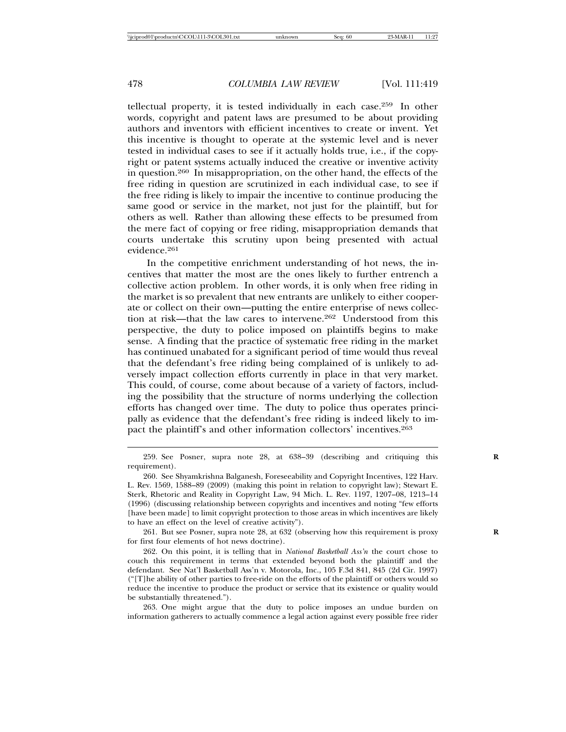tellectual property, it is tested individually in each case.259 In other words, copyright and patent laws are presumed to be about providing authors and inventors with efficient incentives to create or invent. Yet this incentive is thought to operate at the systemic level and is never tested in individual cases to see if it actually holds true, i.e., if the copyright or patent systems actually induced the creative or inventive activity in question.260 In misappropriation, on the other hand, the effects of the free riding in question are scrutinized in each individual case, to see if the free riding is likely to impair the incentive to continue producing the same good or service in the market, not just for the plaintiff, but for others as well. Rather than allowing these effects to be presumed from the mere fact of copying or free riding, misappropriation demands that courts undertake this scrutiny upon being presented with actual evidence.<sup>261</sup>

In the competitive enrichment understanding of hot news, the incentives that matter the most are the ones likely to further entrench a collective action problem. In other words, it is only when free riding in the market is so prevalent that new entrants are unlikely to either cooperate or collect on their own—putting the entire enterprise of news collection at risk—that the law cares to intervene.262 Understood from this perspective, the duty to police imposed on plaintiffs begins to make sense. A finding that the practice of systematic free riding in the market has continued unabated for a significant period of time would thus reveal that the defendant's free riding being complained of is unlikely to adversely impact collection efforts currently in place in that very market. This could, of course, come about because of a variety of factors, including the possibility that the structure of norms underlying the collection efforts has changed over time. The duty to police thus operates principally as evidence that the defendant's free riding is indeed likely to impact the plaintiff's and other information collectors' incentives.<sup>263</sup>

263. One might argue that the duty to police imposes an undue burden on information gatherers to actually commence a legal action against every possible free rider

<sup>259.</sup> See Posner, supra note 28, at 638–39 (describing and critiquing this **R** requirement).

<sup>260.</sup> See Shyamkrishna Balganesh, Foreseeability and Copyright Incentives, 122 Harv. L. Rev. 1569, 1588–89 (2009) (making this point in relation to copyright law); Stewart E. Sterk, Rhetoric and Reality in Copyright Law, 94 Mich. L. Rev. 1197, 1207–08, 1213–14 (1996) (discussing relationship between copyrights and incentives and noting "few efforts [have been made] to limit copyright protection to those areas in which incentives are likely to have an effect on the level of creative activity").

<sup>261.</sup> But see Posner, supra note 28, at 632 (observing how this requirement is proxy **R** for first four elements of hot news doctrine).

<sup>262.</sup> On this point, it is telling that in *National Basketball Ass'n* the court chose to couch this requirement in terms that extended beyond both the plaintiff and the defendant. See Nat'l Basketball Ass'n v. Motorola, Inc., 105 F.3d 841, 845 (2d Cir. 1997) ("[T]he ability of other parties to free-ride on the efforts of the plaintiff or others would so reduce the incentive to produce the product or service that its existence or quality would be substantially threatened.").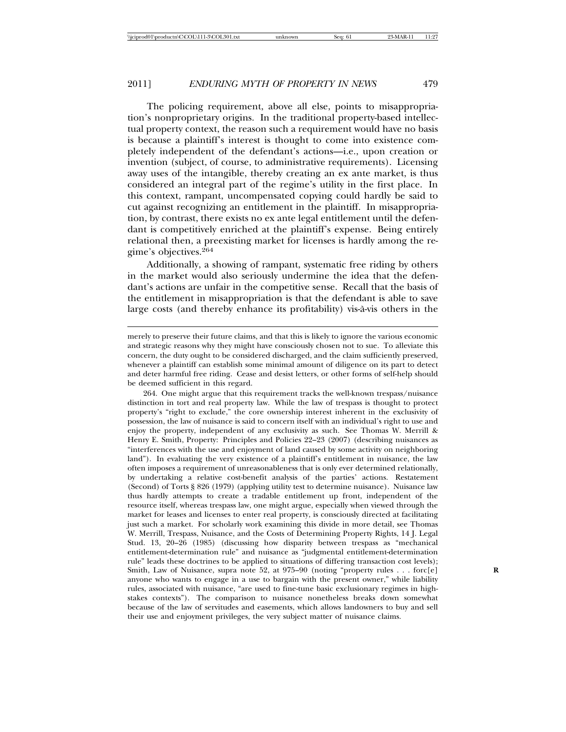tion's nonproprietary origins. In the traditional property-based intellectual property context, the reason such a requirement would have no basis is because a plaintiff's interest is thought to come into existence completely independent of the defendant's actions—i.e., upon creation or invention (subject, of course, to administrative requirements). Licensing away uses of the intangible, thereby creating an ex ante market, is thus considered an integral part of the regime's utility in the first place. In this context, rampant, uncompensated copying could hardly be said to cut against recognizing an entitlement in the plaintiff. In misappropriation, by contrast, there exists no ex ante legal entitlement until the defendant is competitively enriched at the plaintiff's expense. Being entirely relational then, a preexisting market for licenses is hardly among the regime's objectives.<sup>264</sup>

Additionally, a showing of rampant, systematic free riding by others in the market would also seriously undermine the idea that the defendant's actions are unfair in the competitive sense. Recall that the basis of the entitlement in misappropriation is that the defendant is able to save large costs (and thereby enhance its profitability) vis-à-vis others in the

264. One might argue that this requirement tracks the well-known trespass/nuisance distinction in tort and real property law. While the law of trespass is thought to protect property's "right to exclude," the core ownership interest inherent in the exclusivity of possession, the law of nuisance is said to concern itself with an individual's right to use and enjoy the property, independent of any exclusivity as such. See Thomas W. Merrill & Henry E. Smith, Property: Principles and Policies 22–23 (2007) (describing nuisances as "interferences with the use and enjoyment of land caused by some activity on neighboring land"). In evaluating the very existence of a plaintiff's entitlement in nuisance, the law often imposes a requirement of unreasonableness that is only ever determined relationally, by undertaking a relative cost-benefit analysis of the parties' actions. Restatement (Second) of Torts § 826 (1979) (applying utility test to determine nuisance). Nuisance law thus hardly attempts to create a tradable entitlement up front, independent of the resource itself, whereas trespass law, one might argue, especially when viewed through the market for leases and licenses to enter real property, is consciously directed at facilitating just such a market. For scholarly work examining this divide in more detail, see Thomas W. Merrill, Trespass, Nuisance, and the Costs of Determining Property Rights, 14 J. Legal Stud. 13, 20–26 (1985) (discussing how disparity between trespass as "mechanical entitlement-determination rule" and nuisance as "judgmental entitlement-determination rule" leads these doctrines to be applied to situations of differing transaction cost levels); Smith, Law of Nuisance, supra note 52, at 975–90 (noting "property rules . . . forc[e] anyone who wants to engage in a use to bargain with the present owner," while liability rules, associated with nuisance, "are used to fine-tune basic exclusionary regimes in highstakes contexts"). The comparison to nuisance nonetheless breaks down somewhat because of the law of servitudes and easements, which allows landowners to buy and sell their use and enjoyment privileges, the very subject matter of nuisance claims.

merely to preserve their future claims, and that this is likely to ignore the various economic and strategic reasons why they might have consciously chosen not to sue. To alleviate this concern, the duty ought to be considered discharged, and the claim sufficiently preserved, whenever a plaintiff can establish some minimal amount of diligence on its part to detect and deter harmful free riding. Cease and desist letters, or other forms of self-help should be deemed sufficient in this regard.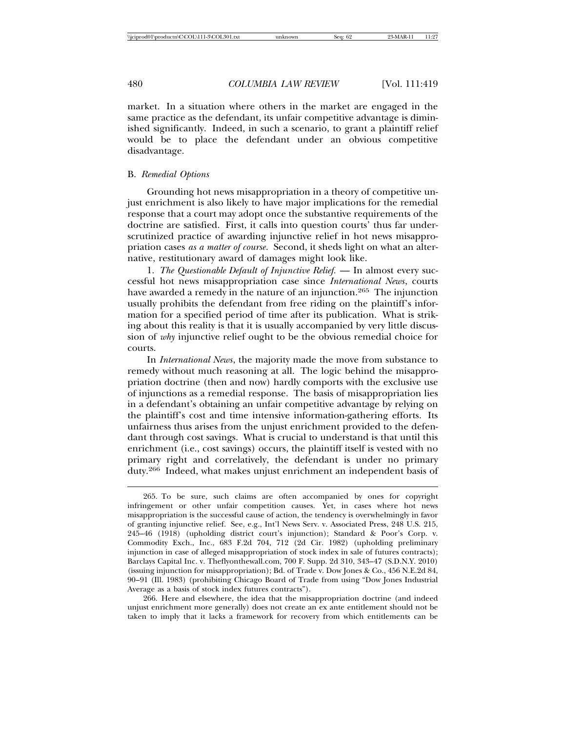market. In a situation where others in the market are engaged in the same practice as the defendant, its unfair competitive advantage is diminished significantly. Indeed, in such a scenario, to grant a plaintiff relief would be to place the defendant under an obvious competitive disadvantage.

#### B. *Remedial Options*

Grounding hot news misappropriation in a theory of competitive unjust enrichment is also likely to have major implications for the remedial response that a court may adopt once the substantive requirements of the doctrine are satisfied. First, it calls into question courts' thus far underscrutinized practice of awarding injunctive relief in hot news misappropriation cases *as a matter of course*. Second, it sheds light on what an alternative, restitutionary award of damages might look like.

1. *The Questionable Default of Injunctive Relief.* — In almost every successful hot news misappropriation case since *International News*, courts have awarded a remedy in the nature of an injunction.<sup>265</sup> The injunction usually prohibits the defendant from free riding on the plaintiff's information for a specified period of time after its publication. What is striking about this reality is that it is usually accompanied by very little discussion of *why* injunctive relief ought to be the obvious remedial choice for courts.

In *International News*, the majority made the move from substance to remedy without much reasoning at all. The logic behind the misappropriation doctrine (then and now) hardly comports with the exclusive use of injunctions as a remedial response. The basis of misappropriation lies in a defendant's obtaining an unfair competitive advantage by relying on the plaintiff's cost and time intensive information-gathering efforts. Its unfairness thus arises from the unjust enrichment provided to the defendant through cost savings. What is crucial to understand is that until this enrichment (i.e., cost savings) occurs, the plaintiff itself is vested with no primary right and correlatively, the defendant is under no primary duty.266 Indeed, what makes unjust enrichment an independent basis of

266. Here and elsewhere, the idea that the misappropriation doctrine (and indeed unjust enrichment more generally) does not create an ex ante entitlement should not be taken to imply that it lacks a framework for recovery from which entitlements can be

<sup>265.</sup> To be sure, such claims are often accompanied by ones for copyright infringement or other unfair competition causes. Yet, in cases where hot news misappropriation is the successful cause of action, the tendency is overwhelmingly in favor of granting injunctive relief. See, e.g., Int'l News Serv. v. Associated Press, 248 U.S. 215, 245–46 (1918) (upholding district court's injunction); Standard & Poor's Corp. v. Commodity Exch., Inc., 683 F.2d 704, 712 (2d Cir. 1982) (upholding preliminary injunction in case of alleged misappropriation of stock index in sale of futures contracts); Barclays Capital Inc. v. Theflyonthewall.com, 700 F. Supp. 2d 310, 343–47 (S.D.N.Y. 2010) (issuing injunction for misappropriation); Bd. of Trade v. Dow Jones & Co., 456 N.E.2d 84, 90–91 (Ill. 1983) (prohibiting Chicago Board of Trade from using "Dow Jones Industrial Average as a basis of stock index futures contracts").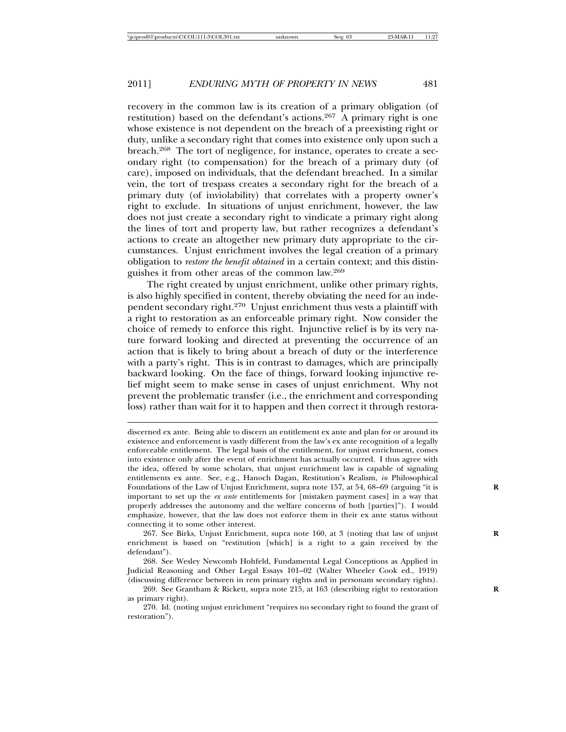recovery in the common law is its creation of a primary obligation (of restitution) based on the defendant's actions.<sup>267</sup> A primary right is one whose existence is not dependent on the breach of a preexisting right or duty, unlike a secondary right that comes into existence only upon such a breach.268 The tort of negligence, for instance, operates to create a secondary right (to compensation) for the breach of a primary duty (of care), imposed on individuals, that the defendant breached. In a similar vein, the tort of trespass creates a secondary right for the breach of a primary duty (of inviolability) that correlates with a property owner's right to exclude. In situations of unjust enrichment, however, the law does not just create a secondary right to vindicate a primary right along the lines of tort and property law, but rather recognizes a defendant's actions to create an altogether new primary duty appropriate to the circumstances. Unjust enrichment involves the legal creation of a primary obligation to *restore the benefit obtained* in a certain context; and this distinguishes it from other areas of the common law.<sup>269</sup>

The right created by unjust enrichment, unlike other primary rights, is also highly specified in content, thereby obviating the need for an independent secondary right.270 Unjust enrichment thus vests a plaintiff with a right to restoration as an enforceable primary right. Now consider the choice of remedy to enforce this right. Injunctive relief is by its very nature forward looking and directed at preventing the occurrence of an action that is likely to bring about a breach of duty or the interference with a party's right. This is in contrast to damages, which are principally backward looking. On the face of things, forward looking injunctive relief might seem to make sense in cases of unjust enrichment. Why not prevent the problematic transfer (i.e., the enrichment and corresponding loss) rather than wait for it to happen and then correct it through restora-

267. See Birks, Unjust Enrichment, supra note 160, at 3 (noting that law of unjust **R** enrichment is based on "restitution [which] is a right to a gain received by the defendant").

268. See Wesley Newcomb Hohfeld, Fundamental Legal Conceptions as Applied in Judicial Reasoning and Other Legal Essays 101–02 (Walter Wheeler Cook ed., 1919) (discussing difference between in rem primary rights and in personam secondary rights).

269. See Grantham & Rickett, supra note 215, at 163 (describing right to restoration **R** as primary right).

270. Id. (noting unjust enrichment "requires no secondary right to found the grant of restoration").

discerned ex ante. Being able to discern an entitlement ex ante and plan for or around its existence and enforcement is vastly different from the law's ex ante recognition of a legally enforceable entitlement. The legal basis of the entitlement, for unjust enrichment, comes into existence only after the event of enrichment has actually occurred. I thus agree with the idea, offered by some scholars, that unjust enrichment law is capable of signaling entitlements ex ante. See, e.g., Hanoch Dagan, Restitution's Realism, *in* Philosophical Foundations of the Law of Unjust Enrichment, supra note 157, at 54, 68–69 (arguing "it is **R** important to set up the *ex ante* entitlements for [mistaken payment cases] in a way that properly addresses the autonomy and the welfare concerns of both [parties]"). I would emphasize, however, that the law does not enforce them in their ex ante status without connecting it to some other interest.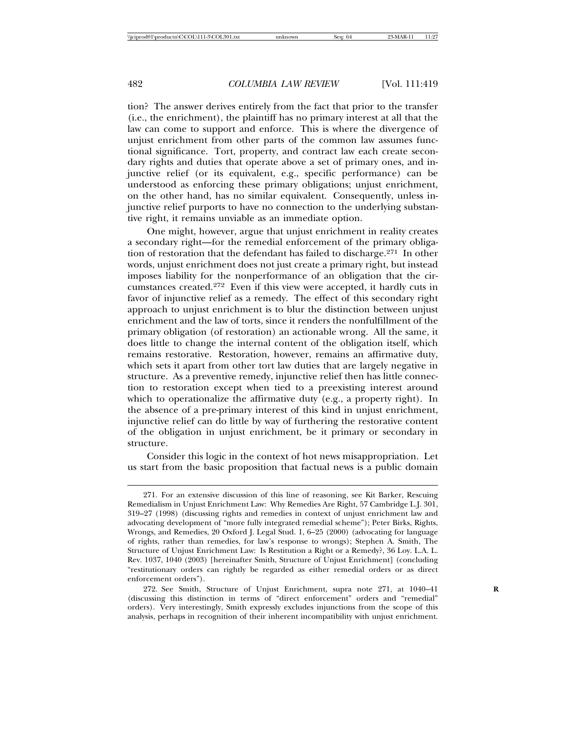tion? The answer derives entirely from the fact that prior to the transfer (i.e., the enrichment), the plaintiff has no primary interest at all that the law can come to support and enforce. This is where the divergence of unjust enrichment from other parts of the common law assumes functional significance. Tort, property, and contract law each create secondary rights and duties that operate above a set of primary ones, and injunctive relief (or its equivalent, e.g., specific performance) can be understood as enforcing these primary obligations; unjust enrichment, on the other hand, has no similar equivalent. Consequently, unless injunctive relief purports to have no connection to the underlying substantive right, it remains unviable as an immediate option.

One might, however, argue that unjust enrichment in reality creates a secondary right—for the remedial enforcement of the primary obligation of restoration that the defendant has failed to discharge.<sup>271</sup> In other words, unjust enrichment does not just create a primary right, but instead imposes liability for the nonperformance of an obligation that the circumstances created.272 Even if this view were accepted, it hardly cuts in favor of injunctive relief as a remedy. The effect of this secondary right approach to unjust enrichment is to blur the distinction between unjust enrichment and the law of torts, since it renders the nonfulfillment of the primary obligation (of restoration) an actionable wrong. All the same, it does little to change the internal content of the obligation itself, which remains restorative. Restoration, however, remains an affirmative duty, which sets it apart from other tort law duties that are largely negative in structure. As a preventive remedy, injunctive relief then has little connection to restoration except when tied to a preexisting interest around which to operationalize the affirmative duty (e.g., a property right). In the absence of a pre-primary interest of this kind in unjust enrichment, injunctive relief can do little by way of furthering the restorative content of the obligation in unjust enrichment, be it primary or secondary in structure.

Consider this logic in the context of hot news misappropriation. Let us start from the basic proposition that factual news is a public domain

<sup>271.</sup> For an extensive discussion of this line of reasoning, see Kit Barker, Rescuing Remedialism in Unjust Enrichment Law: Why Remedies Are Right, 57 Cambridge L.J. 301, 319–27 (1998) (discussing rights and remedies in context of unjust enrichment law and advocating development of "more fully integrated remedial scheme"); Peter Birks, Rights, Wrongs, and Remedies, 20 Oxford J. Legal Stud. 1, 6–25 (2000) (advocating for language of rights, rather than remedies, for law's response to wrongs); Stephen A. Smith, The Structure of Unjust Enrichment Law: Is Restitution a Right or a Remedy?, 36 Loy. L.A. L. Rev. 1037, 1040 (2003) [hereinafter Smith, Structure of Unjust Enrichment] (concluding "restitutionary orders can rightly be regarded as either remedial orders or as direct enforcement orders").

<sup>272.</sup> See Smith, Structure of Unjust Enrichment, supra note 271, at 1040-41 (discussing this distinction in terms of "direct enforcement" orders and "remedial" orders). Very interestingly, Smith expressly excludes injunctions from the scope of this analysis, perhaps in recognition of their inherent incompatibility with unjust enrichment.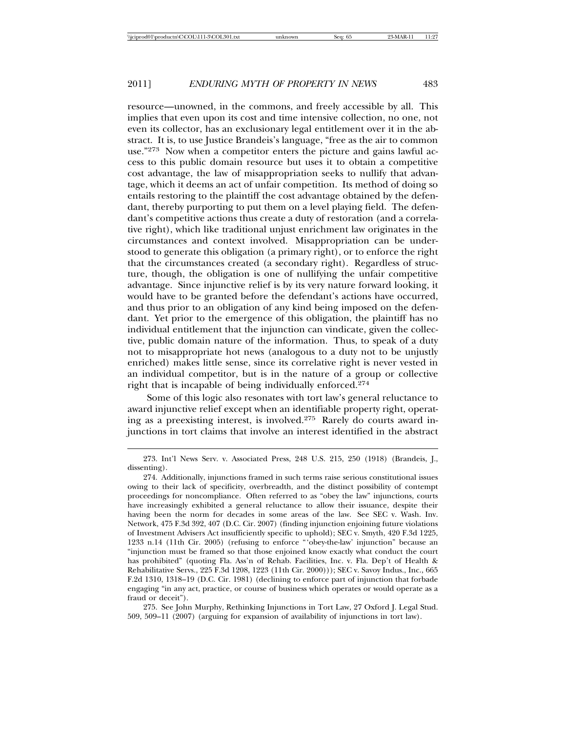resource—unowned, in the commons, and freely accessible by all. This implies that even upon its cost and time intensive collection, no one, not even its collector, has an exclusionary legal entitlement over it in the abstract. It is, to use Justice Brandeis's language, "free as the air to common use."273 Now when a competitor enters the picture and gains lawful access to this public domain resource but uses it to obtain a competitive cost advantage, the law of misappropriation seeks to nullify that advantage, which it deems an act of unfair competition. Its method of doing so entails restoring to the plaintiff the cost advantage obtained by the defendant, thereby purporting to put them on a level playing field. The defendant's competitive actions thus create a duty of restoration (and a correlative right), which like traditional unjust enrichment law originates in the circumstances and context involved. Misappropriation can be understood to generate this obligation (a primary right), or to enforce the right that the circumstances created (a secondary right). Regardless of structure, though, the obligation is one of nullifying the unfair competitive advantage. Since injunctive relief is by its very nature forward looking, it would have to be granted before the defendant's actions have occurred, and thus prior to an obligation of any kind being imposed on the defendant. Yet prior to the emergence of this obligation, the plaintiff has no individual entitlement that the injunction can vindicate, given the collective, public domain nature of the information. Thus, to speak of a duty not to misappropriate hot news (analogous to a duty not to be unjustly enriched) makes little sense, since its correlative right is never vested in an individual competitor, but is in the nature of a group or collective right that is incapable of being individually enforced.<sup>274</sup>

Some of this logic also resonates with tort law's general reluctance to award injunctive relief except when an identifiable property right, operating as a preexisting interest, is involved.275 Rarely do courts award injunctions in tort claims that involve an interest identified in the abstract

275. See John Murphy, Rethinking Injunctions in Tort Law, 27 Oxford J. Legal Stud. 509, 509–11 (2007) (arguing for expansion of availability of injunctions in tort law).

<sup>273.</sup> Int'l News Serv. v. Associated Press, 248 U.S. 215, 250 (1918) (Brandeis, J., dissenting).

<sup>274.</sup> Additionally, injunctions framed in such terms raise serious constitutional issues owing to their lack of specificity, overbreadth, and the distinct possibility of contempt proceedings for noncompliance. Often referred to as "obey the law" injunctions, courts have increasingly exhibited a general reluctance to allow their issuance, despite their having been the norm for decades in some areas of the law. See SEC v. Wash. Inv. Network, 475 F.3d 392, 407 (D.C. Cir. 2007) (finding injunction enjoining future violations of Investment Advisers Act insufficiently specific to uphold); SEC v. Smyth, 420 F.3d 1225, 1233 n.14 (11th Cir. 2005) (refusing to enforce "'obey-the-law' injunction" because an "injunction must be framed so that those enjoined know exactly what conduct the court has prohibited" (quoting Fla. Ass'n of Rehab. Facilities, Inc. v. Fla. Dep't of Health & Rehabilitative Servs., 225 F.3d 1208, 1223 (11th Cir. 2000))); SEC v. Savoy Indus., Inc., 665 F.2d 1310, 1318–19 (D.C. Cir. 1981) (declining to enforce part of injunction that forbade engaging "in any act, practice, or course of business which operates or would operate as a fraud or deceit").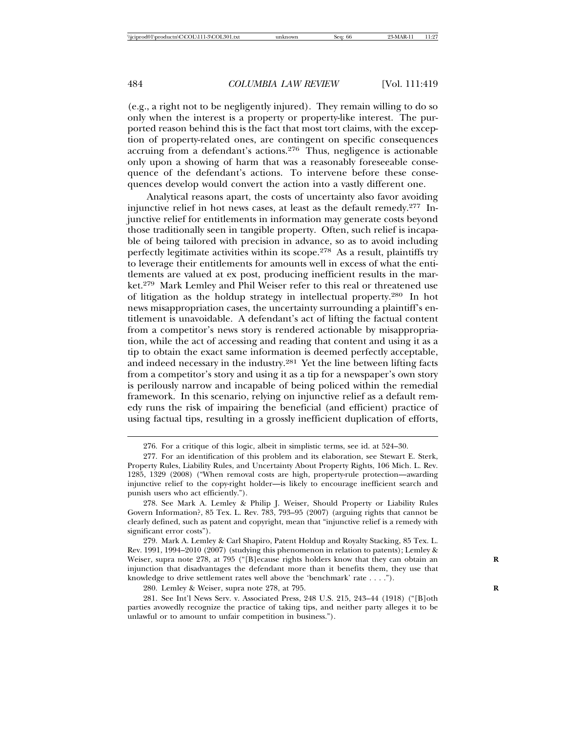(e.g., a right not to be negligently injured). They remain willing to do so only when the interest is a property or property-like interest. The purported reason behind this is the fact that most tort claims, with the exception of property-related ones, are contingent on specific consequences accruing from a defendant's actions.<sup>276</sup> Thus, negligence is actionable only upon a showing of harm that was a reasonably foreseeable consequence of the defendant's actions. To intervene before these consequences develop would convert the action into a vastly different one.

Analytical reasons apart, the costs of uncertainty also favor avoiding injunctive relief in hot news cases, at least as the default remedy.277 Injunctive relief for entitlements in information may generate costs beyond those traditionally seen in tangible property. Often, such relief is incapable of being tailored with precision in advance, so as to avoid including perfectly legitimate activities within its scope.278 As a result, plaintiffs try to leverage their entitlements for amounts well in excess of what the entitlements are valued at ex post, producing inefficient results in the market.279 Mark Lemley and Phil Weiser refer to this real or threatened use of litigation as the holdup strategy in intellectual property.280 In hot news misappropriation cases, the uncertainty surrounding a plaintiff's entitlement is unavoidable. A defendant's act of lifting the factual content from a competitor's news story is rendered actionable by misappropriation, while the act of accessing and reading that content and using it as a tip to obtain the exact same information is deemed perfectly acceptable, and indeed necessary in the industry.281 Yet the line between lifting facts from a competitor's story and using it as a tip for a newspaper's own story is perilously narrow and incapable of being policed within the remedial framework. In this scenario, relying on injunctive relief as a default remedy runs the risk of impairing the beneficial (and efficient) practice of using factual tips, resulting in a grossly inefficient duplication of efforts,

279. Mark A. Lemley & Carl Shapiro, Patent Holdup and Royalty Stacking, 85 Tex. L. Rev. 1991, 1994–2010 (2007) (studying this phenomenon in relation to patents); Lemley & Weiser, supra note 278, at 795 ("[B]ecause rights holders know that they can obtain an injunction that disadvantages the defendant more than it benefits them, they use that knowledge to drive settlement rates well above the 'benchmark' rate . . . .").

280. Lemley & Weiser, supra note 278, at 795. **R**

281. See Int'l News Serv. v. Associated Press, 248 U.S. 215, 243–44 (1918) ("[B]oth parties avowedly recognize the practice of taking tips, and neither party alleges it to be unlawful or to amount to unfair competition in business.").

<sup>276.</sup> For a critique of this logic, albeit in simplistic terms, see id. at 524–30.

<sup>277.</sup> For an identification of this problem and its elaboration, see Stewart E. Sterk, Property Rules, Liability Rules, and Uncertainty About Property Rights, 106 Mich. L. Rev. 1285, 1329 (2008) ("When removal costs are high, property-rule protection—awarding injunctive relief to the copy-right holder—is likely to encourage inefficient search and punish users who act efficiently.").

<sup>278.</sup> See Mark A. Lemley & Philip J. Weiser, Should Property or Liability Rules Govern Information?, 85 Tex. L. Rev. 783, 793–95 (2007) (arguing rights that cannot be clearly defined, such as patent and copyright, mean that "injunctive relief is a remedy with significant error costs").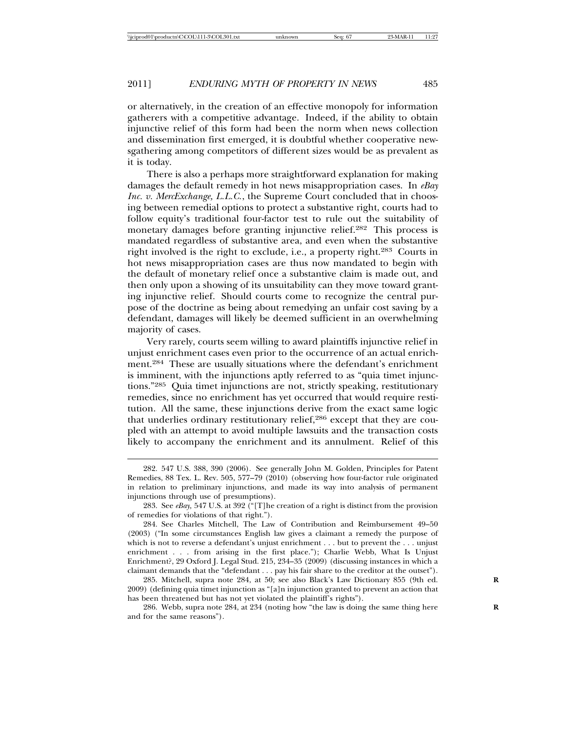or alternatively, in the creation of an effective monopoly for information gatherers with a competitive advantage. Indeed, if the ability to obtain injunctive relief of this form had been the norm when news collection and dissemination first emerged, it is doubtful whether cooperative newsgathering among competitors of different sizes would be as prevalent as it is today.

There is also a perhaps more straightforward explanation for making damages the default remedy in hot news misappropriation cases. In *eBay Inc. v. MercExchange, L.L.C.*, the Supreme Court concluded that in choosing between remedial options to protect a substantive right, courts had to follow equity's traditional four-factor test to rule out the suitability of monetary damages before granting injunctive relief.282 This process is mandated regardless of substantive area, and even when the substantive right involved is the right to exclude, i.e., a property right.283 Courts in hot news misappropriation cases are thus now mandated to begin with the default of monetary relief once a substantive claim is made out, and then only upon a showing of its unsuitability can they move toward granting injunctive relief. Should courts come to recognize the central purpose of the doctrine as being about remedying an unfair cost saving by a defendant, damages will likely be deemed sufficient in an overwhelming majority of cases.

Very rarely, courts seem willing to award plaintiffs injunctive relief in unjust enrichment cases even prior to the occurrence of an actual enrichment.284 These are usually situations where the defendant's enrichment is imminent, with the injunctions aptly referred to as "quia timet injunctions."285 Quia timet injunctions are not, strictly speaking, restitutionary remedies, since no enrichment has yet occurred that would require restitution. All the same, these injunctions derive from the exact same logic that underlies ordinary restitutionary relief,<sup>286</sup> except that they are coupled with an attempt to avoid multiple lawsuits and the transaction costs likely to accompany the enrichment and its annulment. Relief of this

285. Mitchell, supra note 284, at 50; see also Black's Law Dictionary 855 (9th ed. **R** 2009) (defining quia timet injunction as "[a]n injunction granted to prevent an action that has been threatened but has not yet violated the plaintiff's rights").

286. Webb, supra note 284, at 234 (noting how "the law is doing the same thing here and for the same reasons").

<sup>282. 547</sup> U.S. 388, 390 (2006). See generally John M. Golden, Principles for Patent Remedies, 88 Tex. L. Rev. 505, 577–79 (2010) (observing how four-factor rule originated in relation to preliminary injunctions, and made its way into analysis of permanent injunctions through use of presumptions).

<sup>283.</sup> See *eBay,* 547 U.S. at 392 ("[T]he creation of a right is distinct from the provision of remedies for violations of that right.").

<sup>284.</sup> See Charles Mitchell, The Law of Contribution and Reimbursement 49–50 (2003) ("In some circumstances English law gives a claimant a remedy the purpose of which is not to reverse a defendant's unjust enrichment . . . but to prevent the . . . unjust enrichment . . . from arising in the first place."); Charlie Webb, What Is Unjust Enrichment?, 29 Oxford J. Legal Stud. 215, 234–35 (2009) (discussing instances in which a claimant demands that the "defendant . . . pay his fair share to the creditor at the outset").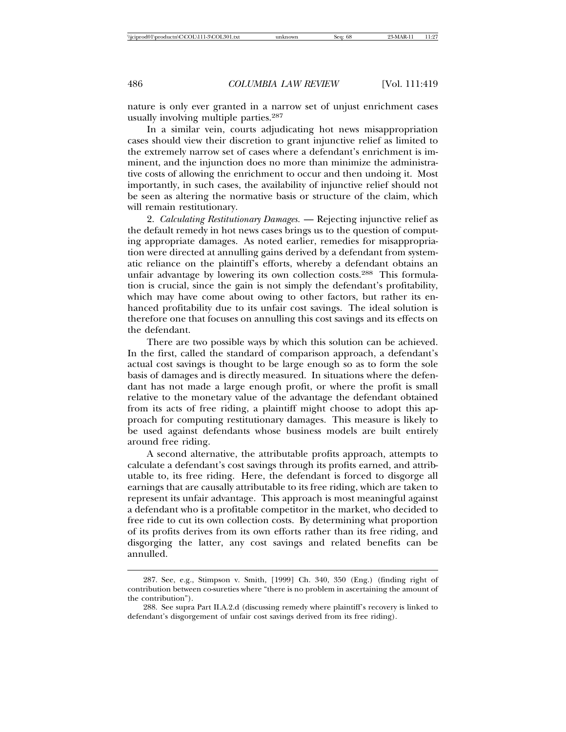nature is only ever granted in a narrow set of unjust enrichment cases usually involving multiple parties.<sup>287</sup>

In a similar vein, courts adjudicating hot news misappropriation cases should view their discretion to grant injunctive relief as limited to the extremely narrow set of cases where a defendant's enrichment is imminent, and the injunction does no more than minimize the administrative costs of allowing the enrichment to occur and then undoing it. Most importantly, in such cases, the availability of injunctive relief should not be seen as altering the normative basis or structure of the claim, which will remain restitutionary.

2. *Calculating Restitutionary Damages.* — Rejecting injunctive relief as the default remedy in hot news cases brings us to the question of computing appropriate damages. As noted earlier, remedies for misappropriation were directed at annulling gains derived by a defendant from systematic reliance on the plaintiff's efforts, whereby a defendant obtains an unfair advantage by lowering its own collection costs.288 This formulation is crucial, since the gain is not simply the defendant's profitability, which may have come about owing to other factors, but rather its enhanced profitability due to its unfair cost savings. The ideal solution is therefore one that focuses on annulling this cost savings and its effects on the defendant.

There are two possible ways by which this solution can be achieved. In the first, called the standard of comparison approach, a defendant's actual cost savings is thought to be large enough so as to form the sole basis of damages and is directly measured. In situations where the defendant has not made a large enough profit, or where the profit is small relative to the monetary value of the advantage the defendant obtained from its acts of free riding, a plaintiff might choose to adopt this approach for computing restitutionary damages. This measure is likely to be used against defendants whose business models are built entirely around free riding.

A second alternative, the attributable profits approach, attempts to calculate a defendant's cost savings through its profits earned, and attributable to, its free riding. Here, the defendant is forced to disgorge all earnings that are causally attributable to its free riding, which are taken to represent its unfair advantage. This approach is most meaningful against a defendant who is a profitable competitor in the market, who decided to free ride to cut its own collection costs. By determining what proportion of its profits derives from its own efforts rather than its free riding, and disgorging the latter, any cost savings and related benefits can be annulled.

<sup>287.</sup> See, e.g., Stimpson v. Smith, [1999] Ch. 340, 350 (Eng.) (finding right of contribution between co-sureties where "there is no problem in ascertaining the amount of the contribution").

<sup>288.</sup> See supra Part II.A.2.d (discussing remedy where plaintiff's recovery is linked to defendant's disgorgement of unfair cost savings derived from its free riding).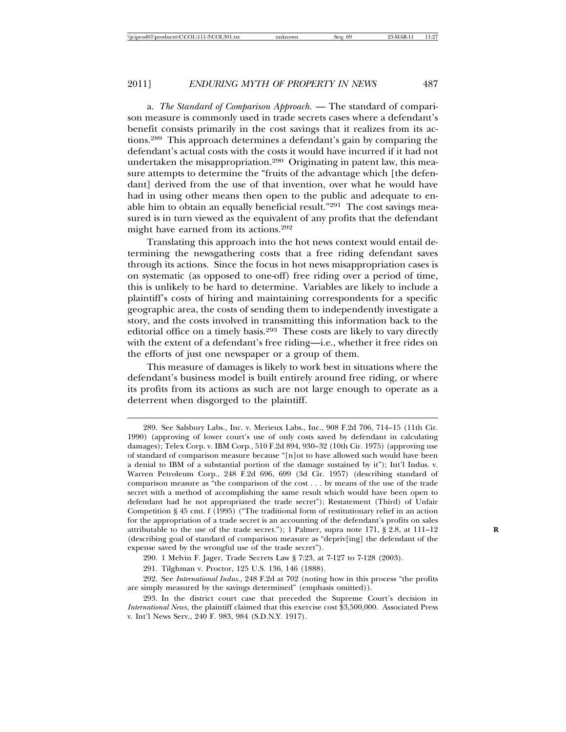a. *The Standard of Comparison Approach.* — The standard of comparison measure is commonly used in trade secrets cases where a defendant's benefit consists primarily in the cost savings that it realizes from its actions.289 This approach determines a defendant's gain by comparing the defendant's actual costs with the costs it would have incurred if it had not undertaken the misappropriation.290 Originating in patent law, this measure attempts to determine the "fruits of the advantage which [the defendant] derived from the use of that invention, over what he would have had in using other means then open to the public and adequate to enable him to obtain an equally beneficial result."291 The cost savings measured is in turn viewed as the equivalent of any profits that the defendant might have earned from its actions.<sup>292</sup>

Translating this approach into the hot news context would entail determining the newsgathering costs that a free riding defendant saves through its actions. Since the focus in hot news misappropriation cases is on systematic (as opposed to one-off) free riding over a period of time, this is unlikely to be hard to determine. Variables are likely to include a plaintiff's costs of hiring and maintaining correspondents for a specific geographic area, the costs of sending them to independently investigate a story, and the costs involved in transmitting this information back to the editorial office on a timely basis.293 These costs are likely to vary directly with the extent of a defendant's free riding—i.e., whether it free rides on the efforts of just one newspaper or a group of them.

This measure of damages is likely to work best in situations where the defendant's business model is built entirely around free riding, or where its profits from its actions as such are not large enough to operate as a deterrent when disgorged to the plaintiff.

290. 1 Melvin F. Jager, Trade Secrets Law § 7:23, at 7-127 to 7-128 (2003).

<sup>289.</sup> See Salsbury Labs., Inc. v. Merieux Labs., Inc., 908 F.2d 706, 714–15 (11th Cir. 1990) (approving of lower court's use of only costs saved by defendant in calculating damages); Telex Corp. v. IBM Corp., 510 F.2d 894, 930–32 (10th Cir. 1975) (approving use of standard of comparison measure because "[n]ot to have allowed such would have been a denial to IBM of a substantial portion of the damage sustained by it"); Int'l Indus. v. Warren Petroleum Corp., 248 F.2d 696, 699 (3d Cir. 1957) (describing standard of comparison measure as "the comparison of the cost . . . by means of the use of the trade secret with a method of accomplishing the same result which would have been open to defendant had he not appropriated the trade secret"); Restatement (Third) of Unfair Competition § 45 cmt. f (1995) ("The traditional form of restitutionary relief in an action for the appropriation of a trade secret is an accounting of the defendant's profits on sales attributable to the use of the trade secret."); 1 Palmer, supra note 171, § 2.8, at 111–12 **R** (describing goal of standard of comparison measure as "depriv[ing] the defendant of the expense saved by the wrongful use of the trade secret").

<sup>291.</sup> Tilghman v. Proctor, 125 U.S. 136, 146 (1888).

<sup>292.</sup> See *International Indus*., 248 F.2d at 702 (noting how in this process "the profits are simply measured by the savings determined" (emphasis omitted)).

<sup>293.</sup> In the district court case that preceded the Supreme Court's decision in *International News*, the plaintiff claimed that this exercise cost \$3,500,000. Associated Press v. Int'l News Serv., 240 F. 983, 984 (S.D.N.Y. 1917).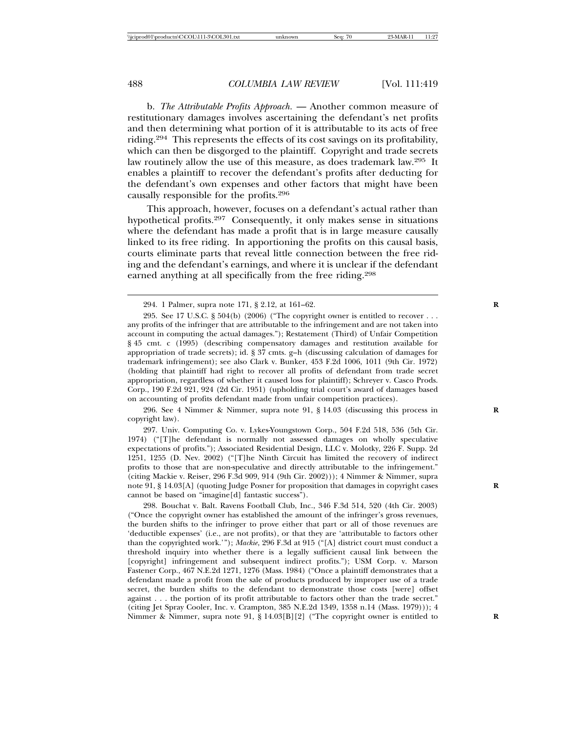b. *The Attributable Profits Approach.* — Another common measure of restitutionary damages involves ascertaining the defendant's net profits and then determining what portion of it is attributable to its acts of free riding.294 This represents the effects of its cost savings on its profitability, which can then be disgorged to the plaintiff. Copyright and trade secrets law routinely allow the use of this measure, as does trademark law.295 It enables a plaintiff to recover the defendant's profits after deducting for the defendant's own expenses and other factors that might have been causally responsible for the profits.<sup>296</sup>

This approach, however, focuses on a defendant's actual rather than hypothetical profits.297 Consequently, it only makes sense in situations where the defendant has made a profit that is in large measure causally linked to its free riding. In apportioning the profits on this causal basis, courts eliminate parts that reveal little connection between the free riding and the defendant's earnings, and where it is unclear if the defendant earned anything at all specifically from the free riding.<sup>298</sup>

296. See 4 Nimmer & Nimmer, supra note 91, § 14.03 (discussing this process in **R** copyright law).

297. Univ. Computing Co. v. Lykes-Youngstown Corp., 504 F.2d 518, 536 (5th Cir. 1974) ("[T]he defendant is normally not assessed damages on wholly speculative expectations of profits."); Associated Residential Design, LLC v. Molotky, 226 F. Supp. 2d 1251, 1255 (D. Nev. 2002) ("[T]he Ninth Circuit has limited the recovery of indirect profits to those that are non-speculative and directly attributable to the infringement." (citing Mackie v. Reiser, 296 F.3d 909, 914 (9th Cir. 2002))); 4 Nimmer & Nimmer, supra note 91, § 14.03[A] (quoting Judge Posner for proposition that damages in copyright cases **R** cannot be based on "imagine[d] fantastic success").

298. Bouchat v. Balt. Ravens Football Club, Inc., 346 F.3d 514, 520 (4th Cir. 2003) ("Once the copyright owner has established the amount of the infringer's gross revenues, the burden shifts to the infringer to prove either that part or all of those revenues are 'deductible expenses' (i.e., are not profits), or that they are 'attributable to factors other than the copyrighted work.'"); *Mackie*, 296 F.3d at 915 ("[A] district court must conduct a threshold inquiry into whether there is a legally sufficient causal link between the [copyright] infringement and subsequent indirect profits."); USM Corp. v. Marson Fastener Corp., 467 N.E.2d 1271, 1276 (Mass. 1984) ("Once a plaintiff demonstrates that a defendant made a profit from the sale of products produced by improper use of a trade secret, the burden shifts to the defendant to demonstrate those costs [were] offset against . . . the portion of its profit attributable to factors other than the trade secret." (citing Jet Spray Cooler, Inc. v. Crampton, 385 N.E.2d 1349, 1358 n.14 (Mass. 1979))); 4 Nimmer & Nimmer, supra note 91, § 14.03[B][2] ("The copyright owner is entitled to

<sup>294. 1</sup> Palmer, supra note 171, § 2.12, at 161–62. **R**

<sup>295.</sup> See 17 U.S.C.  $\S 504(b)$  (2006) ("The copyright owner is entitled to recover ... any profits of the infringer that are attributable to the infringement and are not taken into account in computing the actual damages."); Restatement (Third) of Unfair Competition § 45 cmt. c (1995) (describing compensatory damages and restitution available for appropriation of trade secrets); id. §  $3\overline{7}$  cmts. g–h (discussing calculation of damages for trademark infringement); see also Clark v. Bunker, 453 F.2d 1006, 1011 (9th Cir. 1972) (holding that plaintiff had right to recover all profits of defendant from trade secret appropriation, regardless of whether it caused loss for plaintiff); Schreyer v. Casco Prods. Corp., 190 F.2d 921, 924 (2d Cir. 1951) (upholding trial court's award of damages based on accounting of profits defendant made from unfair competition practices).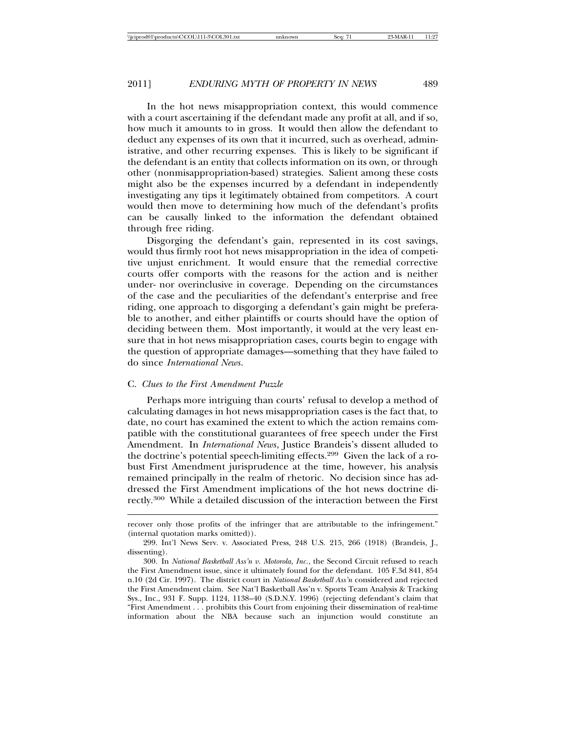In the hot news misappropriation context, this would commence with a court ascertaining if the defendant made any profit at all, and if so, how much it amounts to in gross. It would then allow the defendant to deduct any expenses of its own that it incurred, such as overhead, administrative, and other recurring expenses. This is likely to be significant if the defendant is an entity that collects information on its own, or through other (nonmisappropriation-based) strategies. Salient among these costs might also be the expenses incurred by a defendant in independently investigating any tips it legitimately obtained from competitors. A court would then move to determining how much of the defendant's profits can be causally linked to the information the defendant obtained through free riding.

Disgorging the defendant's gain, represented in its cost savings, would thus firmly root hot news misappropriation in the idea of competitive unjust enrichment. It would ensure that the remedial corrective courts offer comports with the reasons for the action and is neither under- nor overinclusive in coverage. Depending on the circumstances of the case and the peculiarities of the defendant's enterprise and free riding, one approach to disgorging a defendant's gain might be preferable to another, and either plaintiffs or courts should have the option of deciding between them. Most importantly, it would at the very least ensure that in hot news misappropriation cases, courts begin to engage with the question of appropriate damages—something that they have failed to do since *International News*.

#### C. *Clues to the First Amendment Puzzle*

Perhaps more intriguing than courts' refusal to develop a method of calculating damages in hot news misappropriation cases is the fact that, to date, no court has examined the extent to which the action remains compatible with the constitutional guarantees of free speech under the First Amendment. In *International News*, Justice Brandeis's dissent alluded to the doctrine's potential speech-limiting effects.299 Given the lack of a robust First Amendment jurisprudence at the time, however, his analysis remained principally in the realm of rhetoric. No decision since has addressed the First Amendment implications of the hot news doctrine directly.300 While a detailed discussion of the interaction between the First

recover only those profits of the infringer that are attributable to the infringement." (internal quotation marks omitted)).

<sup>299.</sup> Int'l News Serv. v. Associated Press, 248 U.S. 215, 266 (1918) (Brandeis, J., dissenting).

<sup>300.</sup> In *National Basketball Ass'n v. Motorola, Inc.*, the Second Circuit refused to reach the First Amendment issue, since it ultimately found for the defendant. 105 F.3d 841, 854 n.10 (2d Cir. 1997). The district court in *National Basketball Ass'n* considered and rejected the First Amendment claim. See Nat'l Basketball Ass'n v. Sports Team Analysis & Tracking Sys., Inc., 931 F. Supp. 1124, 1138–40 (S.D.N.Y. 1996) (rejecting defendant's claim that "First Amendment . . . prohibits this Court from enjoining their dissemination of real-time information about the NBA because such an injunction would constitute an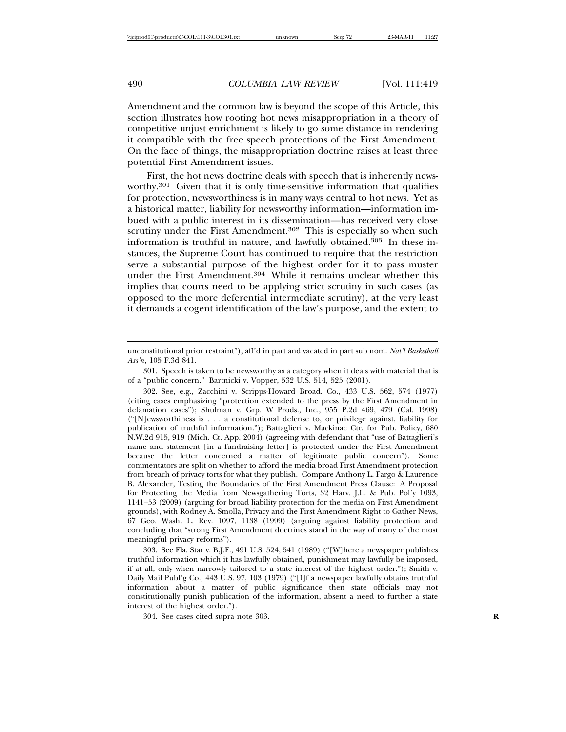Amendment and the common law is beyond the scope of this Article, this section illustrates how rooting hot news misappropriation in a theory of competitive unjust enrichment is likely to go some distance in rendering it compatible with the free speech protections of the First Amendment. On the face of things, the misappropriation doctrine raises at least three potential First Amendment issues.

First, the hot news doctrine deals with speech that is inherently newsworthy.301 Given that it is only time-sensitive information that qualifies for protection, newsworthiness is in many ways central to hot news. Yet as a historical matter, liability for newsworthy information—information imbued with a public interest in its dissemination—has received very close scrutiny under the First Amendment.<sup>302</sup> This is especially so when such information is truthful in nature, and lawfully obtained.303 In these instances, the Supreme Court has continued to require that the restriction serve a substantial purpose of the highest order for it to pass muster under the First Amendment.304 While it remains unclear whether this implies that courts need to be applying strict scrutiny in such cases (as opposed to the more deferential intermediate scrutiny), at the very least it demands a cogent identification of the law's purpose, and the extent to

303. See Fla. Star v. B.J.F., 491 U.S. 524, 541 (1989) ("[W]here a newspaper publishes truthful information which it has lawfully obtained, punishment may lawfully be imposed, if at all, only when narrowly tailored to a state interest of the highest order."); Smith v. Daily Mail Publ'g Co., 443 U.S. 97, 103 (1979) ("[I]f a newspaper lawfully obtains truthful information about a matter of public significance then state officials may not constitutionally punish publication of the information, absent a need to further a state interest of the highest order.").

304. See cases cited supra note 303. **R**

unconstitutional prior restraint"), aff'd in part and vacated in part sub nom. *Nat'l Basketball Ass'n*, 105 F.3d 841.

<sup>301.</sup> Speech is taken to be newsworthy as a category when it deals with material that is of a "public concern." Bartnicki v. Vopper, 532 U.S. 514, 525 (2001).

<sup>302.</sup> See, e.g., Zacchini v. Scripps-Howard Broad. Co., 433 U.S. 562, 574 (1977) (citing cases emphasizing "protection extended to the press by the First Amendment in defamation cases"); Shulman v. Grp. W Prods., Inc., 955 P.2d 469, 479 (Cal. 1998) ("[N]ewsworthiness is . . . a constitutional defense to, or privilege against, liability for publication of truthful information."); Battaglieri v. Mackinac Ctr. for Pub. Policy, 680 N.W.2d 915, 919 (Mich. Ct. App. 2004) (agreeing with defendant that "use of Battaglieri's name and statement [in a fundraising letter] is protected under the First Amendment because the letter concerned a matter of legitimate public concern"). Some commentators are split on whether to afford the media broad First Amendment protection from breach of privacy torts for what they publish. Compare Anthony L. Fargo & Laurence B. Alexander, Testing the Boundaries of the First Amendment Press Clause: A Proposal for Protecting the Media from Newsgathering Torts, 32 Harv. J.L. & Pub. Pol'y 1093, 1141–53 (2009) (arguing for broad liability protection for the media on First Amendment grounds), with Rodney A. Smolla, Privacy and the First Amendment Right to Gather News, 67 Geo. Wash. L. Rev. 1097, 1138 (1999) (arguing against liability protection and concluding that "strong First Amendment doctrines stand in the way of many of the most meaningful privacy reforms").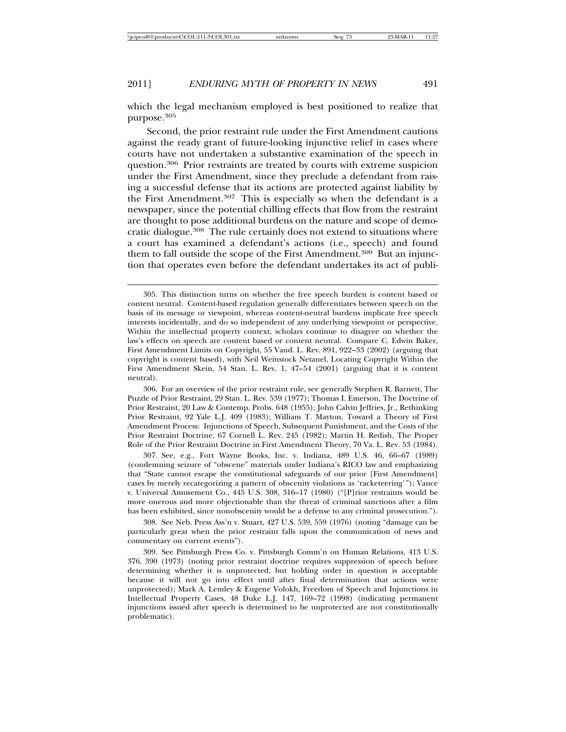which the legal mechanism employed is best positioned to realize that purpose.305

Second, the prior restraint rule under the First Amendment cautions against the ready grant of future-looking injunctive relief in cases where courts have not undertaken a substantive examination of the speech in question.306 Prior restraints are treated by courts with extreme suspicion under the First Amendment, since they preclude a defendant from raising a successful defense that its actions are protected against liability by the First Amendment.<sup>307</sup> This is especially so when the defendant is a newspaper, since the potential chilling effects that flow from the restraint are thought to pose additional burdens on the nature and scope of democratic dialogue.308 The rule certainly does not extend to situations where a court has examined a defendant's actions (i.e., speech) and found them to fall outside the scope of the First Amendment.309 But an injunction that operates even before the defendant undertakes its act of publi-

306. For an overview of the prior restraint rule, see generally Stephen R. Barnett, The Puzzle of Prior Restraint, 29 Stan. L. Rev. 539 (1977); Thomas I. Emerson, The Doctrine of Prior Restraint, 20 Law & Contemp. Probs. 648 (1955); John Calvin Jeffries, Jr., Rethinking Prior Restraint, 92 Yale L.J. 409 (1983); William T. Mayton, Toward a Theory of First Amendment Process: Injunctions of Speech, Subsequent Punishment, and the Costs of the Prior Restraint Doctrine, 67 Cornell L. Rev. 245 (1982); Martin H. Redish, The Proper Role of the Prior Restraint Doctrine in First Amendment Theory, 70 Va. L. Rev. 53 (1984).

307. See, e.g., Fort Wayne Books, Inc. v. Indiana, 489 U.S. 46, 66–67 (1989) (condemning seizure of "obscene" materials under Indiana's RICO law and emphasizing that "State cannot escape the constitutional safeguards of our prior [First Amendment] cases by merely recategorizing a pattern of obscenity violations as 'racketeering'"); Vance v. Universal Amusement Co., 445 U.S. 308, 316–17 (1980) ("[P]rior restraints would be more onerous and more objectionable than the threat of criminal sanctions after a film has been exhibited, since nonobscenity would be a defense to any criminal prosecution.").

308. See Neb. Press Ass'n v. Stuart, 427 U.S. 539, 559 (1976) (noting "damage can be particularly great when the prior restraint falls upon the communication of news and commentary on current events").

309. See Pittsburgh Press Co. v. Pittsburgh Comm'n on Human Relations, 413 U.S. 376, 390 (1973) (noting prior restraint doctrine requires suppression of speech before determining whether it is unprotected, but holding order in question is acceptable because it will not go into effect until after final determination that actions were unprotected); Mark A. Lemley & Eugene Volokh, Freedom of Speech and Injunctions in Intellectual Property Cases, 48 Duke L.J. 147, 169–72 (1998) (indicating permanent injunctions issued after speech is determined to be unprotected are not constitutionally problematic).

<sup>305.</sup> This distinction turns on whether the free speech burden is content based or content neutral. Content-based regulation generally differentiates between speech on the basis of its message or viewpoint, whereas content-neutral burdens implicate free speech interests incidentally, and do so independent of any underlying viewpoint or perspective. Within the intellectual property context, scholars continue to disagree on whether the law's effects on speech are content based or content neutral. Compare C. Edwin Baker, First Amendment Limits on Copyright, 55 Vand. L. Rev. 891, 922–33 (2002) (arguing that copyright is content based), with Neil Weinstock Netanel, Locating Copyright Within the First Amendment Skein, 54 Stan. L. Rev. 1, 47–54 (2001) (arguing that it is content neutral).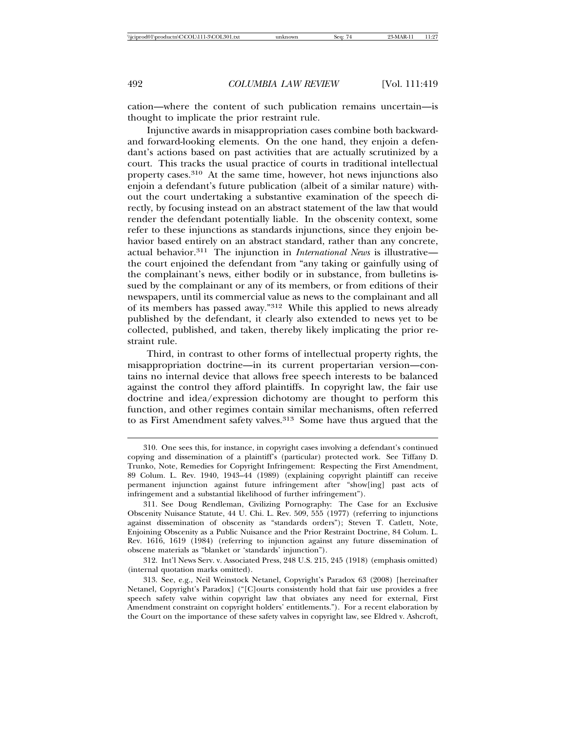cation—where the content of such publication remains uncertain—is thought to implicate the prior restraint rule.

Injunctive awards in misappropriation cases combine both backwardand forward-looking elements. On the one hand, they enjoin a defendant's actions based on past activities that are actually scrutinized by a court. This tracks the usual practice of courts in traditional intellectual property cases.310 At the same time, however, hot news injunctions also enjoin a defendant's future publication (albeit of a similar nature) without the court undertaking a substantive examination of the speech directly, by focusing instead on an abstract statement of the law that would render the defendant potentially liable. In the obscenity context, some refer to these injunctions as standards injunctions, since they enjoin behavior based entirely on an abstract standard, rather than any concrete, actual behavior.311 The injunction in *International News* is illustrative the court enjoined the defendant from "any taking or gainfully using of the complainant's news, either bodily or in substance, from bulletins issued by the complainant or any of its members, or from editions of their newspapers, until its commercial value as news to the complainant and all of its members has passed away."312 While this applied to news already published by the defendant, it clearly also extended to news yet to be collected, published, and taken, thereby likely implicating the prior restraint rule.

Third, in contrast to other forms of intellectual property rights, the misappropriation doctrine—in its current propertarian version—contains no internal device that allows free speech interests to be balanced against the control they afford plaintiffs. In copyright law, the fair use doctrine and idea/expression dichotomy are thought to perform this function, and other regimes contain similar mechanisms, often referred to as First Amendment safety valves.313 Some have thus argued that the

<sup>310.</sup> One sees this, for instance, in copyright cases involving a defendant's continued copying and dissemination of a plaintiff's (particular) protected work. See Tiffany D. Trunko, Note, Remedies for Copyright Infringement: Respecting the First Amendment, 89 Colum. L. Rev. 1940, 1943–44 (1989) (explaining copyright plaintiff can receive permanent injunction against future infringement after "show[ing] past acts of infringement and a substantial likelihood of further infringement").

<sup>311.</sup> See Doug Rendleman, Civilizing Pornography: The Case for an Exclusive Obscenity Nuisance Statute, 44 U. Chi. L. Rev. 509, 555 (1977) (referring to injunctions against dissemination of obscenity as "standards orders"); Steven T. Catlett, Note, Enjoining Obscenity as a Public Nuisance and the Prior Restraint Doctrine, 84 Colum. L. Rev. 1616, 1619 (1984) (referring to injunction against any future dissemination of obscene materials as "blanket or 'standards' injunction").

<sup>312.</sup> Int'l News Serv. v. Associated Press, 248 U.S. 215, 245 (1918) (emphasis omitted) (internal quotation marks omitted).

<sup>313.</sup> See, e.g., Neil Weinstock Netanel, Copyright's Paradox 63 (2008) [hereinafter Netanel, Copyright's Paradox] ("[C]ourts consistently hold that fair use provides a free speech safety valve within copyright law that obviates any need for external, First Amendment constraint on copyright holders' entitlements."). For a recent elaboration by the Court on the importance of these safety valves in copyright law, see Eldred v. Ashcroft,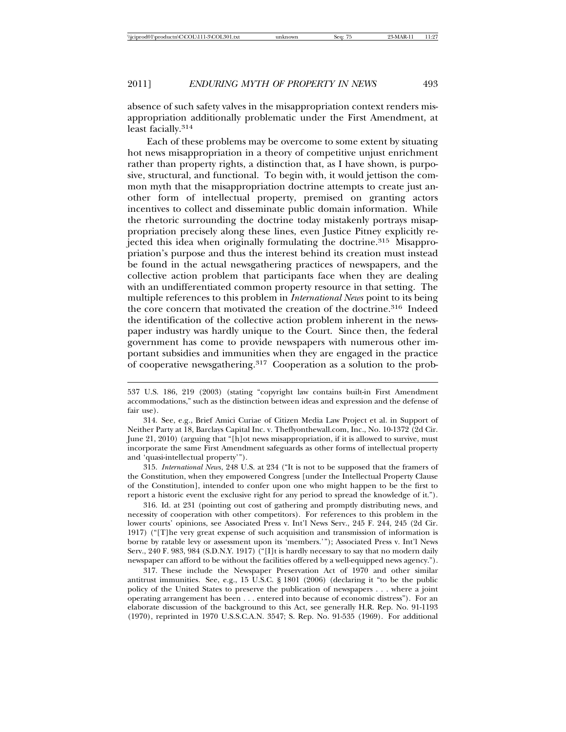absence of such safety valves in the misappropriation context renders misappropriation additionally problematic under the First Amendment, at least facially.<sup>314</sup>

Each of these problems may be overcome to some extent by situating hot news misappropriation in a theory of competitive unjust enrichment rather than property rights, a distinction that, as I have shown, is purposive, structural, and functional. To begin with, it would jettison the common myth that the misappropriation doctrine attempts to create just another form of intellectual property, premised on granting actors incentives to collect and disseminate public domain information. While the rhetoric surrounding the doctrine today mistakenly portrays misappropriation precisely along these lines, even Justice Pitney explicitly rejected this idea when originally formulating the doctrine.315 Misappropriation's purpose and thus the interest behind its creation must instead be found in the actual newsgathering practices of newspapers, and the collective action problem that participants face when they are dealing with an undifferentiated common property resource in that setting. The multiple references to this problem in *International News* point to its being the core concern that motivated the creation of the doctrine.316 Indeed the identification of the collective action problem inherent in the newspaper industry was hardly unique to the Court. Since then, the federal government has come to provide newspapers with numerous other important subsidies and immunities when they are engaged in the practice of cooperative newsgathering.317 Cooperation as a solution to the prob-

314. See, e.g., Brief Amici Curiae of Citizen Media Law Project et al. in Support of Neither Party at 18, Barclays Capital Inc. v. Theflyonthewall.com, Inc., No. 10-1372 (2d Cir. June 21, 2010) (arguing that "[h]ot news misappropriation, if it is allowed to survive, must incorporate the same First Amendment safeguards as other forms of intellectual property and 'quasi-intellectual property'").

315. *International News*, 248 U.S. at 234 ("It is not to be supposed that the framers of the Constitution, when they empowered Congress [under the Intellectual Property Clause of the Constitution], intended to confer upon one who might happen to be the first to report a historic event the exclusive right for any period to spread the knowledge of it.").

316. Id. at 231 (pointing out cost of gathering and promptly distributing news, and necessity of cooperation with other competitors). For references to this problem in the lower courts' opinions, see Associated Press v. Int'l News Serv., 245 F. 244, 245 (2d Cir. 1917) ("[T]he very great expense of such acquisition and transmission of information is borne by ratable levy or assessment upon its 'members.'"); Associated Press v. Int'l News Serv., 240 F. 983, 984 (S.D.N.Y. 1917) ("[I]t is hardly necessary to say that no modern daily newspaper can afford to be without the facilities offered by a well-equipped news agency.").

317. These include the Newspaper Preservation Act of 1970 and other similar antitrust immunities. See, e.g., 15 U.S.C. § 1801 (2006) (declaring it "to be the public policy of the United States to preserve the publication of newspapers . . . where a joint operating arrangement has been . . . entered into because of economic distress"). For an elaborate discussion of the background to this Act, see generally H.R. Rep. No. 91-1193 (1970), reprinted in 1970 U.S.S.C.A.N. 3547; S. Rep. No. 91-535 (1969). For additional

<sup>537</sup> U.S. 186, 219 (2003) (stating "copyright law contains built-in First Amendment accommodations," such as the distinction between ideas and expression and the defense of fair use).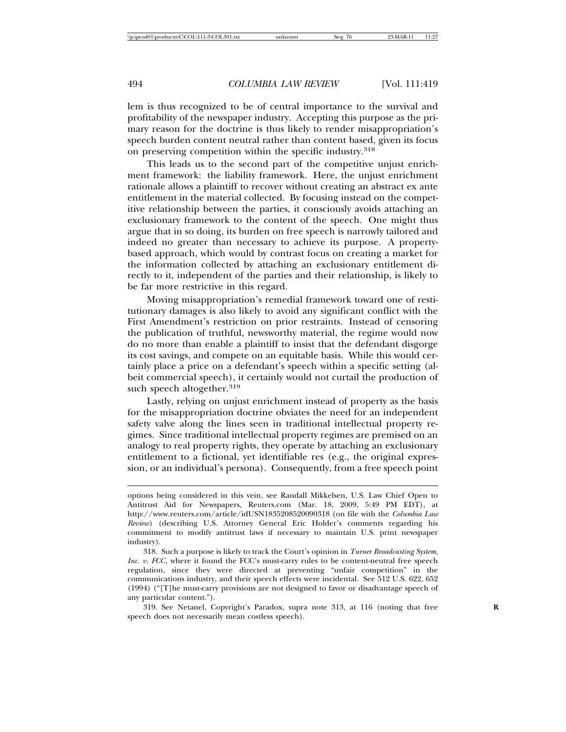lem is thus recognized to be of central importance to the survival and profitability of the newspaper industry. Accepting this purpose as the primary reason for the doctrine is thus likely to render misappropriation's speech burden content neutral rather than content based, given its focus on preserving competition within the specific industry.<sup>318</sup>

This leads us to the second part of the competitive unjust enrichment framework: the liability framework. Here, the unjust enrichment rationale allows a plaintiff to recover without creating an abstract ex ante entitlement in the material collected. By focusing instead on the competitive relationship between the parties, it consciously avoids attaching an exclusionary framework to the content of the speech. One might thus argue that in so doing, its burden on free speech is narrowly tailored and indeed no greater than necessary to achieve its purpose. A propertybased approach, which would by contrast focus on creating a market for the information collected by attaching an exclusionary entitlement directly to it, independent of the parties and their relationship, is likely to be far more restrictive in this regard.

Moving misappropriation's remedial framework toward one of restitutionary damages is also likely to avoid any significant conflict with the First Amendment's restriction on prior restraints. Instead of censoring the publication of truthful, newsworthy material, the regime would now do no more than enable a plaintiff to insist that the defendant disgorge its cost savings, and compete on an equitable basis. While this would certainly place a price on a defendant's speech within a specific setting (albeit commercial speech), it certainly would not curtail the production of such speech altogether.<sup>319</sup>

Lastly, relying on unjust enrichment instead of property as the basis for the misappropriation doctrine obviates the need for an independent safety valve along the lines seen in traditional intellectual property regimes. Since traditional intellectual property regimes are premised on an analogy to real property rights, they operate by attaching an exclusionary entitlement to a fictional, yet identifiable res (e.g., the original expression, or an individual's persona). Consequently, from a free speech point

319. See Netanel, Copyright's Paradox, supra note 313, at 116 (noting that free **R** speech does not necessarily mean costless speech).

options being considered in this vein, see Randall Mikkelsen, U.S. Law Chief Open to Antitrust Aid for Newspapers, Reuters.com (Mar. 18, 2009, 5:49 PM EDT), at http://www.reuters.com/article/idUSN1835208520090318 (on file with the *Columbia Law Review*) (describing U.S. Attorney General Eric Holder's comments regarding his commitment to modify antitrust laws if necessary to maintain U.S. print newspaper industry).

<sup>318.</sup> Such a purpose is likely to track the Court's opinion in *Turner Broadcasting System, Inc. v. FCC*, where it found the FCC's must-carry rules to be content-neutral free speech regulation, since they were directed at preventing "unfair competition" in the communications industry, and their speech effects were incidental. See 512 U.S. 622, 652 (1994) ("[T]he must-carry provisions are not designed to favor or disadvantage speech of any particular content.").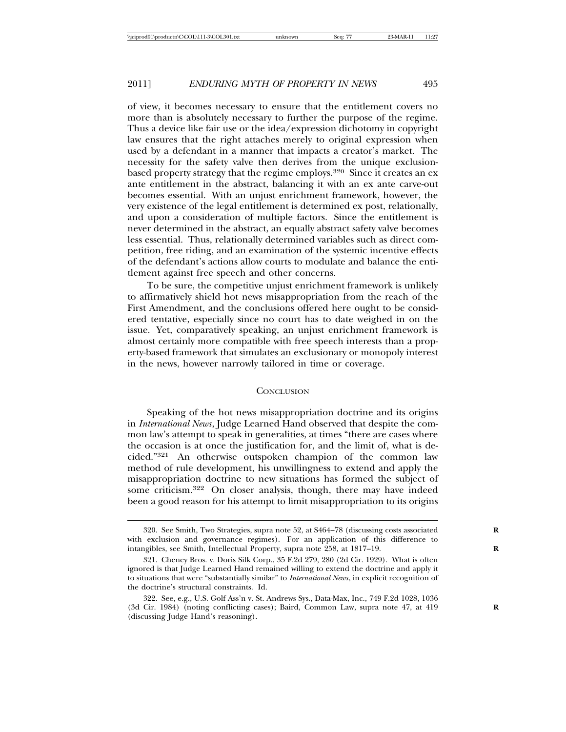of view, it becomes necessary to ensure that the entitlement covers no more than is absolutely necessary to further the purpose of the regime. Thus a device like fair use or the idea/expression dichotomy in copyright law ensures that the right attaches merely to original expression when used by a defendant in a manner that impacts a creator's market. The necessity for the safety valve then derives from the unique exclusionbased property strategy that the regime employs.<sup>320</sup> Since it creates an ex ante entitlement in the abstract, balancing it with an ex ante carve-out becomes essential. With an unjust enrichment framework, however, the very existence of the legal entitlement is determined ex post, relationally, and upon a consideration of multiple factors. Since the entitlement is never determined in the abstract, an equally abstract safety valve becomes less essential. Thus, relationally determined variables such as direct competition, free riding, and an examination of the systemic incentive effects of the defendant's actions allow courts to modulate and balance the entitlement against free speech and other concerns.

To be sure, the competitive unjust enrichment framework is unlikely to affirmatively shield hot news misappropriation from the reach of the First Amendment, and the conclusions offered here ought to be considered tentative, especially since no court has to date weighed in on the issue. Yet, comparatively speaking, an unjust enrichment framework is almost certainly more compatible with free speech interests than a property-based framework that simulates an exclusionary or monopoly interest in the news, however narrowly tailored in time or coverage.

## **CONCLUSION**

Speaking of the hot news misappropriation doctrine and its origins in *International News*, Judge Learned Hand observed that despite the common law's attempt to speak in generalities, at times "there are cases where the occasion is at once the justification for, and the limit of, what is decided."321 An otherwise outspoken champion of the common law method of rule development, his unwillingness to extend and apply the misappropriation doctrine to new situations has formed the subject of some criticism.322 On closer analysis, though, there may have indeed been a good reason for his attempt to limit misappropriation to its origins

<sup>320.</sup> See Smith, Two Strategies, supra note 52, at S464–78 (discussing costs associated **R** with exclusion and governance regimes). For an application of this difference to intangibles, see Smith, Intellectual Property, supra note 258, at 1817-19.

<sup>321.</sup> Cheney Bros. v. Doris Silk Corp., 35 F.2d 279, 280 (2d Cir. 1929). What is often ignored is that Judge Learned Hand remained willing to extend the doctrine and apply it to situations that were "substantially similar" to *International News*, in explicit recognition of the doctrine's structural constraints. Id.

<sup>322.</sup> See, e.g., U.S. Golf Ass'n v. St. Andrews Sys., Data-Max, Inc., 749 F.2d 1028, 1036 (3d Cir. 1984) (noting conflicting cases); Baird, Common Law, supra note 47, at 419 **R** (discussing Judge Hand's reasoning).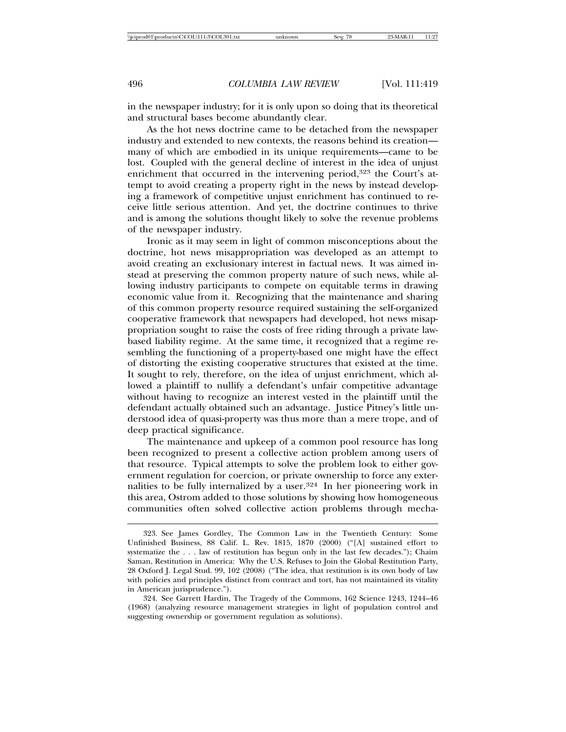in the newspaper industry; for it is only upon so doing that its theoretical and structural bases become abundantly clear.

As the hot news doctrine came to be detached from the newspaper industry and extended to new contexts, the reasons behind its creation many of which are embodied in its unique requirements—came to be lost. Coupled with the general decline of interest in the idea of unjust enrichment that occurred in the intervening period,<sup>323</sup> the Court's attempt to avoid creating a property right in the news by instead developing a framework of competitive unjust enrichment has continued to receive little serious attention. And yet, the doctrine continues to thrive and is among the solutions thought likely to solve the revenue problems of the newspaper industry.

Ironic as it may seem in light of common misconceptions about the doctrine, hot news misappropriation was developed as an attempt to avoid creating an exclusionary interest in factual news. It was aimed instead at preserving the common property nature of such news, while allowing industry participants to compete on equitable terms in drawing economic value from it. Recognizing that the maintenance and sharing of this common property resource required sustaining the self-organized cooperative framework that newspapers had developed, hot news misappropriation sought to raise the costs of free riding through a private lawbased liability regime. At the same time, it recognized that a regime resembling the functioning of a property-based one might have the effect of distorting the existing cooperative structures that existed at the time. It sought to rely, therefore, on the idea of unjust enrichment, which allowed a plaintiff to nullify a defendant's unfair competitive advantage without having to recognize an interest vested in the plaintiff until the defendant actually obtained such an advantage. Justice Pitney's little understood idea of quasi-property was thus more than a mere trope, and of deep practical significance.

The maintenance and upkeep of a common pool resource has long been recognized to present a collective action problem among users of that resource. Typical attempts to solve the problem look to either government regulation for coercion, or private ownership to force any externalities to be fully internalized by a user.<sup>324</sup> In her pioneering work in this area, Ostrom added to those solutions by showing how homogeneous communities often solved collective action problems through mecha-

<sup>323.</sup> See James Gordley, The Common Law in the Twentieth Century: Some Unfinished Business, 88 Calif. L. Rev. 1815, 1870 (2000) ("[A] sustained effort to systematize the . . . law of restitution has begun only in the last few decades."); Chaim Saman, Restitution in America: Why the U.S. Refuses to Join the Global Restitution Party, 28 Oxford J. Legal Stud. 99, 102 (2008) ("The idea, that restitution is its own body of law with policies and principles distinct from contract and tort, has not maintained its vitality in American jurisprudence.").

<sup>324.</sup> See Garrett Hardin, The Tragedy of the Commons, 162 Science 1243, 1244–46 (1968) (analyzing resource management strategies in light of population control and suggesting ownership or government regulation as solutions).